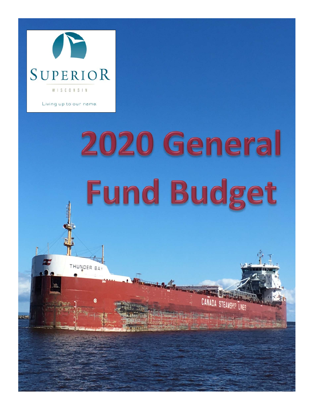

Living up to our name.

THUNDER BA

## 2020 General **Fund Budget**

CANADA STEAMSHIP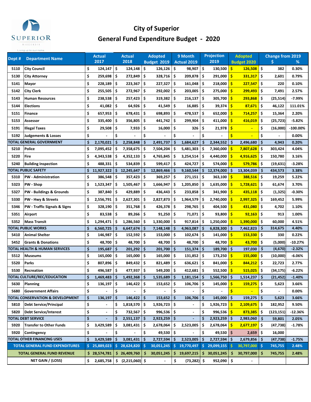

## **City of Superior General Fund Expenditure Budget ‐ 2020**

| Dept <sup>#</sup> | <b>Department Name</b>                      |    | <b>Actual</b>            |     | Actual                       |     | <b>Adopted</b> |     | 9 Month            |      | <b>Projection</b> |                         | <b>Adopted</b>           |     | <b>Change from 2019</b> |            |
|-------------------|---------------------------------------------|----|--------------------------|-----|------------------------------|-----|----------------|-----|--------------------|------|-------------------|-------------------------|--------------------------|-----|-------------------------|------------|
|                   |                                             |    | 2017                     |     | 2018                         |     | Budget 2019    |     | <b>Actual 2019</b> |      | 2019              |                         | <b>Budget 2020</b>       |     | \$                      | %          |
| 5110              | <b>City Council</b>                         | \$ | 124,147                  | \$  | 124,148                      | \$. | 126,126        | \$  | 98,907             | -\$  | 130,500           | \$                      | 126,508                  | \$  | 382                     | 0.30%      |
| 5130              | City Attorney                               | \$ | 259,698                  | \$  | 272,849                      | \$  | 328,716        | \$  | 209,878            | -\$  | 291,000           | -\$                     | 331,317                  | -\$ | 2,601                   | 0.79%      |
| 5141              | Mayor                                       | \$ | 228,189                  | \$  | 223,367                      | \$  | 227,327        | \$. | 161,048            | -\$  | 218,000           | -\$                     | 227,547                  | \$  | 220                     | 0.10%      |
| 5142              | <b>City Clerk</b>                           | \$ | 255,505                  | \$  | 272,967                      | \$  | 292,002        | \$  | 203,005            | l \$ | 275,000           | <b>S</b>                | 299,493                  | \$  | 7,491                   | 2.57%      |
| 5143              | <b>Human Resources</b>                      | \$ | 238,538                  | \$  | 257,423                      | \$  | 319,382        | \$. | $216,137$   \$     |      | 305,700           | <b>S</b>                | 293,868                  | \$  | (25,514)                | -7.99%     |
| 5144              | <b>Elections</b>                            | \$ | 41,082                   | \$  | 64,926                       | \$  | 41,549         | \$. | 16,885             | -\$  | 39,374            | -\$                     | 87,671                   | \$. | 46,122                  | 111.01%    |
| 5151              | Finance                                     | \$ | 657,953                  | \$  | 678,431                      | \$  | 698,893        | \$. | 478,537            | -\$  | 652,000           | <b>S</b>                | 714,257                  | \$  | 15,364                  | 2.20%      |
| 5153              | Assessor                                    | \$ | 335,400                  | \$  | 356,805                      | \$. | 441,742        | \$. | 299,904            | -\$  | 411,000           | Ŝ                       | 416,019                  | \$  | (25, 723)               | $-5.82%$   |
| 5191              | <b>Illegal Taxes</b>                        | \$ | 29,508                   | \$  | 7,933                        | \$  | 16,000         | \$  | 326                | \$   | 21,978            | \$                      |                          | \$  | (16,000)                | $-100.00%$ |
| 5192              | <b>Judgements &amp; Losses</b>              | \$ |                          | \$  |                              | \$  |                | \$  |                    | Ś    |                   | Ś                       |                          | \$  |                         | 0.00%      |
|                   | <b>FOTAL GENERAL GOVERNMENT</b>             | Ś  | 2,170,021                | Ŝ.  | 2,258,848                    | \$. | 2,491,737      | \$  | 1,684,627          | \$   | 2,344,552         | -Ś                      | 2,496,680                | \$  | 4,943                   | 0.20%      |
| 5210              | <b>Police</b>                               | \$ | 7,095,452                | -\$ | 7,358,675                    | \$  | 7,504,204      | \$  | 5,481,303          | \$   | 7,360,000         | -S                      | 7,807,628                | \$  | 303,424                 | 4.04%      |
| 5220              | Fire                                        | \$ | 4,343,538                | \$  | 4,352,133                    | \$. | 4,765,845      | \$  | 3,254,514          | .\$  | 4,440,000         | -S                      | 4,916,625                | -\$ | 150,780                 | 3.16%      |
| 5240              | <b>Building Inspection</b>                  | \$ | 488,331                  | \$  | 534,839                      | \$  | 599,417        | \$. | 424,727            | -\$  | 574,000           | -\$                     | 579,786                  | \$  | (19, 631)               | $-3.28%$   |
|                   | <b>FOTAL PUBLIC SAFETY</b>                  | \$ | 11,927,322               | \$  | 12,245,647                   | \$  | 12,869,466     | \$  | 9,160,544          | \$   | 12,374,000        | -\$                     | 13,304,039               | \$. | 434,573                 | 3.38%      |
| 5310              | <b>PW</b> - Administration                  | \$ | 386,548                  | \$  | 357,423                      | \$  | 369,257        | \$  | 271,151            | -\$  | 363,100           | \$                      | 388,516                  | \$  | 19,259                  | 5.22%      |
| 5323              | PW - Shop                                   | \$ | 1,523,347                | \$  | 1,505,467                    | \$  | 1,666,947      | \$. | 1,205,850          | .\$  | 1,635,000         | Ŝ                       | 1,728,621                | \$  | 61,674                  | 3.70%      |
| 5327              | <b>PW - Buildings &amp; Grounds</b>         | \$ | 387,840                  | \$  | 429,889                      | \$  | 436,443        | \$. | 233,858            | \$   | 341,900           | \$                      | 435,118                  | -\$ | (1, 325)                | $-0.30%$   |
| 5330              | PW - Hwy & Streets                          | \$ | 2,556,791                | \$  | 2,627,301                    | \$  | 2,827,873      | \$  | 1,964,579          | -\$  | 2,740,000         | -\$                     | 2,997,325                | \$  | 169,452                 | 5.99%      |
| 5346              | PW - Traffic Signals & Signs                | \$ | 328,190                  | \$  | 351,768                      | \$  | 426,378        | \$  | 298,765            | -\$  | 404,500           | -\$                     | 431,080                  | \$  | 4,702                   | 1.10%      |
| 5351              | Airport                                     | \$ | 83,538                   | \$  | 89,266                       | \$  | 91,250         | \$. | 71,071             | -\$  | 93,800            | <b>S</b>                | 92,163                   | \$. | 913                     | 1.00%      |
| 5352              | <b>Mass Transit</b>                         | \$ | 1,294,471                | \$  | 1,286,560                    | \$  | 1,330,000      | \$. | 917,814            | Ŝ.   | 1,250,000         | <b>S</b>                | 1,390,000                | \$. | 60,000                  | 4.51%      |
|                   | <b>FOTAL PUBLIC WORKS</b>                   | \$ | 6,560,725                | \$  | 6,647,674                    | \$  | 7,148,148      | \$  | 4,963,087          | -\$  | 6,828,300         | -\$                     | 7,462,823                | \$  | 314,675                 | 4.40%      |
| 5410              | <b>Animal Shelter</b>                       | \$ | 146,987                  | \$  | 152,592                      | \$  | 153,000        | \$  | 102,674            | -\$  | 141,000           | $\overline{\mathbf{s}}$ | 153,330                  | \$  | 330                     | 0.22%      |
| 5452              | <b>Grants &amp; Donations</b>               | \$ | 48,700                   | \$. | 48,700                       | \$. | 48,700         | \$. | 48,700             | -\$  | 48,700            | Ŝ                       | 43,700                   | -\$ | (5,000)                 | $-10.27%$  |
|                   | <b>TOTAL HEALTH &amp; HUMAN SERVICES</b>    | \$ | 195,687                  | -\$ | 201,292                      | '\$ | 201,700        | \$. | $151,374$ \$       |      | 189,700           | -\$                     | 197,030                  | \$  | (4,670)                 | $-2.32%$   |
| 5512              | <b>Museums</b>                              | \$ | 165,000                  | \$  | 165,000                      | \$  | 165,000        | \$  | $131,852$ \$       |      | 173,250           | -\$                     | 155,000                  | \$  | (10,000)                | $-6.06%$   |
| 5520              | Parks                                       | \$ | 807,896                  | \$  | 849,432                      | \$  | 821,489        | \$  | 636,621            | -\$  | 841,000           | \$                      | 844,212                  | \$  | 22,723                  | 2.77%      |
| 5530              | Recreation                                  | \$ | 496,587                  | \$. | 477,937                      | \$. | 549,200        | \$. | 412,681            | Ŝ.   | 552,500           | Ŝ                       | 515,025                  | \$  | (34,175)                | $-6.22%$   |
|                   | TOTAL CULTURE/REC/EDUCATION                 | Ś  | 1,469,483                | \$  | 1,492,368                    | \$. | 1,535,689      | \$  | 1,181,154          | \$   | 1,566,750         | -\$                     | 1,514,237                | Š.  | (21, 452)               | $-1.40%$   |
| 5630              | <b>Planning</b>                             | \$ | 136,197                  | \$  | 146,422                      | \$  | 153,652        | \$  | 106,706 \$         |      | 145,000           | -\$                     | 159,275                  | \$  | 5,623                   | 3.66%      |
| 5680              | <b>Government Affairs</b>                   | \$ |                          | \$  |                              | \$  |                | \$  |                    | \$   |                   | $\mathsf{s}$            |                          | \$  |                         | 0.00%      |
|                   | <b>TOTAL CONSERVATION &amp; DEVELOPMENT</b> | \$ | 136,197                  | \$  | 146,422                      | \$  | 153,652        | -\$ | 106,706            | -\$  | 145,000           | -\$                     | $159,275$ \$             |     | 5,623                   | 3.66%      |
| 5810              | <b>Debt Service/Principal</b>               | \$ |                          | \$  | 1,818,570                    | \$  | 1,926,723      | \$  |                    | \$   | 1,926,723         | -\$                     | $2,109,675$ \$           |     | 182,952                 | 9.50%      |
| 5820              | <b>Debt Service/Interest</b>                | \$ | $\overline{\phantom{a}}$ | \$  | 732,567                      | -\$ | 996,536        | -\$ | $\overline{a}$     | \$   | 996,536           | ١\$                     | 873,385                  | -\$ | (123, 151)              | $-12.36%$  |
|                   | <b>TOTAL DEBT SERVICE</b>                   | \$ |                          | \$  | 2,551,137                    | \$  | $2,923,259$ \$ |     |                    | Ś    | 2,923,259         | ا \$                    | 2,983,060                | \$  | 59,801                  | 2.05%      |
| 5920              | <b>Transfer to Other Funds</b>              | \$ | 3,429,589                | \$  | 3,081,431                    | \$  | 2,678,064      | \$. | 2,523,005          | \$.  | 2,678,064         | -\$                     | 2,677,197                | \$  | (47, 738)               | $-1.78%$   |
| 5920              | Contingency                                 | \$ |                          | \$  |                              | \$  | 49,530         | \$  |                    | \$   | 49,530            | ا \$                    | 2,659                    | \$  | 16,000                  |            |
|                   | TOTAL OTHER FINANCING USES                  | \$ | 3,429,589                | Ŝ   | 3,081,431                    | -\$ | 2,727,594      | -\$ | 2,523,005          | -\$  | 2,727,594         | -\$                     | $2,679,856$   \$         |     | (47, 738)               | $-1.75%$   |
|                   | <b>TOTAL GENERAL FUND EXPENDITURES</b>      |    | 25,889,023               |     | \$28,624,820                 | -\$ | 30,051,245     | -S  | 19,770,497         | S.   | 29,099,155        | -\$                     | 30,797,000 \$            |     | 745,755                 | 2.48%      |
|                   | <b>TOTAL GENERAL FUND REVENUE</b>           |    | \$28,574,781             |     | \$26,409,760                 | \$  | 30,051,245     | \$  | 19,697,215         | \$.  | 30,051,245        | -S                      | 30,797,000               | \$  | 745,755                 | 2.48%      |
|                   | NET GAIN / (LOSS)                           | \$ | 2,685,758                |     | $\frac{1}{2}$ (2,215,060) \$ |     | $\overline{a}$ | \$  | $(73, 282)$ \$     |      | 952,090           | $\ddot{\phantom{1}}$    | $\overline{\phantom{a}}$ |     |                         |            |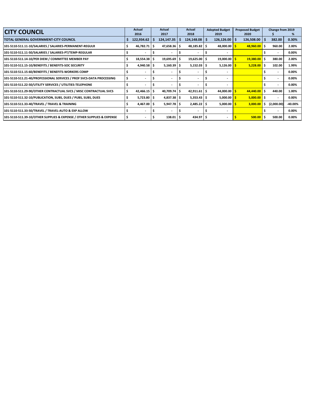| <b>CITY COUNCIL</b>                                                    | Actual<br>2016         |     | <b>Actual</b><br>2017 |    | Actual<br>2018 | <b>Adopted Budget</b><br>2019 |                          | <b>Proposed Budget</b><br>2020 |                          |    | Change from 2019<br>℅ |            |
|------------------------------------------------------------------------|------------------------|-----|-----------------------|----|----------------|-------------------------------|--------------------------|--------------------------------|--------------------------|----|-----------------------|------------|
| <b>TOTAL GENERAL GOVERNMENT-CITY COUNCIL</b>                           | 122,934.62             | - 5 | 124,147.35            | -S | 124,148.08     |                               | $126, 126.00$   \$       |                                | 126,508.00               | -S | 382.00                | 0.30%      |
| 101-5110-511.11-10/SALARIES / SALARIES-PERMANENT-REGULR                | $46,782.71$ $\pm$      |     | 47,658.36             |    | $48,185.82$ \$ |                               | 48,000.00                |                                | $48,960.00$ \$           |    | 960.00                | 2.00%      |
| 101-5110-511.11-50/SALARIES / SALARIES-PT/TEMP-REGULAR                 |                        |     |                       |    |                |                               | $\overline{\phantom{a}}$ |                                |                          |    |                       | 0.00%      |
| 101-5110-511.14-10/PER DIEM / COMMITTEE MEMBER PAY                     | $18,554.38$ \$         |     | $19,695.69$ \$        |    | $19,625.00$ \$ |                               | 19,000.00                |                                | $19,380.00$ \$           |    | 380.00                | 2.00%      |
| 101-5110-511.15-10/BENEFITS / BENEFITS-SOC SECURITY                    | $4,940.58$ \$          |     | $5,160.39$ \$         |    | $5,152.03$ \$  |                               | 5,126.00                 |                                | $5.228.00$ S             |    | 102.00                | 1.99%      |
| 101-5110-511.15-60/BENEFITS / BENEFITS-WORKERS COMP                    |                        |     |                       |    |                |                               | $\overline{\phantom{a}}$ |                                |                          |    |                       | 0.00%      |
| 101-5110-511.21-40/PROFESSIONAL SERVICES / PROF SVCS-DATA PROCESSING   |                        |     | ٠                     |    |                |                               | $\overline{\phantom{a}}$ |                                |                          |    |                       | 0.00%      |
| 101-5110-511.22-50/UTILITY SERVICES / UTILITIES-TELEPHONE              |                        |     |                       |    |                |                               |                          |                                |                          |    |                       | 0.00%      |
| 101-5110-511.29-90/OTHER CONTRACTUAL SVCS / MISC CONTRACTUAL SVCS      | $42,466.15$ $\sqrt{5}$ |     | 40,709.74             |    | 42,911.61      | S                             | 44,000.00                |                                | 44,440.00                | ۱s | 440.00                | 1.00%      |
| 101-5110-511.32-10/PUBLICATION, SUBS, DUES / PUBS, SUBS, DUES          | $5,723.80$ \$          |     | $4,837.38$ \$         |    | $5,353.43$ \$  |                               | 5,000.00                 |                                | $5,000.00$ $\frac{1}{5}$ |    |                       | 0.00%      |
| 101-5110-511.33-40/TRAVEL / TRAVEL & TRAINING                          | 4,467.00 \$            |     | $5,947.78$ \$         |    | $2,485.22$ \$  |                               | 5,000.00                 |                                | 3,000.00                 | s  | (2,000.00)            | $-40.00\%$ |
| 101-5110-511.33-50/TRAVEL / TRAVEL-AUTO & EXP ALLOW                    |                        |     | -                     |    |                |                               | $\overline{\phantom{a}}$ |                                |                          |    |                       | 0.00%      |
| 101-5110-511.39-10/OTHER SUPPLIES & EXPENSE / OTHER SUPPLIES & EXPENSE |                        |     | 138.01                |    | 434.97 \$      |                               | ٠                        |                                | 500.00                   | -S | 500.00                | 0.00%      |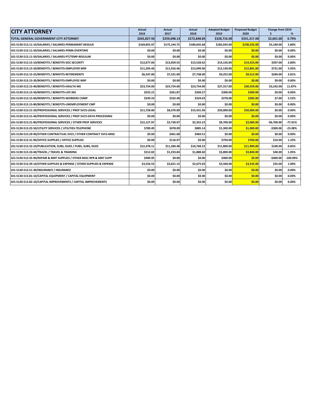| <b>CITY ATTORNEY</b>                                                   | Actual<br>2016 | <b>Actual</b><br>2017 | <b>Actual</b><br>2018 | <b>Adopted Budget</b><br>2019 | <b>Proposed Budget</b><br>2020 | Change from 2019<br>\$ | %           |
|------------------------------------------------------------------------|----------------|-----------------------|-----------------------|-------------------------------|--------------------------------|------------------------|-------------|
| TOTAL GENERAL GOVERNMENT-CITY ATTORNEY                                 | \$265,827.92   | \$259,698.13          | \$272,848.85          | \$328,716.00                  | \$331,317.00                   | \$2,601.00             | 0.79%       |
| 101-5130-513.11-10/SALARIES / SALARIES-PERMANENT-REGULR                | \$169,855.97   | \$175,144.72          | \$180.645.68          | \$185,043.00                  | \$190,232.00                   | \$5.189.00             | 2.80%       |
| 101-5130-513.11-20/SALARIES / SALARIES-PERM-OVERTIME                   | \$0.00         | \$0.00                | \$0.00                | \$0.00                        | \$0.00                         | \$0.00                 | 0.00%       |
| 101-5130-513.11-50/SALARIES / SALARIES-PT/TEMP-REGULAR                 | \$0.00         | \$0.00                | \$0.00                | \$0.00                        | \$0.00                         | \$0.00                 | 0.00%       |
| 101-5130-513.15-10/BENEFITS / BENEFITS-SOC SECURITY                    | \$12,677.06    | \$13,059.53           | \$13,528.62           | \$14,156.00                   | \$14,553.00                    | \$397.00               | 2.80%       |
| 101-5130-513.15-20/BENEFITS / BENEFITS-EMPLOYER WRF                    | \$11,205.46    | \$11,916.46           | \$12,099.96           | \$12,120.00                   | \$12,841.00                    | \$721.00               | 5.95%       |
| 101-5130-513.15-25/BENEFITS / BENEFITS-RETIREMENTS                     | \$6,347.00     | \$7,531.00            | \$7,738.00            | \$9,252.00                    | \$9,512.00                     | \$260.00               | 2.81%       |
| 101-5130-513.15-30/BENEFITS / BENEFITS-EMPLOYEE WRF                    | \$0.00         | \$0.00                | \$0.00                | \$0.00                        | \$0.00                         | \$0.00                 | 0.00%       |
| 101-5130-513.15-40/BENEFITS / BENEFITS-HEALTH INS                      | \$23,754.00    | \$23,754.00           | \$23,754.00           | \$27,317.00                   | \$30,559.00                    | \$3,242.00             | 11.87%      |
| 101-5130-513.15-50/BENEFITS / BENEFITS-LIFE INS                        | \$255.21       | \$261.87              | \$269.27              | \$300.00                      | \$300.00                       | \$0.00                 | 0.00%       |
| 101-5130-513.15-60/BENEFITS / BENEFITS-WORKERS COMP                    | \$339.33       | \$332.48              | \$324.63              | \$278.00                      | \$285.00                       | \$7.00                 | 2.52%       |
| 101-5130-513.15-80/BENEFITS / BENEFITS-UNEMPLOYMENT CMP                | \$0.00         | \$0.00                | \$0.00                | \$0.00                        | \$0.00                         | \$0.00                 | 0.00%       |
| 101-5130-513.21-20/PROFESSIONAL SERVICES / PROF SVCS-LEGAL             | \$11,728.00    | \$8,370.89            | \$15,431.96           | \$50,000.00                   | \$50,000.00                    | \$0.00                 | 0.00%       |
| 101-5130-513.21-40/PROFESSIONAL SERVICES / PROF SVCS-DATA PROCESSING   | \$0.00         | \$0.00                | \$0.00                | \$0.00                        | \$0.00                         | \$0.00                 | 0.00%       |
| 101-5130-513.21-80/PROFESSIONAL SERVICES / OTHER PROF SERVICES         | \$12,127.97    | \$2,730.97            | \$2,355.23            | \$8,700.00                    | \$2,000.00                     | $-56,700.00$           | $-77.01%$   |
| 101-5130-513.22-50/UTILITY SERVICES / UTILITIES-TELEPHONE              | \$789.49       | \$478.09              | \$885.14              | \$1,300.00                    | \$1,000.00                     | $-$300.00$             | $-23.08%$   |
| 101-5130-513.29-90/OTHER CONTRACTUAL SVCS / OTHER CONTRACT SVCS-MISC   | \$0.00         | \$461.68              | \$484.51              | \$0.00                        | \$0.00                         | \$0.00                 | 0.00%       |
| 101-5130-513.31-90/OFFICE SUPPLIES / OFFICE SUPPLIES                   | \$0.00         | \$116.97              | \$0.00                | \$750.00                      | \$760.00                       | \$10.00                | 1.33%       |
| 101-5130-513.32-10/PUBLICATION, SUBS, DUES / PUBS, SUBS, DUES          | \$12,478.11    | \$11,284.48           | \$10,768.22           | \$11,800.00                   | \$11,900.00                    | \$100.00               | 0.85%       |
| 101-5130-513.33-40/TRAVEL / TRAVEL & TRAINING                          | \$312.82       | \$1,233.84            | \$1,888.60            | \$3,800.00                    | \$3,840.00                     | \$40.00                | 1.05%       |
| 101-5130-513.35-90/REPAIR & MNT SUPPLIES / OTHER MISC RPR & MNT SUPP   | \$400.95       | \$0.00                | \$0.00                | \$400.00                      | \$0.00                         | $-$400.00$             | $-100.00\%$ |
| 101-5130-513.39-10/OTHER SUPPLIES & EXPENSE / OTHER SUPPLIES & EXPENSE | \$3,556.55     | \$3,021.15            | \$2,675.03            | \$3,500.00                    | \$3,535.00                     | \$35.00                | 1.00%       |
| 101-5130-513.51-30/INSURANCE / INSURANCE                               | \$0.00         | \$0.00                | \$0.00                | \$0.00                        | \$0.00                         | \$0.00                 | 0.00%       |
| 101-5130-513.81-10/CAPITAL EQUIPMENT / CAPITAL EQUIPMENT               | \$0.00         | \$0.00                | \$0.00                | \$0.00                        | \$0.00                         | \$0.00                 | 0.00%       |
| 101-5130-513.82-10/CAPITAL IMPROVEMENTS / CAPITAL IMPROVEMENTS         | \$0.00         | \$0.00                | \$0.00                | \$0.00                        | \$0.00                         | \$0.00                 | 0.00%       |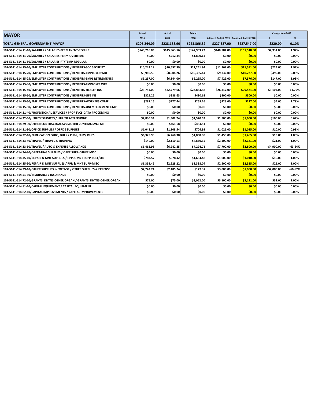| Adopted Budget 2019   Proposed Budget 2020<br>TOTAL GENERAL GOVERNMENT-MAYOR<br>\$206.244.09<br>\$228,188.90<br>\$223,366.82<br>\$227,547.00<br>\$220.00<br>0.10%<br>\$227,327,00<br>\$140.716.83<br>\$145.963.56<br>\$147.933.72<br>\$148.584.00<br>\$151.518.00<br>\$2.934.00<br>1.97%<br>101-5141-514.11-10/SALARIES / SALARIES-PERMANENT-REGULR<br>\$0.00<br>\$0.00<br>\$212.34<br>\$1,800.14<br>\$0.00<br>\$0.00<br>0.00%<br>101-5141-514.11-20/SALARIES / SALARIES-PERM-OVERTIME<br>\$0.00<br>\$0.00<br>\$0.00<br>\$0.00<br>\$0.00<br>0.00%<br>101-5141-514.11-50/SALARIES / SALARIES-PT/TEMP-REGULAR<br>\$0.00<br>\$10,657.99<br>\$11,241.94<br>\$11,367.00<br>\$11,591.00<br>\$224.00<br>1.97%<br>101-5141-514.15-10/EMPLOYER CONTRIBUTIONS / BENEFITS-SOC SECURITY<br>\$10,242.19<br>101-5141-514.15-20/EMPLOYER CONTRIBUTIONS / BENEFITS-EMPLOYER WRF<br>\$10,227.00<br>\$495.00<br>5.09%<br>\$3,910.55<br>\$8,504.26<br>\$10,355.44<br>\$9,732.00<br>\$6.144.00<br>\$7,576.00<br>\$147.00<br>1.98%<br>101-5141-514.15-25/EMPLOYER CONTRIBUTIONS / BENEFITS-EMPL RETIREMENTS<br>\$5.257.00<br>\$6.265.00<br>\$7.429.00<br>\$0.00<br>\$0.00<br>\$0.00<br>\$0.00<br>\$0.00<br>\$0.00<br>0.00%<br>\$32,779.66<br>\$22,883.88<br>\$26,317.00<br>\$29,421.00<br>\$3,104.00<br>11.79%<br>101-5141-514.15-40/EMPLOYER CONTRIBUTIONS / BENEFITS-HEALTH INS<br>\$23,754.00<br>\$325.26<br>\$388.63<br>\$490.62<br>\$300.00<br>\$300.00<br>\$0.00<br>0.00%<br>\$227.00<br>\$4.00<br>101-5141-514.15-60/EMPLOYER CONTRIBUTIONS / BENEFITS-WORKERS COMP<br>\$281.16<br>\$277.44<br>\$269.26<br>\$223.00<br>1.79%<br>\$0.00<br>\$0.00<br>0.00%<br>\$0.00<br>\$0.00<br>\$0.00<br>\$0.00<br>\$0.00<br>\$0.00<br>0.00%<br>101-5141-514.21-40/PROFESSIONAL SERVICES / PROF SVCS-DATA PROCESSING<br>\$0.00<br>\$0.00<br>\$0.00<br>\$0.00<br>\$2,830.34<br>\$1,302.24<br>\$1,570.53<br>\$1,600.00<br>6.67%<br>101-5141-514.22-50/UTILITY SERVICES / UTILITIES-TELEPHONE<br>\$1,500.00<br>\$100.00<br>\$0.00<br>101-5141-514.29-90/OTHER CONTRACTUAL SVCS/OTHR CONTRAC SVCS MI<br>\$0.00<br>\$461.68<br>\$484.51<br>\$0.00<br>\$0.00<br>0.00%<br>101-5141-514.31-90/OFFICE SUPPLIES / OFFICE SUPPLIES<br>\$1,041.11<br>\$1,108.54<br>\$704.93<br>\$1,025.00<br>\$1,035.00<br>\$10.00<br>0.98%<br>\$6,325.90<br>\$6,268.30<br>\$1,068.90<br>\$1,450.00<br>\$1,465.00<br>\$15.00<br>1.03%<br>101-5141-514.33-40/TRAVEL / TRAVEL & TRAINING<br>\$140.00<br>\$2,110.53<br>\$2,100.00<br>\$2,121.00<br>\$21.00<br>1.00%<br>\$4,830.35<br>101-5141-514.33-50/TRAVEL / AUTO & EXPENSE ALLOWANCE<br>\$6.462.98<br>\$6.242.85<br>\$7.224.71<br>\$7,700.00<br>\$2,800.00<br>$-$4,900.00$<br>$-63.64%$<br>101-5141-514.34-90/OPERATING SUPPLIES / OPER SUPP-OTHER MISC<br>\$0.00<br>\$0.00<br>\$0.00<br>\$0.00<br>\$0.00<br>0.00%<br>\$0.00<br>\$787.57<br>\$978.42<br>\$1,663.48<br>\$1,000.00<br>\$1,010.00<br>\$10.00<br>1.00%<br>\$2,228.22<br>\$1.388.04<br>\$2,525.00<br>\$25.00<br>1.00%<br>101-5141-514.35-90/REPAIR & MNT SUPPLIES / RPR & MNT SUPP-MISC<br>\$1,351.46<br>\$2.500.00<br>\$2,742.74<br>\$2,485.24<br>\$129.37<br>\$1,000.00<br>$-$2,000.00$<br>$-66.67%$<br>101-5141-514.39-10/OTHER SUPPLIES & EXPENSE / OTHER SUPPLIES & EXPENSE<br>\$3,000.00<br>\$0.00<br>\$0.00<br>\$0.00<br>\$0.00<br>\$0.00<br>0.00%<br>101-5141-514.51-30/INSURANCE / INSURANCE<br>\$0.00<br>\$3,131.00<br>101-5141-514.72-10/GRANTS, DNTNS-OTHER ORGAN / GRANTS, DNTNS-OTHER ORGAN<br>\$75.00<br>\$75.00<br>\$3,062.00<br>\$3,100.00<br>\$31.00<br>1.00%<br>\$0.00<br>\$0.00<br>\$0.00<br>\$0.00<br>\$0.00<br>\$0.00<br>0.00%<br>101-5141-514.81-10/CAPITAL EQUIPMENT / CAPITAL EQUIPMENT<br>\$0.00<br>\$0.00<br>\$0.00<br>\$0.00<br>\$0.00<br>0.00%<br>\$0.00 | <b>MAYOR</b>                                                          | Actual | Actual | Actual |  | Change from 2019 |   |
|--------------------------------------------------------------------------------------------------------------------------------------------------------------------------------------------------------------------------------------------------------------------------------------------------------------------------------------------------------------------------------------------------------------------------------------------------------------------------------------------------------------------------------------------------------------------------------------------------------------------------------------------------------------------------------------------------------------------------------------------------------------------------------------------------------------------------------------------------------------------------------------------------------------------------------------------------------------------------------------------------------------------------------------------------------------------------------------------------------------------------------------------------------------------------------------------------------------------------------------------------------------------------------------------------------------------------------------------------------------------------------------------------------------------------------------------------------------------------------------------------------------------------------------------------------------------------------------------------------------------------------------------------------------------------------------------------------------------------------------------------------------------------------------------------------------------------------------------------------------------------------------------------------------------------------------------------------------------------------------------------------------------------------------------------------------------------------------------------------------------------------------------------------------------------------------------------------------------------------------------------------------------------------------------------------------------------------------------------------------------------------------------------------------------------------------------------------------------------------------------------------------------------------------------------------------------------------------------------------------------------------------------------------------------------------------------------------------------------------------------------------------------------------------------------------------------------------------------------------------------------------------------------------------------------------------------------------------------------------------------------------------------------------------------------------------------------------------------------------------------------------------------------------------------------------------------------------------------------------------------------------------------------------------------------------------------------------------------------------------------------------------------------------------------------------------------------------------------------------------------------------------------------------------------------------------------------------------------------------------------------------------------------------------------------------------------------------------------------------------------|-----------------------------------------------------------------------|--------|--------|--------|--|------------------|---|
|                                                                                                                                                                                                                                                                                                                                                                                                                                                                                                                                                                                                                                                                                                                                                                                                                                                                                                                                                                                                                                                                                                                                                                                                                                                                                                                                                                                                                                                                                                                                                                                                                                                                                                                                                                                                                                                                                                                                                                                                                                                                                                                                                                                                                                                                                                                                                                                                                                                                                                                                                                                                                                                                                                                                                                                                                                                                                                                                                                                                                                                                                                                                                                                                                                                                                                                                                                                                                                                                                                                                                                                                                                                                                                                                            |                                                                       | 2016   | 2017   | 2018   |  | \$               | % |
|                                                                                                                                                                                                                                                                                                                                                                                                                                                                                                                                                                                                                                                                                                                                                                                                                                                                                                                                                                                                                                                                                                                                                                                                                                                                                                                                                                                                                                                                                                                                                                                                                                                                                                                                                                                                                                                                                                                                                                                                                                                                                                                                                                                                                                                                                                                                                                                                                                                                                                                                                                                                                                                                                                                                                                                                                                                                                                                                                                                                                                                                                                                                                                                                                                                                                                                                                                                                                                                                                                                                                                                                                                                                                                                                            |                                                                       |        |        |        |  |                  |   |
|                                                                                                                                                                                                                                                                                                                                                                                                                                                                                                                                                                                                                                                                                                                                                                                                                                                                                                                                                                                                                                                                                                                                                                                                                                                                                                                                                                                                                                                                                                                                                                                                                                                                                                                                                                                                                                                                                                                                                                                                                                                                                                                                                                                                                                                                                                                                                                                                                                                                                                                                                                                                                                                                                                                                                                                                                                                                                                                                                                                                                                                                                                                                                                                                                                                                                                                                                                                                                                                                                                                                                                                                                                                                                                                                            |                                                                       |        |        |        |  |                  |   |
|                                                                                                                                                                                                                                                                                                                                                                                                                                                                                                                                                                                                                                                                                                                                                                                                                                                                                                                                                                                                                                                                                                                                                                                                                                                                                                                                                                                                                                                                                                                                                                                                                                                                                                                                                                                                                                                                                                                                                                                                                                                                                                                                                                                                                                                                                                                                                                                                                                                                                                                                                                                                                                                                                                                                                                                                                                                                                                                                                                                                                                                                                                                                                                                                                                                                                                                                                                                                                                                                                                                                                                                                                                                                                                                                            |                                                                       |        |        |        |  |                  |   |
|                                                                                                                                                                                                                                                                                                                                                                                                                                                                                                                                                                                                                                                                                                                                                                                                                                                                                                                                                                                                                                                                                                                                                                                                                                                                                                                                                                                                                                                                                                                                                                                                                                                                                                                                                                                                                                                                                                                                                                                                                                                                                                                                                                                                                                                                                                                                                                                                                                                                                                                                                                                                                                                                                                                                                                                                                                                                                                                                                                                                                                                                                                                                                                                                                                                                                                                                                                                                                                                                                                                                                                                                                                                                                                                                            |                                                                       |        |        |        |  |                  |   |
|                                                                                                                                                                                                                                                                                                                                                                                                                                                                                                                                                                                                                                                                                                                                                                                                                                                                                                                                                                                                                                                                                                                                                                                                                                                                                                                                                                                                                                                                                                                                                                                                                                                                                                                                                                                                                                                                                                                                                                                                                                                                                                                                                                                                                                                                                                                                                                                                                                                                                                                                                                                                                                                                                                                                                                                                                                                                                                                                                                                                                                                                                                                                                                                                                                                                                                                                                                                                                                                                                                                                                                                                                                                                                                                                            |                                                                       |        |        |        |  |                  |   |
|                                                                                                                                                                                                                                                                                                                                                                                                                                                                                                                                                                                                                                                                                                                                                                                                                                                                                                                                                                                                                                                                                                                                                                                                                                                                                                                                                                                                                                                                                                                                                                                                                                                                                                                                                                                                                                                                                                                                                                                                                                                                                                                                                                                                                                                                                                                                                                                                                                                                                                                                                                                                                                                                                                                                                                                                                                                                                                                                                                                                                                                                                                                                                                                                                                                                                                                                                                                                                                                                                                                                                                                                                                                                                                                                            |                                                                       |        |        |        |  |                  |   |
|                                                                                                                                                                                                                                                                                                                                                                                                                                                                                                                                                                                                                                                                                                                                                                                                                                                                                                                                                                                                                                                                                                                                                                                                                                                                                                                                                                                                                                                                                                                                                                                                                                                                                                                                                                                                                                                                                                                                                                                                                                                                                                                                                                                                                                                                                                                                                                                                                                                                                                                                                                                                                                                                                                                                                                                                                                                                                                                                                                                                                                                                                                                                                                                                                                                                                                                                                                                                                                                                                                                                                                                                                                                                                                                                            |                                                                       |        |        |        |  |                  |   |
|                                                                                                                                                                                                                                                                                                                                                                                                                                                                                                                                                                                                                                                                                                                                                                                                                                                                                                                                                                                                                                                                                                                                                                                                                                                                                                                                                                                                                                                                                                                                                                                                                                                                                                                                                                                                                                                                                                                                                                                                                                                                                                                                                                                                                                                                                                                                                                                                                                                                                                                                                                                                                                                                                                                                                                                                                                                                                                                                                                                                                                                                                                                                                                                                                                                                                                                                                                                                                                                                                                                                                                                                                                                                                                                                            | 101-5141-514.15-30/EMPLOYER CONTRIBUTIONS / BENEFITS-EMPLOYEE WRF     |        |        |        |  |                  |   |
|                                                                                                                                                                                                                                                                                                                                                                                                                                                                                                                                                                                                                                                                                                                                                                                                                                                                                                                                                                                                                                                                                                                                                                                                                                                                                                                                                                                                                                                                                                                                                                                                                                                                                                                                                                                                                                                                                                                                                                                                                                                                                                                                                                                                                                                                                                                                                                                                                                                                                                                                                                                                                                                                                                                                                                                                                                                                                                                                                                                                                                                                                                                                                                                                                                                                                                                                                                                                                                                                                                                                                                                                                                                                                                                                            |                                                                       |        |        |        |  |                  |   |
|                                                                                                                                                                                                                                                                                                                                                                                                                                                                                                                                                                                                                                                                                                                                                                                                                                                                                                                                                                                                                                                                                                                                                                                                                                                                                                                                                                                                                                                                                                                                                                                                                                                                                                                                                                                                                                                                                                                                                                                                                                                                                                                                                                                                                                                                                                                                                                                                                                                                                                                                                                                                                                                                                                                                                                                                                                                                                                                                                                                                                                                                                                                                                                                                                                                                                                                                                                                                                                                                                                                                                                                                                                                                                                                                            | 101-5141-514.15-50/EMPLOYER CONTRIBUTIONS / BENEFITS-LIFE INS         |        |        |        |  |                  |   |
|                                                                                                                                                                                                                                                                                                                                                                                                                                                                                                                                                                                                                                                                                                                                                                                                                                                                                                                                                                                                                                                                                                                                                                                                                                                                                                                                                                                                                                                                                                                                                                                                                                                                                                                                                                                                                                                                                                                                                                                                                                                                                                                                                                                                                                                                                                                                                                                                                                                                                                                                                                                                                                                                                                                                                                                                                                                                                                                                                                                                                                                                                                                                                                                                                                                                                                                                                                                                                                                                                                                                                                                                                                                                                                                                            |                                                                       |        |        |        |  |                  |   |
|                                                                                                                                                                                                                                                                                                                                                                                                                                                                                                                                                                                                                                                                                                                                                                                                                                                                                                                                                                                                                                                                                                                                                                                                                                                                                                                                                                                                                                                                                                                                                                                                                                                                                                                                                                                                                                                                                                                                                                                                                                                                                                                                                                                                                                                                                                                                                                                                                                                                                                                                                                                                                                                                                                                                                                                                                                                                                                                                                                                                                                                                                                                                                                                                                                                                                                                                                                                                                                                                                                                                                                                                                                                                                                                                            | 101-5141-514.15-80/EMPLOYER CONTRIBUTIONS / BENEFITS-UNEMPLOYMENT CMP |        |        |        |  |                  |   |
|                                                                                                                                                                                                                                                                                                                                                                                                                                                                                                                                                                                                                                                                                                                                                                                                                                                                                                                                                                                                                                                                                                                                                                                                                                                                                                                                                                                                                                                                                                                                                                                                                                                                                                                                                                                                                                                                                                                                                                                                                                                                                                                                                                                                                                                                                                                                                                                                                                                                                                                                                                                                                                                                                                                                                                                                                                                                                                                                                                                                                                                                                                                                                                                                                                                                                                                                                                                                                                                                                                                                                                                                                                                                                                                                            |                                                                       |        |        |        |  |                  |   |
|                                                                                                                                                                                                                                                                                                                                                                                                                                                                                                                                                                                                                                                                                                                                                                                                                                                                                                                                                                                                                                                                                                                                                                                                                                                                                                                                                                                                                                                                                                                                                                                                                                                                                                                                                                                                                                                                                                                                                                                                                                                                                                                                                                                                                                                                                                                                                                                                                                                                                                                                                                                                                                                                                                                                                                                                                                                                                                                                                                                                                                                                                                                                                                                                                                                                                                                                                                                                                                                                                                                                                                                                                                                                                                                                            |                                                                       |        |        |        |  |                  |   |
|                                                                                                                                                                                                                                                                                                                                                                                                                                                                                                                                                                                                                                                                                                                                                                                                                                                                                                                                                                                                                                                                                                                                                                                                                                                                                                                                                                                                                                                                                                                                                                                                                                                                                                                                                                                                                                                                                                                                                                                                                                                                                                                                                                                                                                                                                                                                                                                                                                                                                                                                                                                                                                                                                                                                                                                                                                                                                                                                                                                                                                                                                                                                                                                                                                                                                                                                                                                                                                                                                                                                                                                                                                                                                                                                            |                                                                       |        |        |        |  |                  |   |
|                                                                                                                                                                                                                                                                                                                                                                                                                                                                                                                                                                                                                                                                                                                                                                                                                                                                                                                                                                                                                                                                                                                                                                                                                                                                                                                                                                                                                                                                                                                                                                                                                                                                                                                                                                                                                                                                                                                                                                                                                                                                                                                                                                                                                                                                                                                                                                                                                                                                                                                                                                                                                                                                                                                                                                                                                                                                                                                                                                                                                                                                                                                                                                                                                                                                                                                                                                                                                                                                                                                                                                                                                                                                                                                                            |                                                                       |        |        |        |  |                  |   |
|                                                                                                                                                                                                                                                                                                                                                                                                                                                                                                                                                                                                                                                                                                                                                                                                                                                                                                                                                                                                                                                                                                                                                                                                                                                                                                                                                                                                                                                                                                                                                                                                                                                                                                                                                                                                                                                                                                                                                                                                                                                                                                                                                                                                                                                                                                                                                                                                                                                                                                                                                                                                                                                                                                                                                                                                                                                                                                                                                                                                                                                                                                                                                                                                                                                                                                                                                                                                                                                                                                                                                                                                                                                                                                                                            | 101-5141-514.32-10/PUBLICATION, SUBS, DUES / PUBS, SUBS, DUES         |        |        |        |  |                  |   |
|                                                                                                                                                                                                                                                                                                                                                                                                                                                                                                                                                                                                                                                                                                                                                                                                                                                                                                                                                                                                                                                                                                                                                                                                                                                                                                                                                                                                                                                                                                                                                                                                                                                                                                                                                                                                                                                                                                                                                                                                                                                                                                                                                                                                                                                                                                                                                                                                                                                                                                                                                                                                                                                                                                                                                                                                                                                                                                                                                                                                                                                                                                                                                                                                                                                                                                                                                                                                                                                                                                                                                                                                                                                                                                                                            |                                                                       |        |        |        |  |                  |   |
|                                                                                                                                                                                                                                                                                                                                                                                                                                                                                                                                                                                                                                                                                                                                                                                                                                                                                                                                                                                                                                                                                                                                                                                                                                                                                                                                                                                                                                                                                                                                                                                                                                                                                                                                                                                                                                                                                                                                                                                                                                                                                                                                                                                                                                                                                                                                                                                                                                                                                                                                                                                                                                                                                                                                                                                                                                                                                                                                                                                                                                                                                                                                                                                                                                                                                                                                                                                                                                                                                                                                                                                                                                                                                                                                            |                                                                       |        |        |        |  |                  |   |
|                                                                                                                                                                                                                                                                                                                                                                                                                                                                                                                                                                                                                                                                                                                                                                                                                                                                                                                                                                                                                                                                                                                                                                                                                                                                                                                                                                                                                                                                                                                                                                                                                                                                                                                                                                                                                                                                                                                                                                                                                                                                                                                                                                                                                                                                                                                                                                                                                                                                                                                                                                                                                                                                                                                                                                                                                                                                                                                                                                                                                                                                                                                                                                                                                                                                                                                                                                                                                                                                                                                                                                                                                                                                                                                                            |                                                                       |        |        |        |  |                  |   |
|                                                                                                                                                                                                                                                                                                                                                                                                                                                                                                                                                                                                                                                                                                                                                                                                                                                                                                                                                                                                                                                                                                                                                                                                                                                                                                                                                                                                                                                                                                                                                                                                                                                                                                                                                                                                                                                                                                                                                                                                                                                                                                                                                                                                                                                                                                                                                                                                                                                                                                                                                                                                                                                                                                                                                                                                                                                                                                                                                                                                                                                                                                                                                                                                                                                                                                                                                                                                                                                                                                                                                                                                                                                                                                                                            | 101-5141-514.35-10/REPAIR & MNT SUPPLIES / RPP & MNT SUPP-FUEL/OIL    |        |        |        |  |                  |   |
|                                                                                                                                                                                                                                                                                                                                                                                                                                                                                                                                                                                                                                                                                                                                                                                                                                                                                                                                                                                                                                                                                                                                                                                                                                                                                                                                                                                                                                                                                                                                                                                                                                                                                                                                                                                                                                                                                                                                                                                                                                                                                                                                                                                                                                                                                                                                                                                                                                                                                                                                                                                                                                                                                                                                                                                                                                                                                                                                                                                                                                                                                                                                                                                                                                                                                                                                                                                                                                                                                                                                                                                                                                                                                                                                            |                                                                       |        |        |        |  |                  |   |
|                                                                                                                                                                                                                                                                                                                                                                                                                                                                                                                                                                                                                                                                                                                                                                                                                                                                                                                                                                                                                                                                                                                                                                                                                                                                                                                                                                                                                                                                                                                                                                                                                                                                                                                                                                                                                                                                                                                                                                                                                                                                                                                                                                                                                                                                                                                                                                                                                                                                                                                                                                                                                                                                                                                                                                                                                                                                                                                                                                                                                                                                                                                                                                                                                                                                                                                                                                                                                                                                                                                                                                                                                                                                                                                                            |                                                                       |        |        |        |  |                  |   |
|                                                                                                                                                                                                                                                                                                                                                                                                                                                                                                                                                                                                                                                                                                                                                                                                                                                                                                                                                                                                                                                                                                                                                                                                                                                                                                                                                                                                                                                                                                                                                                                                                                                                                                                                                                                                                                                                                                                                                                                                                                                                                                                                                                                                                                                                                                                                                                                                                                                                                                                                                                                                                                                                                                                                                                                                                                                                                                                                                                                                                                                                                                                                                                                                                                                                                                                                                                                                                                                                                                                                                                                                                                                                                                                                            |                                                                       |        |        |        |  |                  |   |
|                                                                                                                                                                                                                                                                                                                                                                                                                                                                                                                                                                                                                                                                                                                                                                                                                                                                                                                                                                                                                                                                                                                                                                                                                                                                                                                                                                                                                                                                                                                                                                                                                                                                                                                                                                                                                                                                                                                                                                                                                                                                                                                                                                                                                                                                                                                                                                                                                                                                                                                                                                                                                                                                                                                                                                                                                                                                                                                                                                                                                                                                                                                                                                                                                                                                                                                                                                                                                                                                                                                                                                                                                                                                                                                                            |                                                                       |        |        |        |  |                  |   |
|                                                                                                                                                                                                                                                                                                                                                                                                                                                                                                                                                                                                                                                                                                                                                                                                                                                                                                                                                                                                                                                                                                                                                                                                                                                                                                                                                                                                                                                                                                                                                                                                                                                                                                                                                                                                                                                                                                                                                                                                                                                                                                                                                                                                                                                                                                                                                                                                                                                                                                                                                                                                                                                                                                                                                                                                                                                                                                                                                                                                                                                                                                                                                                                                                                                                                                                                                                                                                                                                                                                                                                                                                                                                                                                                            |                                                                       |        |        |        |  |                  |   |
|                                                                                                                                                                                                                                                                                                                                                                                                                                                                                                                                                                                                                                                                                                                                                                                                                                                                                                                                                                                                                                                                                                                                                                                                                                                                                                                                                                                                                                                                                                                                                                                                                                                                                                                                                                                                                                                                                                                                                                                                                                                                                                                                                                                                                                                                                                                                                                                                                                                                                                                                                                                                                                                                                                                                                                                                                                                                                                                                                                                                                                                                                                                                                                                                                                                                                                                                                                                                                                                                                                                                                                                                                                                                                                                                            | 101-5141-514.82-10/CAPITAL IMPROVEMENTS / CAPITAL IMPROVEMENTS        |        |        |        |  |                  |   |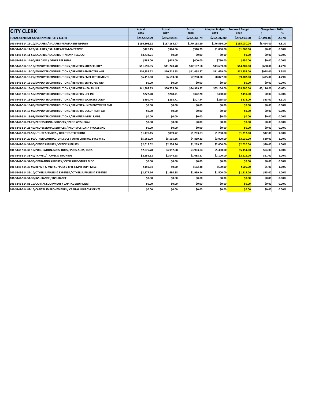| <b>CITY CLERK</b>                                                      | <b>Actual</b><br>2016 | <b>Actual</b><br>2017 | <b>Actual</b><br>2018 | <b>Adopted Budget</b><br>2019 | <b>Proposed Budget</b><br>2020 | Change from 2019<br>Ŝ. | %        |
|------------------------------------------------------------------------|-----------------------|-----------------------|-----------------------|-------------------------------|--------------------------------|------------------------|----------|
| TOTAL GENERAL GOVERNMENT-CITY CLERK                                    | \$252,482.99          | \$255,504.81          | \$272,966.79          | \$292,002.00                  | \$299,493.00                   | \$7,491.00             | 2.57%    |
| 101-5142-514.11-10/SALARIES / SALARIES-PERMANENT-REGULR                | \$156,308.92          | \$157,165.97          | \$170,158.10          | \$176,536.00                  | \$185,030.00                   | \$8,494.00             | 4.81%    |
| 101-5142-514.11-20/SALARIES / SALARIES-PERM-OVERTIME                   | \$426.15              | \$374.06              | \$910.29              | \$1,000.00                    | \$1,000.00                     | \$0.00                 | 0.00%    |
| 101-5142-514.11-50/SALARIES / SALARIES-PT/TEMP-REGULAR                 | \$8,732.71            | \$0.00                | \$0.00                | \$0.00                        | \$0.00                         | \$0.00                 | 0.00%    |
| 101-5142-514.14-90/PER DIEM / OTHER PER DIEM                           | \$785.00              | \$615.00              | \$400.00              | \$750.00                      | \$750.00                       | \$0.00                 | 0.00%    |
| 101-5142-514.15-10/EMPLOYER CONTRIBUTIONS / BENEFITS-SOC SECURITY      | \$11,999.95           | \$11,228.70           | \$12,187.68           | \$13,639.00                   | \$14,289.00                    | \$650.00               | 4.77%    |
| 101-5142-514.15-20/EMPLOYER CONTRIBUTIONS / BENEFITS-EMPLOYER WRF      | \$10,332.72           | \$10,718.53           | \$11,458.57           | \$11,629.00                   | \$12,557.00                    | \$928.00               | 7.98%    |
| 101-5142-514.15-25/EMPLOYER CONTRIBUTIONS / BENEFITS-EMPL RETIREMENTS  | \$6.110.00            | \$6.693.00            | \$7,298.00            | \$8.877.00                    | \$9,302.00                     | \$425.00               | 4.79%    |
| 101-5142-514.15-30/EMPLOYER CONTRIBUTIONS / BENEFITS-EMPLOYEE WRF      | \$0.00                | \$0.00                | \$0.00                | \$0.00                        | \$0.00                         | \$0.00                 | 0.00%    |
| 101-5142-514.15-40/EMPLOYER CONTRIBUTIONS / BENEFITS-HEALTH INS        | \$41,807.93           | \$50,778.60           | \$54,919.32           | \$63,156.00                   | \$59,980.00                    | $-$3,176.00$           | $-5.03%$ |
| 101-5142-514.15-50/EMPLOYER CONTRIBUTIONS / BENEFITS-LIFE INS          | \$227.28              | \$268.71              | \$322.28              | \$450.00                      | \$450.00                       | \$0.00                 | 0.00%    |
| 101-5142-514.15-60/EMPLOYER CONTRIBUTIONS / BENEFITS-WORKERS COMP      | \$330.44              | \$298.71              | \$307.54              | \$265.00                      | \$278.00                       | \$13.00                | 4.91%    |
| 101-5142-514.15-80/EMPLOYER CONTRIBUTIONS / BENEFITS-UNEMPLOYMENT CMP  | \$0.00                | \$0.00                | \$0.00                | \$0.00                        | \$0.00                         | \$0.00                 | 0.00%    |
| 101-5142-514.15-90/EMPLOYER CONTRIBUTIONS / BENEFITS-OCCUP HLTH EXP    | \$0.00                | \$0.00                | \$0.00                | \$0.00                        | \$0.00                         | \$0.00                 | 0.00%    |
| 101-5142-514.15-95/EMPLOYER CONTRIBUTIONS / BENEFITS -MISC. RMBS.      | \$0.00                | \$0.00                | \$0.00                | \$0.00                        | \$0.00                         | \$0.00                 | 0.00%    |
| 101-5142-514.21-20/PROFESSIONAL SERVICES / PROF SVCS-LEGAL             | \$0.00                | \$0.00                | \$0.00                | \$0.00                        | \$0.00                         | \$0.00                 | 0.00%    |
| 101-5142-514.21-40/PROFESSIONAL SERVICES / PROF SVCS-DATA PROCESSING   | \$0.00                | \$0.00                | \$0.00                | \$0.00                        | \$0.00                         | \$0.00                 | 0.00%    |
| 101-5142-514.22-50/UTILITY SERVICES / UTILITIES-TELEPHONE              | \$1,178.45            | \$899.72              | \$1,203.03            | \$1,200.00                    | \$1,212.00                     | \$12.00                | 1.00%    |
| 101-5142-514.29-90/OTHER CONTRACTUAL SVCS / OTHR CONTRAC SVCS-MISC     | \$5,566.20            | \$5,505.86            | \$4,819.33            | \$3,000.00                    | \$3,030.00                     | \$30.00                | 1.00%    |
| 101-5142-514.31-90/OFFICE SUPPLIES / OFFICE SUPPLIES                   | \$2,015.02            | \$2.234.86            | \$1,269.52            | \$2,000.00                    | \$2,020.00                     | \$20.00                | 1.00%    |
| 101-5142-514.32-10/PUBLICATION, SUBS, DUES / PUBS, SUBS, DUES          | \$2,075.78            | \$4,997.98            | \$3,903.04            | \$5,400.00                    | \$5,454.00                     | \$54.00                | 1.00%    |
| 101-5142-514.33-40/TRAVEL / TRAVEL & TRAINING                          | \$2,559.62            | \$2,044.23            | \$1,688.57            | \$2,100.00                    | \$2,121.00                     | \$21.00                | 1.00%    |
| 101-5142-514.34-90/OPERATING SUPPLIES / OPER SUPP-OTHER MISC           | \$0.00                | \$0.00                | \$0.00                | \$0.00                        | \$0.00                         | \$0.00                 | 0.00%    |
| 101-5142-514.35-90/REPAIR & MNT SUPPLIES / RPR & MNT SUPP-MISC         | $-$150.34$            | \$0.00                | \$162.38              | \$500.00                      | \$505.00                       | \$5.00                 | 1.00%    |
| 101-5142-514.39-10/OTHER SUPPLIES & EXPENSE / OTHER SUPPLIES & EXPENSE | \$2,177.16            | \$1,680.88            | \$1,959.14            | \$1,500.00                    | \$1,515.00                     | \$15.00                | 1.00%    |
| 101-5142-514.51-30/INSURANCE / INSURANCE                               | \$0.00                | \$0.00                | \$0.00                | \$0.00                        | \$0.00                         | \$0.00                 | 0.00%    |
| 101-5142-514.81-10/CAPITAL EQUIPMENT / CAPITAL EQUIPMENT               | \$0.00                | \$0.00                | \$0.00                | \$0.00                        | \$0.00                         | \$0.00                 | 0.00%    |
| 101-5142-514.82-10/CAPITAL IMPROVEMENTS / CAPITAL IMPROVEMENTS         | \$0.00                | \$0.00                | \$0.00                | \$0.00                        | \$0.00                         | \$0.00                 | 0.00%    |
|                                                                        |                       |                       |                       |                               |                                |                        |          |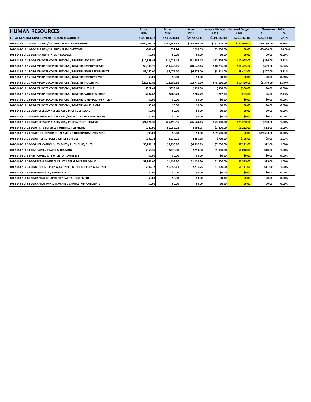| <b>HUMAN RESOURCES</b>                                                 | <b>Actual</b><br>2016 | <b>Actual</b><br>2017 | Actual<br>2018 | 2019         | Adopted Budget Proposed Budget<br>2020 | Change from 2019<br>\$ |             |
|------------------------------------------------------------------------|-----------------------|-----------------------|----------------|--------------|----------------------------------------|------------------------|-------------|
| TOTAL GENERAL GOVERNMENT-HUMAN RESOURCES                               | \$223,864.32          | \$238,538.14          | \$257,423.11   | \$319,382.00 | \$293,868.00                           | $-$25,514.00$          | $-7.99%$    |
| 101-5143-514.11-10/SALARIES / SALARIES-PERMANENT-REGULR                | \$144,059.27          | \$150,543.58          | \$158,664.06   | \$161,829.00 | \$171,959.00                           | \$10,130.00            | 6.26%       |
| 101-5143-514.11-20/SALARIES / SALARIES-PERM-OVERTIME                   | -\$44.49              | \$52.24               | \$299.05       | \$3,000.00   | \$0.00                                 | $-$3,000.00$           | $-100.00\%$ |
| 101-5143-514.11-50/SALARIES/PT/TEMP-REGULAR                            | \$0.00                | \$0.00                | \$0.00         | \$0.00       | \$0.00                                 | \$0.00                 | 0.00%       |
| 101-5143-514.15-10/EMPLOYER CONTRIBUTIONS / BENEFITS-SOC SECURITY      | \$10,523.48           | \$11,026.43           | \$11,458.15    | \$12,609.00  | \$12,925.00                            | \$316.00               | 2.51%       |
| 101-5143-514.15-20/EMPLOYER CONTRIBUTIONS / BENEFITS-EMPLOYER WRF      | \$9,500.78            | \$10,246.05           | \$10,647.66    | \$10,796.00  | \$11,405.00                            | \$609.00               | 5.64%       |
| 101-5143-514.15-25/EMPLOYER CONTRIBUTIONS / BENEFITS-EMPL RETIREMENTS  | \$5,440.00            | \$6,471.00            | \$6,778.00     | \$8,241.00   | \$8,448.00                             | \$207.00               | 2.51%       |
| 101-5143-514.15-30/EMPLOYER CONTRIBUTIONS / BENEFITS-EMPLOYEE WRF      | \$0.00                | \$0.00                | \$0.00         | \$0.00       | \$0.00                                 | \$0.00                 | 0.00%       |
| 101-5143-514.15-40/EMPLOYER CONTRIBUTIONS / BENEFITS-HEALTH INS        | \$22.883.88           | \$22,883.88           | \$33,779.00    | \$45,110.00  | \$50,450.00                            | \$5.340.00             | 11.84%      |
| 101-5143-514.15-50/EMPLOYER CONTRIBUTIONS / BENEFITS-LIFE INS          | \$322.43              | \$333.48              | \$338.38       | \$300.00     | \$300.00                               | \$0.00                 | 0.00%       |
| 101-5143-514.15-60/EMPLOYER CONTRIBUTIONS / BENEFITS-WORKERS COMP      | \$287.62              | \$285.73              | \$285.79       | \$247.00     | \$253.00                               | \$6.00                 | 2.43%       |
| 101-5143-514.15-80/EMPLOYER CONTRIBUTIONS / BENEFITS-UNEMPLOYMENT CMP  | \$0.00                | \$0.00                | \$0.00         | \$0.00       | \$0.00                                 | \$0.00                 | 0.00%       |
| 101-5143-514.15-95/EMPLOYER CONTRIBUTIONS / BENEFITS -MISC. RMBS.      | \$0.00                | \$0.00                | \$0.00         | \$0.00       | \$0.00                                 | \$0.00                 | 0.00%       |
| 101-5143-514.21-20/PROFESSIONAL SERVICES / PROF SVCS-LEGAL             | \$0.00                | \$0.00                | \$0.00         | \$0.00       | \$0.00                                 | \$0.00                 | 0.00%       |
| 101-5143-514.21-40/PROFESSIONAL SERVICES / PROF SVCS-DATA PROCESSING   | \$0.00                | \$0.00                | \$0.00         | \$0.00       | \$0.00                                 | \$0.00                 | 0.00%       |
| 101-5143-514.21-80/PROFESSIONAL SERVICES / PROF SVCS-OTHER MISC        | \$21,124.37           | \$25,493.55           | \$26,664.65    | \$25,000.00  | \$25,250.00                            | \$250.00               | 1.00%       |
| 101-5143-514.22-50/UTILITY SERVICES / UTILITIES-TELEPHONE              | \$947.90              | \$1,255.32            | \$992.95       | \$1,200.00   | \$1,212.00                             | \$12.00                | 1.00%       |
| 101-5143-514.29-90/OTHER CONTRACTUAL SVCS / OTHR CONTRAC SVCS-MISC     | -\$95.00              | \$0.00                | \$0.00         | \$39.500.00  | \$0.00                                 | $-539.500.00$          | 0.00%       |
| 101-5143-514.31-90/OFFICE SUPPLIES / OFFICE SUPPLIES                   | \$533.32              | \$533.71              | \$855.58       | \$750.00     | \$758.00                               | \$8.00                 | 1.07%       |
| 101-5143-514.32-10/PUBLICATION. SUBS. DUES / PUBS. SUBS. DUES          | \$6.281.18            | \$6.150.96            | \$4.596.99     | \$7,200.00   | \$7,272.00                             | \$72.00                | 1.00%       |
| 101-5143-514.33-40/TRAVEL / TRAVEL & TRAINING                          | \$356.35              | \$273.80              | \$214.30       | \$1,000.00   | \$1,010.00                             | \$10.00                | 1.00%       |
| 101-5143-514.33-45/TRAVEL / CITY WIDE TUITION REIMB                    | \$0.00                | \$0.00                | \$0.00         | \$0.00       | \$0.00                                 | \$0.00                 | 0.00%       |
| 101-5143-514.35-90/REPAIR & MNT SUPPLIES / RPR & MNT SUPP-MISC         | \$1,241.06            | \$1,431.80            | \$1,131.80     | \$1,500.00   | \$1,515.00                             | \$15.00                | 1.00%       |
| 101-5143-514.39-10/OTHER SUPPLIES & EXPENSE / OTHER SUPPLIES & EXPENSE | \$502.17              | \$1,556.61            | \$716.75       | \$1,100.00   | \$1,111.00                             | \$11.00                | 1.00%       |
| 101-5143-514.51-30/INSURANCE / INSURANCE                               | \$0.00                | \$0.00                | \$0.00         | \$0.00       | \$0.00                                 | \$0.00                 | 0.00%       |
| 101-5143-514.81-10/CAPITAL EQUIPMENT / CAPITAL EQUIPMENT               | \$0.00                | \$0.00                | \$0.00         | \$0.00       | \$0.00                                 | \$0.00                 | 0.00%       |
| 101-5143-514.82-10/CAPITAL IMPROVEMENTS / CAPITAL IMPROVEMENTS         | \$0.00                | \$0.00                | \$0.00         | \$0.00       | \$0.00                                 | \$0.00                 | 0.00%       |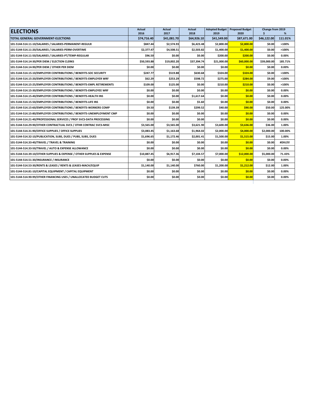| <b>ELECTIONS</b>                                                       | <b>Actual</b><br>2016 | Actual<br>2017 | <b>Actual</b><br>2018 | <b>Adopted Budget</b><br>2019 | <b>Proposed Budget</b><br>2020 | Change from 2019 | %        |
|------------------------------------------------------------------------|-----------------------|----------------|-----------------------|-------------------------------|--------------------------------|------------------|----------|
| <b>TOTAL GENERAL GOVERNMENT-ELECTIONS</b>                              | \$74,716.40           | \$41,081.70    | \$64,926.10           | \$41,549.00                   | \$87,671.00                    | \$46,122.00      | 111.01%  |
| 101-5144-514.11-10/SALARIES / SALARIES-PERMANENT-REGULR                | \$847.44              | \$2,574.93     | \$6,423.48            | \$2,800.00                    | \$2,800.00                     | \$0.00           | $>100\%$ |
| 101-5144-514.11-20/SALARIES / SALARIES-PERM-OVERTIME                   | \$2.377.47            | \$4,508.51     | \$2,503.82            | \$1,400.00                    | \$1,400.00                     | \$0.00           | >100%    |
| 101-5144-514.11-50/SALARIES / SALARIES-PT/TEMP-REGULAR                 | \$96.50               | \$0.00         | \$0.00                | \$200.00                      | \$200.00                       | \$0.00           | 0.00%    |
| 101-5144-514.14-30/PER DIEM / ELECTION CLERKS                          | \$50,593.88           | \$19,002.20    | \$37,394.74           | \$21,000.00                   | \$60,000.00                    | \$39,000.00      | 185.71%  |
| 101-5144-514.14-90/PER DIEM / OTHER PER DIEM                           | \$0.00                | \$0.00         | \$0.00                | \$0.00                        | \$0.00                         | \$0.00           | 0.00%    |
| 101-5144-514.15-10/EMPLOYER CONTRIBUTIONS / BENEFITS-SOC SECURITY      | \$247.77              | \$519.88       | \$630.68              | \$324.00                      | \$324.00                       | \$0.00           | >100%    |
| 101-5144-514.15-20/EMPLOYER CONTRIBUTIONS / BENEFITS-EMPLOYER WRF      | \$62.29               | \$253.29       | \$598.72              | \$275.00                      | \$284.00                       | \$9.00           | >100%    |
| 101-5144-514.15-25/EMPLOYER CONTRIBUTIONS / BENEFITS-EMPL RETIREMENTS  | \$109.00              | \$125.00       | \$0.00                | \$210.00                      | \$210.00                       | \$0.00           | $>100\%$ |
| 101-5144-514.15-30/EMPLOYER CONTRIBUTIONS / BENEFITS-EMPLOYEE WRF      | \$0.00                | \$0.00         | \$0.00                | \$0.00                        | \$0.00                         | \$0.00           | 0.00%    |
| 101-5144-514.15-40/EMPLOYER CONTRIBUTIONS / BENEFITS-HEALTH INS        | \$0.00                | \$0.00         | \$1,617.64            | \$0.00                        | \$0.00                         | \$0.00           | 0.00%    |
| 101-5144-514.15-50/EMPLOYER CONTRIBUTIONS / BENEFITS-LIFE INS          | \$0.00                | \$0.00         | \$5.60                | \$0.00                        | \$0.00                         | \$0.00           | 0.00%    |
| 101-5144-514.15-60/EMPLOYER CONTRIBUTIONS / BENEFITS-WORKERS COMP      | \$9.50                | \$139.39       | \$299.52              | \$40.00                       | \$90.00                        | \$50.00          | 125.00%  |
| 101-5144-514.15-80/EMPLOYER CONTRIBUTIONS / BENEFITS-UNEMPLOYMENT CMP  | \$0.00                | \$0.00         | \$0.00                | \$0.00                        | \$0.00                         | \$0.00           | 0.00%    |
| 101-5144-514.21-40/PROFESSIONAL SERVICES / PROF SVCS-DATA PROCESSING   | \$0.00                | \$0.00         | \$0.00                | \$0.00                        | \$0.00                         | \$0.00           | 0.00%    |
| 101-5144-514.29-90/OTHER CONTRACTUAL SVCS / OTHR CONTRAC SVCS-MISC     | \$3,565.00            | \$3,565.00     | \$3,621.90            | \$3,600.00                    | \$3,636.00                     | \$36.00          | 1.00%    |
| 101-5144-514.31-90/OFFICE SUPPLIES / OFFICE SUPPLIES                   | \$3,083.45            | \$1,163.68     | \$1,964.02            | \$2,000.00                    | \$4,000.00                     | \$2,000.00       | 100.00%  |
| 101-5144-514.32-10/PUBLICATION. SUBS. DUES / PUBS. SUBS. DUES          | \$1,696.65            | \$1,172.46     | \$2,001.41            | \$1,500.00                    | \$1,515.00                     | \$15.00          | 1.00%    |
| 101-5144-514.33-40/TRAVEL / TRAVEL & TRAINING                          | \$0.00                | \$0.00         | \$0.00                | \$0.00                        | \$0.00                         | \$0.00           | #DIV/0!  |
| 101-5144-514.33-50/TRAVEL / AUTO & EXPENSE ALLOWANCE                   | \$0.00                | \$0.00         | \$0.00                | \$0.00                        | \$0.00                         | \$0.00           | 0.00%    |
| 101-5144-514.39-10/OTHER SUPPLIES & EXPENSE / OTHER SUPPLIES & EXPENSE | \$10,887.45           | \$6,917.36     | \$7,104.57            | \$7,000.00                    | \$12,000.00                    | \$5,000.00       | 71.43%   |
| 101-5144-514.51-30/INSURANCE / INSURANCE                               | \$0.00                | \$0.00         | \$0.00                | \$0.00                        | \$0.00                         | \$0.00           | 0.00%    |
| 101-5144-514.53-30/RENTS & LEASES / RENTS & LEASES-MACH/EQUIP          | \$1,140.00            | \$1,140.00     | \$760.00              | \$1,200.00                    | \$1,212.00                     | \$12.00          | 1.00%    |
| 101-5144-514.81-10/CAPITAL EQUIPMENT / CAPITAL EQUIPMENT               | \$0.00                | \$0.00         | \$0.00                | \$0.00                        | \$0.00                         | \$0.00           | 0.00%    |
| 101-5144-514.90-99/OTHER FINANCING USES / UNALLOCATED BUDGET CUTS      | \$0.00                | \$0.00         | \$0.00                | \$0.00                        | \$0.00                         | \$0.00           | 0.00%    |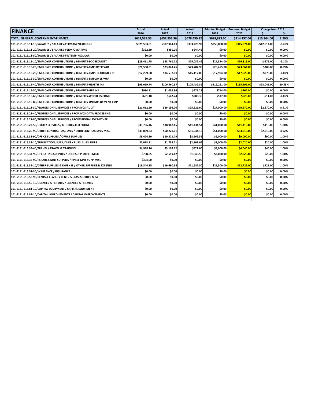| 2016<br>2017<br>2018<br>2019<br>2020<br>\$<br>%<br>\$698,893.00<br>\$714,257.00<br>\$15,364.00<br><b>TOTAL GENERAL GOVERNMENT-FINANCE</b><br>\$612,539.56<br>\$657,953.36<br>\$678,430.82<br>2.20%<br>\$345,574.00<br>101-5151-515.11-10/SALARIES / SALARIES-PERMANENT-REGULR<br>\$325,583.81<br>\$337,944.69<br>\$353,226.93<br>\$358,088.00<br>$-$12,514.00$<br>$-3.49%$<br>101-5151-515.11-20/SALARIES / SALARIES-PERM-OVERTIME<br>\$322.39<br>\$450.26<br>\$644.46<br>\$0.00<br>\$0.00<br>\$0.00<br>0.00%<br>\$0.00<br>\$0.00<br>101-5151-515.11-50/SALARIES / SALARIES-PT/TEMP-REGULAR<br>\$0.00<br>\$0.00<br>\$0.00<br>\$0.00<br>0.00%<br>101-5151-515.15-10/EMPLOYER CONTRIBUTIONS / BENEFITS-SOC SECURITY<br>\$23,461.75<br>\$23,761.22<br>\$25,032.46<br>\$27,394.00<br>\$26,819.00<br>-\$575.00<br>$-2.10%$<br>\$23,702.98<br>0.89%<br>101-5151-515.15-20/EMPLOYER CONTRIBUTIONS / BENEFITS-EMPLOYER WRF<br>\$21,500.51<br>\$23,043.26<br>\$23,455.00<br>\$23,664.00<br>\$209.00<br>\$12,299.00<br>\$15,112.00<br>\$17,904.00<br>\$17,529.00<br>$-5375.00$<br>$-2.09%$<br>101-5151-515.15-25/EMPLOYER CONTRIBUTIONS / BENEFITS-EMPL RETIREMENTS<br>\$14.537.00<br>\$0.00<br>\$0.00<br>0.00%<br>101-5151-515.15-30/EMPLOYER CONTRIBUTIONS / BENEFITS-EMPLOYEE WRF<br>\$0.00<br>\$0.00<br>\$0.00<br>\$0.00<br>101-5151-515.15-40/EMPLOYER CONTRIBUTIONS / BENEFITS-HEALTH INS<br>\$95,069.74<br>\$106,560.97<br>\$105,432.36<br>\$112,251.00<br>\$135,296.00<br>\$23,045.00<br>20.53%<br>0.00%<br>101-5151-515.15-50/EMPLOYER CONTRIBUTIONS / BENEFITS-LIFE INS<br>\$984.51<br>\$1,056.86<br>\$979.25<br>\$764.00<br>\$764.00<br>\$0.00<br>101-5151-515.15-60/EMPLOYER CONTRIBUTIONS / BENEFITS-WORKERS COMP<br>\$651.18<br>\$642.74<br>\$580.36<br>\$537.00<br>\$526.00<br>$-$11.00$<br>$-2.05%$<br>\$0.00<br>101-5151-515.15-80/EMPLOYER CONTRIBUTIONS / BENEFITS-UNEMPLOYMENT CMP<br>\$0.00<br>\$0.00<br>\$0.00<br>\$0.00<br>\$0.00<br>0.00%<br>\$29,270.00<br>101-5151-515.21-30/PROFESSIONAL SERVICES / PROF SVCS-AUDIT<br>\$21,612.50<br>\$26,196.20<br>\$25,226.60<br>\$27,000.00<br>\$2,270.00<br>8.41%<br>\$0.00<br>101-5151-515.21-40/PROFESSIONAL SERVICES / PROF SVCS-DATA PROCESSING<br>\$0.00<br>\$0.00<br>\$0.00<br>\$0.00<br>\$0.00<br>0.00%<br>\$0.00<br>\$0.00<br>\$0.00<br>\$0.00<br>\$0.00<br>\$0.00<br>0.00%<br>101-5151-515.21-80/PROFESSIONAL SERVICES / PROFESSIONAL SVCS-OTHER<br>\$41,410.00<br>101-5151-515.22-50/UTILITY SERVICES / UTILITIES-TELEPHONE<br>\$39,796.46<br>\$38,967.45<br>\$41,434.54<br>\$41,000.00<br>\$410.00<br>1.00%<br>101-5151-515.29-90/OTHER CONTRACTUAL SVCS / OTHR CONTRAC SVCS-MISC<br>\$33,859.64<br>\$50,220.01<br>\$51,944.10<br>\$51,000.00<br>\$53,510.00<br>\$2,510.00<br>4.92%<br>101-5151-515.31-90/OFFICE SUPPLIES / OFFICE SUPPLIES<br>\$9,474.80<br>\$8,662.52<br>\$9,000.00<br>\$9,090.00<br>\$90.00<br>1.00%<br>\$10,521.79<br>101-5151-515.32-10/PUBLICATION, SUBS, DUES / PUBS, SUBS, DUES<br>\$2,078.31<br>\$1,735.71<br>\$2,801.66<br>\$2,000.00<br>\$2,020.00<br>\$20.00<br>1.00%<br>\$4,938.76<br>\$4,040.00<br>101-5151-515.33-40/TRAVEL / TRAVEL & TRAINING<br>\$3,105.12<br>\$927.60<br>\$4,000.00<br>\$40.00<br>1.00%<br>101-5151-515.34-90/OPERATING SUPPLIES / OPER SUPP-OTHER MISC<br>\$758.05<br>\$2,519.42<br>\$1,040.50<br>\$2,000.00<br>\$2,020.00<br>\$20.00<br>1.00%<br>\$0.00<br>\$0.00<br>\$0.00<br>\$0.00<br>0.00%<br>101-5151-515.35-90/REPAIR & MNT SUPPLIES / RPR & MNT SUPP-MISC<br>\$304.00<br>\$0.00<br>\$21,682.50<br>\$22,725.00<br>101-5151-515.39-10/OTHER SUPPLIES & EXPENSE / OTHER SUPPLIES & EXPENSE<br>\$16,690.66<br>\$22,500.00<br>\$225.00<br>1.00%<br>\$19,844.15<br>101-5151-515.51-30/INSURANCE / INSURANCE<br>\$0.00<br>\$0.00<br>\$0.00<br>\$0.00<br>\$0.00<br>\$0.00<br>0.00%<br>\$0.00<br>\$0.00<br>\$0.00<br>\$0.00<br>101-5151-515.53-90/RENTS & LEASES / RENTS & LEASES-OTHER MISC<br>\$0.00<br>\$0.00<br>0.00%<br>\$0.00<br>101-5151-515.59-10/LICENSES & PERMITS / LICENSES & PERMITS<br>\$0.00<br>\$0.00<br>\$0.00<br>\$0.00<br>\$0.00<br>0.00%<br>101-5151-515.81-10/CAPITAL EQUIPMENT / CAPITAL EQUIPMENT<br>\$0.00<br>\$0.00<br>\$0.00<br>\$0.00<br>\$0.00<br>\$0.00<br>0.00%<br>\$0.00<br>\$0.00<br>\$0.00<br>\$0.00<br>\$0.00<br>\$0.00<br>0.00% | <b>FINANCE</b>                                                 | <b>Actual</b> | Actual | Actual | Adopted Budget Proposed Budget | Change from 2019 |  |
|----------------------------------------------------------------------------------------------------------------------------------------------------------------------------------------------------------------------------------------------------------------------------------------------------------------------------------------------------------------------------------------------------------------------------------------------------------------------------------------------------------------------------------------------------------------------------------------------------------------------------------------------------------------------------------------------------------------------------------------------------------------------------------------------------------------------------------------------------------------------------------------------------------------------------------------------------------------------------------------------------------------------------------------------------------------------------------------------------------------------------------------------------------------------------------------------------------------------------------------------------------------------------------------------------------------------------------------------------------------------------------------------------------------------------------------------------------------------------------------------------------------------------------------------------------------------------------------------------------------------------------------------------------------------------------------------------------------------------------------------------------------------------------------------------------------------------------------------------------------------------------------------------------------------------------------------------------------------------------------------------------------------------------------------------------------------------------------------------------------------------------------------------------------------------------------------------------------------------------------------------------------------------------------------------------------------------------------------------------------------------------------------------------------------------------------------------------------------------------------------------------------------------------------------------------------------------------------------------------------------------------------------------------------------------------------------------------------------------------------------------------------------------------------------------------------------------------------------------------------------------------------------------------------------------------------------------------------------------------------------------------------------------------------------------------------------------------------------------------------------------------------------------------------------------------------------------------------------------------------------------------------------------------------------------------------------------------------------------------------------------------------------------------------------------------------------------------------------------------------------------------------------------------------------------------------------------------------------------------------------------------------------------------------------------------------------------------------------------------------------------------------------------------------------------------------------------------------------------------------------------------------------------------------------------------------------------------------------------------------------------------------------------------------------------------------------------------------------------------------------------------------------------------------------------------------------------------------------------------------------------------------------------------------|----------------------------------------------------------------|---------------|--------|--------|--------------------------------|------------------|--|
|                                                                                                                                                                                                                                                                                                                                                                                                                                                                                                                                                                                                                                                                                                                                                                                                                                                                                                                                                                                                                                                                                                                                                                                                                                                                                                                                                                                                                                                                                                                                                                                                                                                                                                                                                                                                                                                                                                                                                                                                                                                                                                                                                                                                                                                                                                                                                                                                                                                                                                                                                                                                                                                                                                                                                                                                                                                                                                                                                                                                                                                                                                                                                                                                                                                                                                                                                                                                                                                                                                                                                                                                                                                                                                                                                                                                                                                                                                                                                                                                                                                                                                                                                                                                                                                                                        |                                                                |               |        |        |                                |                  |  |
|                                                                                                                                                                                                                                                                                                                                                                                                                                                                                                                                                                                                                                                                                                                                                                                                                                                                                                                                                                                                                                                                                                                                                                                                                                                                                                                                                                                                                                                                                                                                                                                                                                                                                                                                                                                                                                                                                                                                                                                                                                                                                                                                                                                                                                                                                                                                                                                                                                                                                                                                                                                                                                                                                                                                                                                                                                                                                                                                                                                                                                                                                                                                                                                                                                                                                                                                                                                                                                                                                                                                                                                                                                                                                                                                                                                                                                                                                                                                                                                                                                                                                                                                                                                                                                                                                        |                                                                |               |        |        |                                |                  |  |
|                                                                                                                                                                                                                                                                                                                                                                                                                                                                                                                                                                                                                                                                                                                                                                                                                                                                                                                                                                                                                                                                                                                                                                                                                                                                                                                                                                                                                                                                                                                                                                                                                                                                                                                                                                                                                                                                                                                                                                                                                                                                                                                                                                                                                                                                                                                                                                                                                                                                                                                                                                                                                                                                                                                                                                                                                                                                                                                                                                                                                                                                                                                                                                                                                                                                                                                                                                                                                                                                                                                                                                                                                                                                                                                                                                                                                                                                                                                                                                                                                                                                                                                                                                                                                                                                                        |                                                                |               |        |        |                                |                  |  |
|                                                                                                                                                                                                                                                                                                                                                                                                                                                                                                                                                                                                                                                                                                                                                                                                                                                                                                                                                                                                                                                                                                                                                                                                                                                                                                                                                                                                                                                                                                                                                                                                                                                                                                                                                                                                                                                                                                                                                                                                                                                                                                                                                                                                                                                                                                                                                                                                                                                                                                                                                                                                                                                                                                                                                                                                                                                                                                                                                                                                                                                                                                                                                                                                                                                                                                                                                                                                                                                                                                                                                                                                                                                                                                                                                                                                                                                                                                                                                                                                                                                                                                                                                                                                                                                                                        |                                                                |               |        |        |                                |                  |  |
|                                                                                                                                                                                                                                                                                                                                                                                                                                                                                                                                                                                                                                                                                                                                                                                                                                                                                                                                                                                                                                                                                                                                                                                                                                                                                                                                                                                                                                                                                                                                                                                                                                                                                                                                                                                                                                                                                                                                                                                                                                                                                                                                                                                                                                                                                                                                                                                                                                                                                                                                                                                                                                                                                                                                                                                                                                                                                                                                                                                                                                                                                                                                                                                                                                                                                                                                                                                                                                                                                                                                                                                                                                                                                                                                                                                                                                                                                                                                                                                                                                                                                                                                                                                                                                                                                        |                                                                |               |        |        |                                |                  |  |
|                                                                                                                                                                                                                                                                                                                                                                                                                                                                                                                                                                                                                                                                                                                                                                                                                                                                                                                                                                                                                                                                                                                                                                                                                                                                                                                                                                                                                                                                                                                                                                                                                                                                                                                                                                                                                                                                                                                                                                                                                                                                                                                                                                                                                                                                                                                                                                                                                                                                                                                                                                                                                                                                                                                                                                                                                                                                                                                                                                                                                                                                                                                                                                                                                                                                                                                                                                                                                                                                                                                                                                                                                                                                                                                                                                                                                                                                                                                                                                                                                                                                                                                                                                                                                                                                                        |                                                                |               |        |        |                                |                  |  |
|                                                                                                                                                                                                                                                                                                                                                                                                                                                                                                                                                                                                                                                                                                                                                                                                                                                                                                                                                                                                                                                                                                                                                                                                                                                                                                                                                                                                                                                                                                                                                                                                                                                                                                                                                                                                                                                                                                                                                                                                                                                                                                                                                                                                                                                                                                                                                                                                                                                                                                                                                                                                                                                                                                                                                                                                                                                                                                                                                                                                                                                                                                                                                                                                                                                                                                                                                                                                                                                                                                                                                                                                                                                                                                                                                                                                                                                                                                                                                                                                                                                                                                                                                                                                                                                                                        |                                                                |               |        |        |                                |                  |  |
|                                                                                                                                                                                                                                                                                                                                                                                                                                                                                                                                                                                                                                                                                                                                                                                                                                                                                                                                                                                                                                                                                                                                                                                                                                                                                                                                                                                                                                                                                                                                                                                                                                                                                                                                                                                                                                                                                                                                                                                                                                                                                                                                                                                                                                                                                                                                                                                                                                                                                                                                                                                                                                                                                                                                                                                                                                                                                                                                                                                                                                                                                                                                                                                                                                                                                                                                                                                                                                                                                                                                                                                                                                                                                                                                                                                                                                                                                                                                                                                                                                                                                                                                                                                                                                                                                        |                                                                |               |        |        |                                |                  |  |
|                                                                                                                                                                                                                                                                                                                                                                                                                                                                                                                                                                                                                                                                                                                                                                                                                                                                                                                                                                                                                                                                                                                                                                                                                                                                                                                                                                                                                                                                                                                                                                                                                                                                                                                                                                                                                                                                                                                                                                                                                                                                                                                                                                                                                                                                                                                                                                                                                                                                                                                                                                                                                                                                                                                                                                                                                                                                                                                                                                                                                                                                                                                                                                                                                                                                                                                                                                                                                                                                                                                                                                                                                                                                                                                                                                                                                                                                                                                                                                                                                                                                                                                                                                                                                                                                                        |                                                                |               |        |        |                                |                  |  |
|                                                                                                                                                                                                                                                                                                                                                                                                                                                                                                                                                                                                                                                                                                                                                                                                                                                                                                                                                                                                                                                                                                                                                                                                                                                                                                                                                                                                                                                                                                                                                                                                                                                                                                                                                                                                                                                                                                                                                                                                                                                                                                                                                                                                                                                                                                                                                                                                                                                                                                                                                                                                                                                                                                                                                                                                                                                                                                                                                                                                                                                                                                                                                                                                                                                                                                                                                                                                                                                                                                                                                                                                                                                                                                                                                                                                                                                                                                                                                                                                                                                                                                                                                                                                                                                                                        |                                                                |               |        |        |                                |                  |  |
|                                                                                                                                                                                                                                                                                                                                                                                                                                                                                                                                                                                                                                                                                                                                                                                                                                                                                                                                                                                                                                                                                                                                                                                                                                                                                                                                                                                                                                                                                                                                                                                                                                                                                                                                                                                                                                                                                                                                                                                                                                                                                                                                                                                                                                                                                                                                                                                                                                                                                                                                                                                                                                                                                                                                                                                                                                                                                                                                                                                                                                                                                                                                                                                                                                                                                                                                                                                                                                                                                                                                                                                                                                                                                                                                                                                                                                                                                                                                                                                                                                                                                                                                                                                                                                                                                        |                                                                |               |        |        |                                |                  |  |
|                                                                                                                                                                                                                                                                                                                                                                                                                                                                                                                                                                                                                                                                                                                                                                                                                                                                                                                                                                                                                                                                                                                                                                                                                                                                                                                                                                                                                                                                                                                                                                                                                                                                                                                                                                                                                                                                                                                                                                                                                                                                                                                                                                                                                                                                                                                                                                                                                                                                                                                                                                                                                                                                                                                                                                                                                                                                                                                                                                                                                                                                                                                                                                                                                                                                                                                                                                                                                                                                                                                                                                                                                                                                                                                                                                                                                                                                                                                                                                                                                                                                                                                                                                                                                                                                                        |                                                                |               |        |        |                                |                  |  |
|                                                                                                                                                                                                                                                                                                                                                                                                                                                                                                                                                                                                                                                                                                                                                                                                                                                                                                                                                                                                                                                                                                                                                                                                                                                                                                                                                                                                                                                                                                                                                                                                                                                                                                                                                                                                                                                                                                                                                                                                                                                                                                                                                                                                                                                                                                                                                                                                                                                                                                                                                                                                                                                                                                                                                                                                                                                                                                                                                                                                                                                                                                                                                                                                                                                                                                                                                                                                                                                                                                                                                                                                                                                                                                                                                                                                                                                                                                                                                                                                                                                                                                                                                                                                                                                                                        |                                                                |               |        |        |                                |                  |  |
|                                                                                                                                                                                                                                                                                                                                                                                                                                                                                                                                                                                                                                                                                                                                                                                                                                                                                                                                                                                                                                                                                                                                                                                                                                                                                                                                                                                                                                                                                                                                                                                                                                                                                                                                                                                                                                                                                                                                                                                                                                                                                                                                                                                                                                                                                                                                                                                                                                                                                                                                                                                                                                                                                                                                                                                                                                                                                                                                                                                                                                                                                                                                                                                                                                                                                                                                                                                                                                                                                                                                                                                                                                                                                                                                                                                                                                                                                                                                                                                                                                                                                                                                                                                                                                                                                        |                                                                |               |        |        |                                |                  |  |
|                                                                                                                                                                                                                                                                                                                                                                                                                                                                                                                                                                                                                                                                                                                                                                                                                                                                                                                                                                                                                                                                                                                                                                                                                                                                                                                                                                                                                                                                                                                                                                                                                                                                                                                                                                                                                                                                                                                                                                                                                                                                                                                                                                                                                                                                                                                                                                                                                                                                                                                                                                                                                                                                                                                                                                                                                                                                                                                                                                                                                                                                                                                                                                                                                                                                                                                                                                                                                                                                                                                                                                                                                                                                                                                                                                                                                                                                                                                                                                                                                                                                                                                                                                                                                                                                                        |                                                                |               |        |        |                                |                  |  |
|                                                                                                                                                                                                                                                                                                                                                                                                                                                                                                                                                                                                                                                                                                                                                                                                                                                                                                                                                                                                                                                                                                                                                                                                                                                                                                                                                                                                                                                                                                                                                                                                                                                                                                                                                                                                                                                                                                                                                                                                                                                                                                                                                                                                                                                                                                                                                                                                                                                                                                                                                                                                                                                                                                                                                                                                                                                                                                                                                                                                                                                                                                                                                                                                                                                                                                                                                                                                                                                                                                                                                                                                                                                                                                                                                                                                                                                                                                                                                                                                                                                                                                                                                                                                                                                                                        |                                                                |               |        |        |                                |                  |  |
|                                                                                                                                                                                                                                                                                                                                                                                                                                                                                                                                                                                                                                                                                                                                                                                                                                                                                                                                                                                                                                                                                                                                                                                                                                                                                                                                                                                                                                                                                                                                                                                                                                                                                                                                                                                                                                                                                                                                                                                                                                                                                                                                                                                                                                                                                                                                                                                                                                                                                                                                                                                                                                                                                                                                                                                                                                                                                                                                                                                                                                                                                                                                                                                                                                                                                                                                                                                                                                                                                                                                                                                                                                                                                                                                                                                                                                                                                                                                                                                                                                                                                                                                                                                                                                                                                        |                                                                |               |        |        |                                |                  |  |
|                                                                                                                                                                                                                                                                                                                                                                                                                                                                                                                                                                                                                                                                                                                                                                                                                                                                                                                                                                                                                                                                                                                                                                                                                                                                                                                                                                                                                                                                                                                                                                                                                                                                                                                                                                                                                                                                                                                                                                                                                                                                                                                                                                                                                                                                                                                                                                                                                                                                                                                                                                                                                                                                                                                                                                                                                                                                                                                                                                                                                                                                                                                                                                                                                                                                                                                                                                                                                                                                                                                                                                                                                                                                                                                                                                                                                                                                                                                                                                                                                                                                                                                                                                                                                                                                                        |                                                                |               |        |        |                                |                  |  |
|                                                                                                                                                                                                                                                                                                                                                                                                                                                                                                                                                                                                                                                                                                                                                                                                                                                                                                                                                                                                                                                                                                                                                                                                                                                                                                                                                                                                                                                                                                                                                                                                                                                                                                                                                                                                                                                                                                                                                                                                                                                                                                                                                                                                                                                                                                                                                                                                                                                                                                                                                                                                                                                                                                                                                                                                                                                                                                                                                                                                                                                                                                                                                                                                                                                                                                                                                                                                                                                                                                                                                                                                                                                                                                                                                                                                                                                                                                                                                                                                                                                                                                                                                                                                                                                                                        |                                                                |               |        |        |                                |                  |  |
|                                                                                                                                                                                                                                                                                                                                                                                                                                                                                                                                                                                                                                                                                                                                                                                                                                                                                                                                                                                                                                                                                                                                                                                                                                                                                                                                                                                                                                                                                                                                                                                                                                                                                                                                                                                                                                                                                                                                                                                                                                                                                                                                                                                                                                                                                                                                                                                                                                                                                                                                                                                                                                                                                                                                                                                                                                                                                                                                                                                                                                                                                                                                                                                                                                                                                                                                                                                                                                                                                                                                                                                                                                                                                                                                                                                                                                                                                                                                                                                                                                                                                                                                                                                                                                                                                        |                                                                |               |        |        |                                |                  |  |
|                                                                                                                                                                                                                                                                                                                                                                                                                                                                                                                                                                                                                                                                                                                                                                                                                                                                                                                                                                                                                                                                                                                                                                                                                                                                                                                                                                                                                                                                                                                                                                                                                                                                                                                                                                                                                                                                                                                                                                                                                                                                                                                                                                                                                                                                                                                                                                                                                                                                                                                                                                                                                                                                                                                                                                                                                                                                                                                                                                                                                                                                                                                                                                                                                                                                                                                                                                                                                                                                                                                                                                                                                                                                                                                                                                                                                                                                                                                                                                                                                                                                                                                                                                                                                                                                                        |                                                                |               |        |        |                                |                  |  |
|                                                                                                                                                                                                                                                                                                                                                                                                                                                                                                                                                                                                                                                                                                                                                                                                                                                                                                                                                                                                                                                                                                                                                                                                                                                                                                                                                                                                                                                                                                                                                                                                                                                                                                                                                                                                                                                                                                                                                                                                                                                                                                                                                                                                                                                                                                                                                                                                                                                                                                                                                                                                                                                                                                                                                                                                                                                                                                                                                                                                                                                                                                                                                                                                                                                                                                                                                                                                                                                                                                                                                                                                                                                                                                                                                                                                                                                                                                                                                                                                                                                                                                                                                                                                                                                                                        |                                                                |               |        |        |                                |                  |  |
|                                                                                                                                                                                                                                                                                                                                                                                                                                                                                                                                                                                                                                                                                                                                                                                                                                                                                                                                                                                                                                                                                                                                                                                                                                                                                                                                                                                                                                                                                                                                                                                                                                                                                                                                                                                                                                                                                                                                                                                                                                                                                                                                                                                                                                                                                                                                                                                                                                                                                                                                                                                                                                                                                                                                                                                                                                                                                                                                                                                                                                                                                                                                                                                                                                                                                                                                                                                                                                                                                                                                                                                                                                                                                                                                                                                                                                                                                                                                                                                                                                                                                                                                                                                                                                                                                        |                                                                |               |        |        |                                |                  |  |
|                                                                                                                                                                                                                                                                                                                                                                                                                                                                                                                                                                                                                                                                                                                                                                                                                                                                                                                                                                                                                                                                                                                                                                                                                                                                                                                                                                                                                                                                                                                                                                                                                                                                                                                                                                                                                                                                                                                                                                                                                                                                                                                                                                                                                                                                                                                                                                                                                                                                                                                                                                                                                                                                                                                                                                                                                                                                                                                                                                                                                                                                                                                                                                                                                                                                                                                                                                                                                                                                                                                                                                                                                                                                                                                                                                                                                                                                                                                                                                                                                                                                                                                                                                                                                                                                                        |                                                                |               |        |        |                                |                  |  |
|                                                                                                                                                                                                                                                                                                                                                                                                                                                                                                                                                                                                                                                                                                                                                                                                                                                                                                                                                                                                                                                                                                                                                                                                                                                                                                                                                                                                                                                                                                                                                                                                                                                                                                                                                                                                                                                                                                                                                                                                                                                                                                                                                                                                                                                                                                                                                                                                                                                                                                                                                                                                                                                                                                                                                                                                                                                                                                                                                                                                                                                                                                                                                                                                                                                                                                                                                                                                                                                                                                                                                                                                                                                                                                                                                                                                                                                                                                                                                                                                                                                                                                                                                                                                                                                                                        |                                                                |               |        |        |                                |                  |  |
|                                                                                                                                                                                                                                                                                                                                                                                                                                                                                                                                                                                                                                                                                                                                                                                                                                                                                                                                                                                                                                                                                                                                                                                                                                                                                                                                                                                                                                                                                                                                                                                                                                                                                                                                                                                                                                                                                                                                                                                                                                                                                                                                                                                                                                                                                                                                                                                                                                                                                                                                                                                                                                                                                                                                                                                                                                                                                                                                                                                                                                                                                                                                                                                                                                                                                                                                                                                                                                                                                                                                                                                                                                                                                                                                                                                                                                                                                                                                                                                                                                                                                                                                                                                                                                                                                        |                                                                |               |        |        |                                |                  |  |
|                                                                                                                                                                                                                                                                                                                                                                                                                                                                                                                                                                                                                                                                                                                                                                                                                                                                                                                                                                                                                                                                                                                                                                                                                                                                                                                                                                                                                                                                                                                                                                                                                                                                                                                                                                                                                                                                                                                                                                                                                                                                                                                                                                                                                                                                                                                                                                                                                                                                                                                                                                                                                                                                                                                                                                                                                                                                                                                                                                                                                                                                                                                                                                                                                                                                                                                                                                                                                                                                                                                                                                                                                                                                                                                                                                                                                                                                                                                                                                                                                                                                                                                                                                                                                                                                                        |                                                                |               |        |        |                                |                  |  |
|                                                                                                                                                                                                                                                                                                                                                                                                                                                                                                                                                                                                                                                                                                                                                                                                                                                                                                                                                                                                                                                                                                                                                                                                                                                                                                                                                                                                                                                                                                                                                                                                                                                                                                                                                                                                                                                                                                                                                                                                                                                                                                                                                                                                                                                                                                                                                                                                                                                                                                                                                                                                                                                                                                                                                                                                                                                                                                                                                                                                                                                                                                                                                                                                                                                                                                                                                                                                                                                                                                                                                                                                                                                                                                                                                                                                                                                                                                                                                                                                                                                                                                                                                                                                                                                                                        | 101-5151-515.82-10/CAPITAL IMPROVEMENTS / CAPITAL IMPROVEMENTS |               |        |        |                                |                  |  |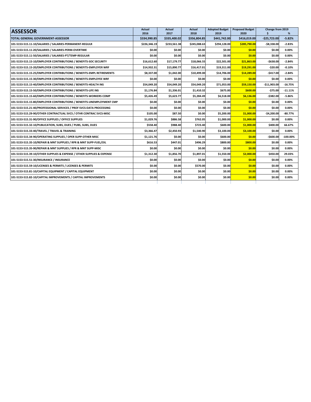| <b>ASSESSOR</b>                                                        | Actual<br>2016 | <b>Actual</b><br>2017 | Actual<br>2018 | <b>Adopted Budget</b><br>2019 | <b>Proposed Budget</b><br>2020 | Change from 2019 | %           |
|------------------------------------------------------------------------|----------------|-----------------------|----------------|-------------------------------|--------------------------------|------------------|-------------|
| <b>TOTAL GENERAL GOVERNMENT-ASSESSOR</b>                               | \$334,990.85   | \$335,400.02          | \$356,804.85   | \$441,742.00                  | \$416,019.00                   | $-$25,723.00$    | $-5.82%$    |
| 101-5153-515.11-10/SALARIES / SALARIES-PERMANENT-REGULR                | \$226,346.19   | \$233,561.38          | \$245,088.63   | \$294,128.00                  | \$285,790.00                   | $-$8,338.00$     | $-2.83%$    |
| 101-5153-515.11-20/SALARIES / SALARIES-PERM-OVERTIME                   | \$0.00         | \$0.00                | \$0.00         | \$0.00                        | \$0.00                         | \$0.00           | 0.00%       |
| 101-5153-515.11-50/SALARIES / SALARIES-PT/TEMP-REGULAR                 | \$0.00         | \$0.00                | \$0.00         | \$0.00                        | \$0.00                         | \$0.00           | 0.00%       |
| 101-5153-515.15-10/EMPLOYER CONTRIBUTIONS / BENEFITS-SOC SECURITY      | \$16,612.60    | \$17,179.77           | \$18,066.55    | \$22,501.00                   | \$21,863.00                    | $-$ \$638.00     | $-2.84%$    |
| 101-5153-515.15-20/EMPLOYER CONTRIBUTIONS / BENEFITS-EMPLOYER WRF      | \$14,932.31    | \$15,890.77           | \$16,417.01    | \$19,311.00                   | \$19,291.00                    | $-520.00$        | $-0.10%$    |
| 101-5153-515.15-25/EMPLOYER CONTRIBUTIONS / BENEFITS-EMPL RETIREMENTS  | \$8,337.00     | \$1,042.00            | \$10,499.00    | \$14,706.00                   | \$14,289.00                    | -\$417.00        | $-2.84%$    |
| 101-5153-515.15-30/EMPLOYER CONTRIBUTIONS / BENEFITS-EMPLOYEE WRF      | \$0.00         | \$0.00                | \$0.00         | \$0.00                        | \$0.00                         | \$0.00           | 0.00%       |
| 101-5153-515.15-40/EMPLOYER CONTRIBUTIONS / BENEFITS-HEALTH INS        | \$54,049.20    | \$54,049.20           | \$54,049.20    | \$71,053.00                   | \$59,150.00                    | $-$11,903.00$    | $-16.75%$   |
| 101-5153-515.15-50/EMPLOYER CONTRIBUTIONS / BENEFITS-LIFE INS          | \$1,176.84     | \$1,336.01            | \$1,410.32     | \$675.00                      | \$600.00                       | $-$75.00$        | $-11.11%$   |
| 101-5153-515.15-60/EMPLOYER CONTRIBUTIONS / BENEFITS-WORKERS COMP      | \$5,426.49     | \$5,623.77            | \$5,284.49     | \$6,518.00                    | \$6,136.00                     | $-5382.00$       | $-5.86%$    |
| 101-5153-515.15-80/EMPLOYER CONTRIBUTIONS / BENEFITS-UNEMPLOYMENT CMP  | \$0.00         | \$0.00                | \$0.00         | \$0.00                        | \$0.00                         | \$0.00           | 0.00%       |
| 101-5153-515.21-40/PROFESSIONAL SERVICES / PROF SVCS-DATA PROCESSING   | \$0.00         | \$0.00                | \$0.00         | \$0.00                        | \$0.00                         | \$0.00           | 0.00%       |
| 101-5153-515.29-90/OTHER CONTRACTUAL SVCS / OTHR CONTRAC SVCS-MISC     | \$105.00       | \$87.50               | \$0.00         | \$5,200.00                    | \$1,000.00                     | $-$4,200.00$     | $-80.77\%$  |
| 101-5153-515.31-90/OFFICE SUPPLIES / OFFICE SUPPLIES                   | \$1,029.76     | \$886.58              | \$762.05       | \$1,000.00                    | \$1,000.00                     | \$0.00           | 0.00%       |
| 101-5153-515.32-10/PUBLICATION, SUBS, DUES / PUBS, SUBS, DUES          | \$558.40       | \$988.40              | \$723.40       | \$600.00                      | \$1,000.00                     | \$400.00         | 66.67%      |
| 101-5153-515.33-40/TRAVEL / TRAVEL & TRAINING                          | \$3,366.47     | \$2,450.93            | \$1,540.90     | \$3,100.00                    | \$3,100.00                     | \$0.00           | 0.00%       |
| 101-5153-515.34-90/OPERATING SUPPLIES / OPER SUPP-OTHER MISC           | \$1,121.76     | \$0.00                | \$0.00         | \$600.00                      | \$0.00                         | $-$600.00$       | $-100.00\%$ |
| 101-5153-515.35-10/REPAIR & MNT SUPPLIES / RPR & MNT SUPP-FUEL/OIL     | \$616.53       | \$447.01              | \$496.29       | \$800.00                      | \$800.00                       | \$0.00           | 0.00%       |
| 101-5153-515.35-90/REPAIR & MNT SUPPLIES / RPR & MNT SUPP-MISC         | \$0.00         | \$0.00                | \$0.00         | \$0.00                        | \$0.00                         | \$0.00           | 0.00%       |
| 101-5153-515.39-10/OTHER SUPPLIES & EXPENSE / OTHER SUPPLIES & EXPENSE | \$1,312.30     | \$1,856.70            | \$1,897.01     | \$1,550.00                    | \$2,000.00                     | \$450.00         | 29.03%      |
| 101-5153-515.51-30/INSURANCE / INSURANCE                               | \$0.00         | \$0.00                | \$0.00         | \$0.00                        | \$0.00                         | \$0.00           | $0.00\%$    |
| 101-5153-515.59-10/LICENSES & PERMITS / LICENSES & PERMITS             | \$0.00         | \$0.00                | \$570.00       | \$0.00                        | \$0.00                         | \$0.00           | 0.00%       |
| 101-5153-515.81-10/CAPITAL EQUIPMENT / CAPITAL EQUIPMENT               | \$0.00         | \$0.00                | \$0.00         | \$0.00                        | \$0.00                         | \$0.00           | 0.00%       |
| 101-5153-515.82-10/CAPITAL IMPROVEMENTS / CAPITAL IMPROVEMENTS         | \$0.00         | \$0.00                | \$0.00         | \$0.00                        | \$0.00                         | \$0.00           | 0.00%       |
|                                                                        |                |                       |                |                               |                                |                  |             |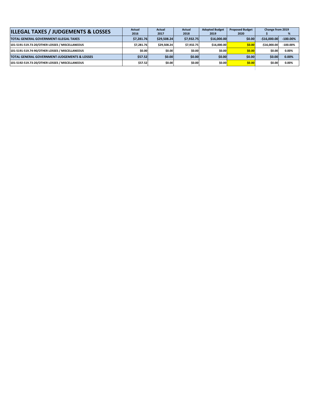| <b>ILLEGAL TAXES / JUDGEMENTS &amp; LOSSES</b>          | Actual     | Actual      | Actual     | <b>Adopted Budget</b> | <b>Proposed Budget</b> | Change from 2019 |             |
|---------------------------------------------------------|------------|-------------|------------|-----------------------|------------------------|------------------|-------------|
|                                                         | 2016       | 2017        | 2018       | 2019                  | 2020                   |                  | %           |
| <b>TOTAL GENERAL GOVERNMENT-ILLEGAL TAXES</b>           | \$7.281.76 | \$29.508.24 | \$7,932.75 | \$16,000,00           | \$0.00l                | $-516.000.00$    | $-100.00\%$ |
| 101-5191-519.73-20/OTHER LOSSES / MISCELLANEOUS         | \$7.281.76 | \$29.508.24 | \$7.932.75 | \$16,000.00           | \$0.00                 | $-516.000.00$    | $-100.00\%$ |
| 101-5191-519.74-90/OTHER LOSSES / MISCELLANEOUS         | \$0.00     | \$0.00      | \$0.00     | \$0.00                | \$0.00                 | \$0.00           | 0.00%       |
| <b>TOTAL GENERAL GOVERNMENT-JUDGEMENTS &amp; LOSSES</b> | \$57.52    | \$0.00      | \$0.00     | \$0.00                | \$0.00                 | \$0.00           | 0.00%       |
| 101-5192-519.73-20/OTHER LOSSES / MISCELLANEOUS         | \$57.52    | \$0.00      | \$0.00     | \$0.00                | \$0.00                 | \$0.00           | 0.00%       |
|                                                         |            |             |            |                       |                        |                  |             |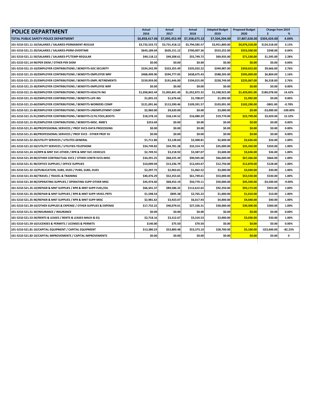| <b>POLICE DEPARTMENT</b>                                               | Actual<br>2016 | Actual<br>2017 | Actual<br>2018 | <b>Adopted Budget</b><br>2019 | <b>Proposed Budget</b><br>2020 | <b>Change from 2019</b><br>\$ | %           |
|------------------------------------------------------------------------|----------------|----------------|----------------|-------------------------------|--------------------------------|-------------------------------|-------------|
| TOTAL PUBLIC SAFETY-POLICE DEPARTMENT                                  | \$6,858,417.06 | \$7,095,452.49 | \$7,358,675.32 | \$7,504,204.00                | \$7,807,628.00                 | \$303,424.00                  | 4.04%       |
| 101-5210-521.11-10/SALARIES / SALARIES-PERMANENT-REGULR                | \$3.732.533.72 | \$3,731,418.12 | \$3,794,585.57 | \$3.951.800.00                | \$4,076,318.00                 | \$124,518.00                  | 3.15%       |
| 101-5210-521.11-20/SALARIES / SALARIES-PERM-OVERTIME                   | \$643.189.04   | \$620,151.12   | \$700,007.36   | \$553,252.00                  | \$553,500.00                   | \$248.00                      | 0.04%       |
| 101-5210-521.11-50/SALARIES / SALARIES-PT/TEMP-REGULAR                 | \$49,118.12    | \$49,208.61    | \$55,749.72    | \$69,935.00                   | \$71,530.00                    | \$1,595.00                    | 2.28%       |
| 101-5210-521.14-90/PER DIEM / OTHER PER DIEM                           | \$0.00         | \$0.00         | \$0.00         | \$0.00                        | \$0.00                         | \$0.00                        | 0.00%       |
| 101-5210-521.15-10/EMPLOYER CONTRIBUTIONS / BENEFITS-SOC SECURITY      | \$324,242.99   | \$323,355.49   | \$335,032.22   | \$349,987.00                  | \$359,653.00                   | \$9,666.00                    | 2.76%       |
| 101-5210-521.15-20/EMPLOYER CONTRIBUTIONS / BENEFITS-EMPLOYER WRF      | \$468,499.90   | \$594,777.05   | \$638,675.43   | \$588,205.00                  | \$595,009.00                   | \$6,804.00                    | 1.16%       |
| 101-5210-521.15-25/EMPLOYER CONTRIBUTIONS / BENEFITS-EMPL RETIREMENTS  | \$159,959.00   | \$191,646.00   | \$194,015.00   | \$228,749.00                  | \$235,067.00                   | \$6,318.00                    | 2.76%       |
| 101-5210-521.15-30/EMPLOYER CONTRIBUTIONS / BENEFITS-EMPLOYEE WRF      | \$0.00         | \$0.00         | \$0.00         | \$0.00                        | \$0.00                         | \$0.00                        | 0.00%       |
| 101-5210-521.15-40/EMPLOYER CONTRIBUTIONS / BENEFITS-HEALTH INS        | \$1,058,842.44 | \$1,003,841.40 | \$1,052,872.32 | \$1,248,923.00                | \$1,429,001.00                 | \$180,078.00                  | 14.42%      |
| 101-5210-521.15-50/EMPLOYER CONTRIBUTIONS / BENEFITS-LIFE INS          | \$1,835.23     | \$1,676.66     | \$1,708.07     | \$1,992.00                    | \$1,992.00                     | \$0.00                        | 0.00%       |
| 101-5210-521.15-60/EMPLOYER CONTRIBUTIONS / BENEFITS-WORKERS COMP      | \$121,091.66   | \$113,590.46   | \$109,391.57   | \$103,091.00                  | \$102,290.00                   | $-$ \$801.00                  | $-0.78%$    |
| 101-5210-521.15-80/EMPLOYER CONTRIBUTIONS / BENEFITS-UNEMPLOYMNT COMP  | \$2,960.00     | \$9,620.00     | \$0.00         | \$3,000.00                    | \$0.00                         | $-$3,000.00$                  | $-100.00\%$ |
| 101-5210-521.15-91/EMPLOYER CONTRIBUTIONS / BENEFITS-CLTH, TOOL, BOOTS | \$18,578.10    | \$18,134.52    | \$16,080.29    | \$19,770.00                   | \$22,799.00                    | \$3,029.00                    | 15.32%      |
| 101-5210-521.15-95/EMPLOYER CONTRIBUTIONS / BENEFITS-MISC. RMB'S       | \$253.69       | \$0.00         | \$0.00         | \$0.00                        | \$0.00                         | \$0.00                        | 0.00%       |
| 101-5210-521.21-40/PROFESSIONAL SERVICES / PROF SVCS-DATA PROCESSING   | \$0.00         | \$0.00         | \$0.00         | \$0.00                        | \$0.00                         | \$0.00                        | 0.00%       |
| 101-5210-521.21-80/PROFESSIONAL SERVICES / PROF SVCS - OTHER PROF SV   | \$0.00         | \$0.00         | \$0.00         | \$0.00                        | \$0.00                         | \$0.00                        | 0.00%       |
| 101-5210-521.22-20/UTILITY SERVICES / UTILITES-GENERAL                 | \$1,711.86     | \$3,128.60     | \$2,408.81     | \$2,600.00                    | \$2,626.00                     | \$26.00                       | 1.00%       |
| 101-5210-521.22-50/UTILITY SERVICES / UTILITIES-TELEPHONE              | \$34,749.82    | \$34,781.28    | \$32,314.74    | \$35,000.00                   | \$35,350.00                    | \$350.00                      | 1.00%       |
| 101-5210-521.24-10/RPR & MNT SVC-OTHER / RPR & MNT SVC-VEHICLES        | \$2,749.55     | \$3,218.92     | \$3,387.07     | \$3,600.00                    | \$3,636.00                     | \$36.00                       | 1.00%       |
| 101-5210-521.29-90/OTHER CONTRACTUAL SVCS / OTHER CONTR SVCS-MISC      | \$34,291.25    | \$68,225.39    | \$90,945.00    | \$66,600.00                   | \$67,266.00                    | \$666.00                      | 1.00%       |
| 101-5210-521.31-90/OFFICE SUPPLIES / OFFICE SUPPLIES                   | \$10,009.94    | \$13,236.79    | \$12,443.67    | \$12,750.00                   | \$12,878.00                    | \$128.00                      | 1.00%       |
| 101-5210-521.32-10/PUBLICATION, SUBS, DUES / PUBS, SUBS, DUES          | \$2,297.72     | \$2,963.81     | \$1,062.52     | \$3,000.00                    | \$3,030.00                     | \$30.00                       | 1.00%       |
| 101-5210-521.33-40/TRAVEL / TRAVEL & TRAINING                          | \$40,476.29    | \$52,353.65    | \$61,749.61    | \$53,000.00                   | \$53,530.00                    | \$530.00                      | 1.00%       |
| 101-5210-521.34-90/OPERATING SUPPLIES / OPERATING SUPP-OTHER MISC      | \$45,974.60    | \$68,452.19    | \$50,770.11    | \$50,000.00                   | \$45,500.00                    | $-$4,500.00$                  | $-9.00%$    |
| 101-5210-521.35-10/REPAIR & MNT SUPPLIES / RPR & MNT SUPP-FUEL/OIL     | \$66,501.37    | \$89,586.32    | \$112,612.65   | \$92,250.00                   | \$93,173.00                    | \$923.00                      | 1.00%       |
| 101-5210-521.35-20/REPAIR & MNT SUPPLIES / RPR & MNT SUPP-VEHCL PRTS   | \$1,598.54     | \$895.38       | \$2,765.22     | \$1,000.00                    | \$1,010.00                     | \$10.00                       | 1.00%       |
| 101-5210-521.35-90/REPAIR & MNT SUPPLIES / RPR & MNT SUPP-MISC         | \$2,981.62     | \$3,923.07     | \$6,017.93     | \$4,000.00                    | \$4,040.00                     | \$40.00                       | 1.00%       |
| 101-5210-521.39-10/OTHER SUPPLIES & EXPENSE / OTHER SUPPLIES & EXPENSE | \$17,732.22    | \$40,079.01    | \$27,326.31    | \$30,000.00                   | \$30,300.00                    | \$300.00                      | 1.00%       |
| 101-5210-521.51-30/INSURANCE / INSURANCE                               | \$0.00         | \$0.00         | \$0.00         | \$0.00                        | \$0.00                         | \$0.00                        | 0.00%       |
| 101-5210-521.53-30/RENTS & LEASES / RENTS & LEASES-MACH & EQ           | \$2,718.16     | \$3,312.67     | \$3,310.53     | \$3,000.00                    | \$3,030.00                     | \$30.00                       | 1.00%       |
| 101-5210-521.59-10/LICENSES & PERMITS / LICENSES & PERMITS             | \$140.00       | \$75.50        | \$70.50        | \$0.00                        | \$0.00                         | \$0.00                        | 0.00%       |
| 101-5210-521.81-10/CAPITAL EQUIPMENT / CAPITAL EQUIPMENT               | \$13,380.23    | \$53,800.48    | \$53,373.10    | \$28,700.00                   | \$5,100.00                     | $-$23,600.00$                 | $-82.23%$   |
| 101-5210-521.82-10/CAPITAL IMPROVEMENTS / CAPITAL IMPROVEMENTS         | \$0.00         | \$0.00         | \$0.00         | \$0.00                        | \$0.00                         | \$0.00                        | 0           |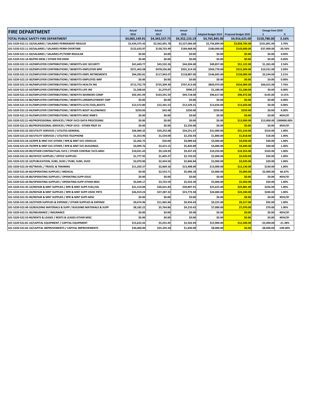| <b>FIRE DEPARTMENT</b>                                                   | Actual<br>2016 | Actual<br>2017 | <b>Actual</b><br>2018 | <b>Adopted Budget 2019</b> | <b>Proposed Budget 2020</b> | Change from 2019<br>Ŝ | %           |
|--------------------------------------------------------------------------|----------------|----------------|-----------------------|----------------------------|-----------------------------|-----------------------|-------------|
| TOTAL PUBLIC SAFETY-FIRE DEPARTMENT                                      | \$4,065,149.91 | \$4,343,537.75 | \$4,352,133.19        | \$4,765,845.00             | \$4,916,625.00              | \$150,780.00          | 3.16%       |
| 101-5220-522.11-10/SALARIES / SALARIES-PERMANENT-REGULR                  | \$2,434,575.43 | \$2,562,001.78 | \$2,527,066.00        | \$2,756,894.00             | \$2,858,785.00              | \$101,891.00          | 3.70%       |
| 101-5220-522.11-20/SALARIES / SALARIES-PERM-OVERTIME                     | \$122,633.97   | \$138,733.49   | \$184,468.00          | \$180,000.00               | \$143,000.00                | $-$37,000.00$         | $-20.56%$   |
| 101-5220-522.11-50/SALARIES / SALARIES-PT/TEMP-REGULAR                   | \$0.00         | \$0.00         | \$0.00                | \$0.00                     | \$0.00                      | \$0.00                | 0.00%       |
| 101-5220-522.14-90/PER DIEM / OTHER PER DIEM                             | \$0.00         | \$0.00         | \$0.00                | \$0.00                     | \$0.00                      | \$0.00                | 0.00%       |
| 101-5220-522.15-10/EMPLOYER CONTRIBUTIONS / BENEFITS-SOC SECURITY        | \$41,649.77    | \$43,532.26    | \$44,204.00           | \$49,857.00                | \$51,122.00                 | \$1,265.00            | 2.54%       |
| 101-5220-522.15-20/EMPLOYER CONTRIBUTIONS / BENEFITS-EMPLOYER WRF        | \$371,463.08   | \$478,556.84   | \$501,314.50          | \$504,778.00               | \$515,309.00                | \$10,531.00           | 2.09%       |
| 101-5220-522.15-25/EMPLOYER CONTRIBUTIONS / BENEFITS-EMPL RETIREMENTS    | \$94,285.81    | \$117,943.07   | \$118,887.00          | \$146,845.00               | \$150,089.00                | \$3,244.00            | 2.21%       |
| 101-5220-522.15-30/EMPLOYER CONTRIBUTIONS / BENEFITS-EMPLOYEE WRF        | \$0.00         | \$0.00         | \$0.00                | \$0.00                     | \$0.00                      | \$0.00                | 0.00%       |
| 101-5220-522.15-40/EMPLOYER CONTRIBUTIONS / BENEFITS-HEALTH INS          | \$712,752.79   | \$735,309.30   | \$707,413.00          | \$850,974.00               | \$916,989.00                | \$66,015.00           | 7.76%       |
| 101-5220-522.15-50/EMPLOYER CONTRIBUTIONS / BENEFITS-LIFE INS            | \$1,508.66     | \$1,279.07     | \$990.27              | \$1,180.00                 | \$1,180.00                  | \$0.00                | 0.00%       |
| 101-5220-522.15-60/EMPLOYER CONTRIBUTIONS / BENEFITS-WORKERS COMP        | \$92.391.99    | \$103,291.59   | \$94,718.00           | \$96,617.00                | \$96,472.00                 | $-$145.00$            | $-0.15%$    |
| 101-5220-522.15-80/EMPLOYER CONTRIBUTIONS / BENEFITS-UNEMPLOYMENT CMP    | \$0.00         | \$0.00         | \$0.00                | \$0.00                     | \$0.00                      | \$0.00                | 0.00%       |
| 101-5220-522.15-91/EMPLOYER CONTRIBUTIONS / BENEFITS-CLTH,TOOL,BOOTS     | \$12,572.80    | \$12,341.53    | \$12,529.21           | \$13,650.00                | \$13,650.00                 | \$0.00                | 0.00%       |
| 101-5220-522.15-94/EMPLOYER CONTRIBUTIONS / BENEFITS-BOOT ALLOWANCE      | \$250.00       | \$42.48        | \$250.00              | \$250.00                   | \$250.00                    | \$0.00                | 0.00%       |
| 101-5220-522.15-95/EMPLOYER CONTRIBUTIONS / BENEFITS-MISC RMB'S          | \$0.00         | \$0.00         | \$0.00                | \$0.00                     | \$0.00                      | \$0.00                | #DIV/0!     |
| 101-5220-522.21-40/PROFESSIONAL SERVICES / PROF SVCS-DATA PROCESSING     | \$0.00         | \$0.00         | \$0.00                | \$0.00                     | \$13,000.00                 | \$13,000.00           | 1300000.00% |
| 101-5220-522.21-80/PROFESSIONAL SERVICES / PROF SVCS - OTHER PROF SV     | \$0.00         | \$0.00         | \$2,250.00            | \$0.00                     | \$0.00                      | \$0.00                | #DIV/0!     |
| 101-5220-522.22-20/UTILITY SERVICES / UTILITES-GENERAL                   | \$26,960.32    | \$29,252.08    | \$34,251.67           | \$31,000.00                | \$31,310.00                 | \$310.00              | 1.00%       |
| 101-5220-522.22-50/UTILITY SERVICES / UTILITIES-TELEPHONE                | \$1,353.96     | \$1,534.09     | \$2,256.93            | \$1,800.00                 | \$1,818.00                  | \$18.00               | 1.00%       |
| 101-5220-522.24-10/RPR & MNT SVC-OTHER / RPR & MNT SVC-VEHICLES          | \$2,202.75     | \$50.00        | \$4,089.64            | \$3,000.00                 | \$3,030.00                  | \$30.00               | 1.00%       |
| 101-5220-522.24-70/RPR & MNT SVC-OTHER / RPR & MNT SVC-BUILDINGS         | \$4,099.76     | \$2,415.15     | \$5,820.89            | \$4,000.00                 | \$4,040.00                  | \$40.00               | 1.00%       |
| 101-5220-522.29-90/OTHER CONTRACTUAL SVCS / OTHER CONTRAC SVCS-MISC      | \$10,031.43    | \$9,128.99     | \$9,437.43            | \$10,250.00                | \$10,353.00                 | \$103.00              | 1.00%       |
| 101-5220-522.31-90/OFFICE SUPPLIES / OFFICE SUPPLIES                     | \$1,777.95     | \$1,405.27     | \$2,743.05            | \$2,000.00                 | \$2,020.00                  | \$20.00               | 1.00%       |
| 101-5220-522.32-10/PUBLICATION, SUBS, DUES / PUBS, SUBS, DUES            | \$2,079.00     | \$2,434.50     | \$2,846.84            | \$2,000.00                 | \$2,020.00                  | \$20.00               | 1.00%       |
| 101-5220-522.33-40/TRAVEL / TRAVEL & TRAINING                            | \$11,202.37    | \$2,669.16     | \$13,408.00           | \$13,000.00                | \$13,130.00                 | \$130.00              | 1.00%       |
| 101-5220-522.34-60/OPERATING SUPPLIES / MEDICAL                          | \$0.00         | \$2,553.71     | \$5,006.18            | \$3,000.00                 | \$5,000.00                  | \$2,000.00            | 66.67%      |
| 101-5220-522.34-80/OPERATING SUPPLIES / OPERATING SUPP-EDUC              | \$0.00         | \$0.00         | \$0.00                | \$0.00                     | \$0.00                      | \$0.00                | #DIV/0!     |
| 101-5220-522.34-90/OPERATING SUPPLIES / OPERATING SUPP-OTHER MISC        | \$5,049.17     | \$3,722.59     | \$5,033.30            | \$5,000.00                 | \$5,050.00                  | \$50.00               | 1.00%       |
| 101-5220-522.35-10/REPAIR & MNT SUPPLIES / RPR & MNT SUPP-FUEL/OIL       | \$21,510.06    | \$20,631.83    | \$30,897.91           | \$25,625.00                | \$25,881.00                 | \$256.00              | 1.00%       |
| 101-5220-522.35-20/REPAIR & MNT SUPPLIES / RPR & MNT SUPP-VEHIC PRTS     | \$26,919.24    | \$27,287.32    | \$23,773.58           | \$24,000.00                | \$24,240.00                 | \$240.00              | 1.00%       |
| 101-5220-522.35-90/REPAIR & MNT SUPPLIES / RPR & MNT SUPP-MISC           | \$0.00         | \$0.00         | \$0.00                | \$0.00                     | \$0.00                      | \$0.00                | #DIV/0!     |
| 101-5220-522.39-10/OTHER SUPPLIES & EXPENSE / OTHER SUPPLIES & EXPENSE   | \$9,674.96     | \$11,065.84    | \$9,934.43            | \$9,225.00                 | \$9,317.00                  | \$92.00               | 1.00%       |
| 101-5220-522.49-10/BUILDING MATERIALS & SUPP / BUILDING MATERIALS & SUPP | \$8,182.22     | \$5,764.86     | \$4,210.42            | \$7,000.00                 | \$7,070.00                  | \$70.00               | 1.00%       |
| 101-5220-522.51-30/INSURANCE / INSURANCE                                 | \$0.00         | \$0.00         | \$0.00                | \$0.00                     | \$0.00                      | \$0.00                | #DIV/0!     |
| 101-5220-522.53-90/RENTS & LEASES / RENTS & LEASES-OTHER MISC            | \$0.00         | \$0.00         | \$0.00                | \$0.00                     | \$0.00                      | \$0.00                | #DIV/0!     |
| 101-5220-522.81-10/CAPITAL EQUIPMENT / CAPITAL EQUIPMENT                 | \$15,622.42    | \$5,255.45     | \$2,502.94            | \$15,900.00                | \$12,500.00                 | $-$3,400.00$          | $-21.38%$   |
| 101-5220-522.82-10/CAPITAL IMPROVEMENTS / CAPITAL IMPROVEMENTS           | \$34,400.00    | \$25.335.50    | \$1,830.00            | \$8.000.00                 | \$0.00                      | $-$8,000.00$          | $-100.00\%$ |
|                                                                          |                |                |                       |                            |                             |                       |             |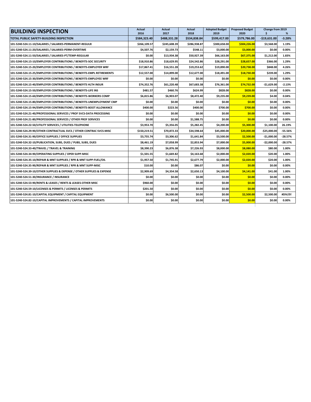| <b>BUILDING INSPECTION</b>                                             | <b>Actual</b><br>2016 | <b>Actual</b><br>2017 | <b>Actual</b><br>2018 | <b>Adopted Budget</b><br>2019 | <b>Proposed Budget</b><br>2020 | Change from 2019<br>Ś. | %         |
|------------------------------------------------------------------------|-----------------------|-----------------------|-----------------------|-------------------------------|--------------------------------|------------------------|-----------|
| TOTAL PUBLIC SAFETY-BUILDING INSPECTION                                | \$584,323.40          | \$488,331.28          | \$534,838.84          | \$599,417.00                  | \$579,786.00                   | $-$19,631.00$          | $-3.28%$  |
| 101-5240-524.11-10/SALARIES / SALARIES-PERMANENT-REGULR                | \$266,109.57          | \$245,608.39          | \$286,938.87          | \$300,658.00                  | \$304,226.00                   | \$3,568.00             | 1.19%     |
| 101-5240-524.11-20/SALARIES / SALARIES-PERM-OVERTIME                   | \$4,507.76            | \$2,159.73            | \$548.11              | \$3,000.00                    | \$3,000.00                     | \$0.00                 | 0.00%     |
| 101-5240-524.11-50/SALARIES / SALARIES-PT/TEMP-REGULAR                 | \$0.00                | \$13,934.38           | \$50,927.39           | \$66,163.00                   | \$67,375.00                    | \$1,212.00             | 1.83%     |
| 101-5240-524.15-10/EMPLOYER CONTRIBUTIONS / BENEFITS-SOC SECURITY      | \$18,910.86           | \$18.629.95           | \$24,542.86           | \$28,291.00                   | \$28,657.00                    | \$366.00               | 1.29%     |
| 101-5240-524.15-20/EMPLOYER CONTRIBUTIONS / BENEFITS-EMPLOYER WRF      | \$17,867.41           | \$16,551.28           | \$19,253.62           | \$19,890.00                   | \$20,738.00                    | \$848.00               | 4.26%     |
| 101-5240-524.15-25/EMPLOYER CONTRIBUTIONS / BENEFITS-EMPL RETIREMENTS  | \$12,557.00           | \$14,899.00           | \$12,677.00           | \$18,491.00                   | \$18,730.00                    | \$239.00               | 1.29%     |
| 101-5240-524.15-30/EMPLOYER CONTRIBUTIONS / BENEFITS-EMPLOYEE WRF      | \$0.00                | \$0.00                | \$0.00                | \$0.00                        | \$0.00                         | \$0.00                 | 0.00%     |
| 101-5240-524.15-40/EMPLOYER CONTRIBUTIONS / BENEFITS HLTH INSUR        | \$74,352.76           | \$61,220.48           | \$67,683.38           | \$76,361.00                   | \$74,732.00                    | $-$1,629.00$           | $-2.13%$  |
| 101-5240-524.15-50/EMPLOYER CONTRIBUTIONS / BENEFITS-LIFE INS          | \$481.57              | \$460.76              | \$624.99              | \$828.00                      | \$828.00                       | \$0.00                 | $0.00\%$  |
| 101-5240-524.15-60/EMPLOYER CONTRIBUTIONS / BENEFITS-WORKERS COMP      | \$6,815.86            | \$6.903.07            | \$8,472,40            | \$9,235.00                    | \$9,239.00                     | \$4.00                 | 0.04%     |
| 101-5240-524.15-80/EMPLOYER CONTRIBUTIONS / BENEFITS-UNEMPLOYMENT CMP  | \$0.00                | \$0.00                | \$0.00                | \$0.00                        | \$0.00                         | \$0.00                 | 0.00%     |
| 101-5240-524.15-94/EMPLOYER CONTRIBUTIONS / BENEFITS-BOOT ALLOWANCE    | \$400.00              | \$223.56              | \$400.00              | \$700.00                      | \$700.00                       | \$0.00                 | 0.00%     |
| 101-5240-524.21-40/PROFESSIONAL SERVICES / PROF SVCS-DATA PROCESSING   | \$0.00                | \$0.00                | \$0.00                | \$0.00                        | \$0.00                         | \$0.00                 | 0.00%     |
| 101-5240-524.21-80/PROFESSIONAL SERVICES / OTHER PROF SERVICES         | \$0.00                | \$0.00                | \$1,588.75            | \$0.00                        | \$0.00                         | \$0.00                 | 0.00%     |
| 101-5240-524.22-50/UTILITY SERVICES / UTILITIES-TELEPHONE              | \$3,953.70            | \$5,356.05            | \$5,282.45            | \$4,200.00                    | \$5,300.00                     | \$1,100.00             | 26.19%    |
| 101-5240-524.29-90/OTHER CONTRACTUAL SVCS / OTHER CONTRAC SVCS-MISC    | \$150,219.51          | \$70.872.33           | \$34.598.64           | \$45,000.00                   | \$20,000.00                    | $-525.000.00$          | $-55.56%$ |
| 101-5240-524.31-90/OFFICE SUPPLIES / OFFICE SUPPLIES                   | \$3,755.74            | \$3,306.62            | \$1,641.84            | \$3,500.00                    | \$2,500.00                     | $-$1,000.00$           | $-28.57%$ |
| 101-5240-524.32-10/PUBLICATION, SUBS, DUES / PUBS, SUBS, DUES          | \$8,461.19            | \$7.058.99            | \$2,853.94            | \$7,000.00                    | \$5,000.00                     | $-52.000.00$           | $-28.57%$ |
| 101-5240-524.33-40/TRAVEL / TRAVEL & TRAINING                          | \$8,390.23            | \$6,876.38            | \$7,226.93            | \$8,000.00                    | \$8,080.00                     | \$80.00                | 1.00%     |
| 101-5240-524.34-90/OPERATING SUPPLIES / OPER SUPP-MISC                 | \$1,501.55            | \$1.669.82            | \$4,163.68            | \$2.000.00                    | \$2,020.00                     | \$20.00                | 1.00%     |
| 101-5240-524.35-10/REPAIR & MNT SUPPLIES / RPR & MNT SUPP-FUEL/OIL     | \$1,957.50            | \$1,745.91            | \$2,677.79            | \$2,000.00                    | \$2,020.00                     | \$20.00                | 1.00%     |
| 101-5240-524.35-90/REPAIR & MNT SUPPLIES / RPR & MNT SUPP-MISC         | \$10.00               | \$0.00                | \$86.07               | \$0.00                        | \$0.00                         | \$0.00                 | 0.00%     |
| 101-5240-524.39-10/OTHER SUPPLIES & EXPENSE / OTHER SUPPLIES & EXPENSE | \$2,909.69            | \$4,354.58            | \$2,650.13            | \$4,100.00                    | \$4,141.00                     | \$41.00                | 1.00%     |
| 101-5240-524.51-30/INSURANCE / INSURANCE                               | \$0.00                | \$0.00                | \$0.00                | \$0.00                        | \$0.00                         | \$0.00                 | 0.00%     |
| 101-5240-524.53-90/RENTS & LEASES / RENTS & LEASES-OTHER MISC          | \$960.00              | \$0.00                | \$0.00                | \$0.00                        | \$0.00                         | \$0.00                 | 0.00%     |
| 101-5240-524.59-10/LICENSES & PERMITS / LICENSES & PERMITS             | \$201.50              | \$0.00                | \$0.00                | \$0.00                        | \$0.00                         | \$0.00                 | 0.00%     |
| 101-5240-524.81-10/CAPITAL EQUIPMENT / CAPITAL EQUIPMENT               | \$0.00                | \$6,500.00            | \$0.00                | \$0.00                        | \$2,500.00                     | \$2,500.00             | #DIV/0!   |
| 101-5240-524.82-10/CAPITAL IMPROVEMENTS / CAPITAL IMPROVEMENTS         | \$0.00                | \$0.00                | \$0.00                | \$0.00                        | \$0.00                         | \$0.00                 | 0.00%     |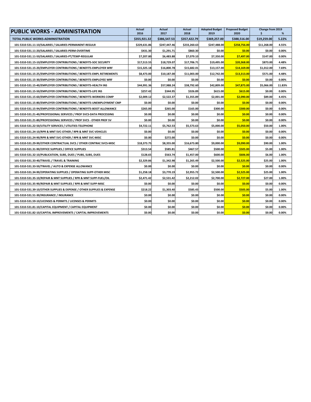| <b>PUBLIC WORKS - ADMINISTRATION</b>                                   | Actual<br>2016 | Actual<br>2017 | Actual<br>2018 | <b>Adopted Budget</b><br>2019 | <b>Proposed Budget</b><br>2020 | Change from 2019<br>\$ | %      |
|------------------------------------------------------------------------|----------------|----------------|----------------|-------------------------------|--------------------------------|------------------------|--------|
| TOTAL PUBLIC WORKS-ADMINISTRATION                                      | \$355,921.32   | \$386,547.53   | \$357,422.79   | \$369,257.00                  | \$388,516.00                   | \$19,259.00            | 5.22%  |
| 101-5310-531.11-10/SALARIES / SALARIES-PERMANENT-REGULR                | \$229,631.86   | \$247,447.46   | \$233,260.63   | \$247,488.00                  | \$258,756.00                   | \$11,268.00            | 4.55%  |
| 101-5310-531.11-20/SALARIES / SALARIES-PERM-OVERTIME                   | \$431.30       | \$1,291.71     | \$860.30       | \$0.00                        | \$0.00                         | \$0.00                 | 0.00%  |
| 101-5310-531.11-50/SALARIES / SALARIES-PT/TEMP-REGULAR                 | \$7,207.80     | \$6,483.88     | \$7,079.10     | \$7,350.00                    | \$7,497.00                     | \$147.00               | 0.00%  |
| 101-5310-531.15-10/EMPLOYER CONTRIBUTIONS / BENEFITS-SOC SECURITY      | \$17,513.55    | \$18,729.07    | \$17,706.71    | \$19,495.00                   | \$20,368.00                    | \$873.00               | 4.48%  |
| 101-5310-531.15-20/EMPLOYER CONTRIBUTIONS / BENEFITS-EMPLOYER WRF      | \$15,325.18    | \$16,800.78    | \$15,682.01    | \$13,157.00                   | \$14,169.00                    | \$1,012.00             | 7.69%  |
| 101-5310-531.15-25/EMPLOYER CONTRIBUTIONS / BENEFITS-EMPL RETIREMENTS  | \$8,473.00     | \$10,187.00    | \$11,003.00    | \$12,742.00                   | \$13,313.00                    | \$571.00               | 4.48%  |
| 101-5310-531.15-30/EMPLOYER CONTRIBUTIONS / BENEFITS-EMPLOYEE WRF      | \$0.00         | \$0.00         | \$0.00         | \$0.00                        | \$0.00                         | \$0.00                 | 0.00%  |
| 101-5310-531.15-40/EMPLOYER CONTRIBUTIONS / BENEFITS-HEALTH INS        | \$44,991.36    | \$57,988.24    | \$38,792.60    | \$42,809.00                   | \$47,875.00                    | \$5,066.00             | 11.83% |
| 101-5310-531.15-50/EMPLOYER CONTRIBUTIONS / BENEFITS-LIFE INS          | \$257.42       | \$344.95       | \$326.89       | \$615.00                      | \$615.00                       | \$0.00                 | 0.00%  |
| 101-5310-531.15-60/EMPLOYER CONTRIBUTIONS / BENEFITS-WORKERS COMP      | \$2,009.12     | \$2,522.37     | \$1,355.89     | \$2,001.00                    | \$2,090.00                     | \$89.00                | 4.45%  |
| 101-5310-531.15-80/EMPLOYER CONTRIBUTIONS / BENEFITS-UNEMPLOYMENT CMP  | \$0.00         | \$0.00         | \$0.00         | \$0.00                        | \$0.00                         | \$0.00                 | 0.00%  |
| 101-5310-531.15-94/EMPLOYER CONTRIBUTIONS / BENEFITS-BOOT ALLOWANCE    | \$265.00       | \$265.00       | \$165.00       | \$300.00                      | \$300.00                       | \$0.00                 | 0.00%  |
| 101-5310-531.21-40/PROFESSIONAL SERVICES / PROF SVCS-DATA PROCESSING   | \$0.00         | \$0.00         | \$0.00         | \$0.00                        | \$0.00                         | \$0.00                 | 0.00%  |
| 101-5310-531.21-80/PROFESSIONAL SERVICES / PROF SVCS - OTHER PROF SV   | \$0.00         | \$0.00         | \$0.00         | \$0.00                        | \$0.00                         | \$0.00                 | 0.00%  |
| 101-5310-531.22-50/UTILITY SERVICES / UTILITIES-TELEPHONE              | \$4,722.11     | \$5,762.53     | \$5,573.63     | \$5,000.00                    | \$5,050.00                     | \$50.00                | 1.00%  |
| 101-5310-531.24-10/RPR & MNT SVC-OTHER / RPR & MNT SVC-VEHICLES        | \$0.00         | \$0.00         | \$0.00         | \$0.00                        | \$0.00                         | \$0.00                 | 0.00%  |
| 101-5310-531.24-90/RPR & MNT SVC-OTHER / RPR & MNT SVC-MISC            | \$0.00         | \$272.00       | \$0.00         | \$0.00                        | \$0.00                         | \$0.00                 | 0.00%  |
| 101-5310-531.29-90/OTHER CONTRACTUAL SVCS / OTHER CONTRAC SVCS-MISC    | \$18,373.75    | \$8,355.00     | \$16,673.80    | \$9,000.00                    | \$9,090.00                     | \$90.00                | 1.00%  |
| 101-5310-531.31-90/OFFICE SUPPLIES / OFFICE SUPPLIES                   | \$313.54       | \$585.81       | \$467.57       | \$500.00                      | \$505.00                       | \$5.00                 | 1.00%  |
| 101-5310-531.32-10/PUBLICATION, SUBS, DUES / PUBS, SUBS, DUES          | \$128.65       | \$563.74       | \$1,457.00     | \$600.00                      | \$606.00                       | \$6.00                 | 1.00%  |
| 101-5310-531.33-40/TRAVEL / TRAVEL & TRAINING                          | \$2,329.86     | \$1,342.98     | \$1,265.49     | \$2,500.00                    | \$2,525.00                     | \$25.00                | 1.00%  |
| 101-5310-531.33-50/TRAVEL / AUTO & EXPENSE ALLOWANCE                   | \$0.00         | \$0.00         | \$0.00         | \$0.00                        | \$0.00                         | \$0.00                 | 0.00%  |
| 101-5310-531.34-90/OPERATING SUPPLIES / OPERATING SUPP-OTHER MISC      | \$1,258.18     | \$3,770.19     | \$2,955.72     | \$2,500.00                    | \$2,525.00                     | \$25.00                | 1.00%  |
| 101-5310-531.35-10/REPAIR & MNT SUPPLIES / RPR & MNT SUPP-FUEL/OIL     | \$2,471.42     | \$2,531.42     | \$2,212.02     | \$2,700.00                    | \$2,727.00                     | \$27.00                | 1.00%  |
| 101-5310-531.35-90/REPAIR & MNT SUPPLIES / RPR & MNT SUPP-MISC         | \$0.00         | \$0.00         | \$0.00         | \$0.00                        | \$0.00                         | \$0.00                 | 0.00%  |
| 101-5310-531.39-10/OTHER SUPPLIES & EXPENSE / OTHER SUPPLIES & EXPENSE | \$218.22       | \$1,303.40     | \$585.43       | \$500.00                      | \$505.00                       | \$5.00                 | 1.00%  |
| 101-5310-531.51-30/INSURANCE / INSURANCE                               | \$0.00         | \$0.00         | \$0.00         | \$0.00                        | \$0.00                         | \$0.00                 | 0.00%  |
| 101-5310-531.59-10/LICENSES & PERMITS / LICENSES & PERMITS             | \$0.00         | \$0.00         | \$0.00         | \$0.00                        | \$0.00                         | \$0.00                 | 0.00%  |
| 101-5310-531.81-10/CAPITAL EQUIPMENT / CAPITAL EQUIPMENT               | \$0.00         | \$0.00         | \$0.00         | \$0.00                        | \$0.00                         | \$0.00                 | 0.00%  |
| 101-5310-531.82-10/CAPITAL IMPROVEMENTS / CAPITAL IMPROVEMENTS         | \$0.00         | \$0.00         | \$0.00         | \$0.00                        | \$0.00                         | \$0.00                 | 0.00%  |
|                                                                        |                |                |                |                               |                                |                        |        |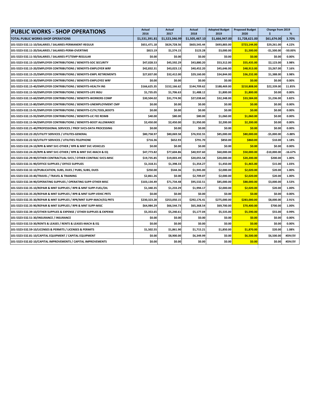| <b>PUBLIC WORKS - SHOP OPERATIONS</b>                                  | Actual<br>2016 | <b>Actual</b><br>2017 | Actual<br>2018 | <b>Adopted Budget</b><br>2019 | <b>Proposed Budget</b><br>2020 | Change from 2019<br>\$ | %         |
|------------------------------------------------------------------------|----------------|-----------------------|----------------|-------------------------------|--------------------------------|------------------------|-----------|
| TOTAL PUBLIC WORKS-SHOP OPERATIONS                                     | \$1,531,391.81 | \$1,523,346.99        | \$1,505,467.10 | \$1,666,947.00                | \$1,728,621.00                 | \$61,674.00            | 3.70%     |
| 101-5323-532.11-10/SALARIES / SALARIES-PERMANENT-REGULR                | \$651,471.18   | \$624,728.56          | \$603,545.44   | \$693,883.00                  | \$723,144.00                   | \$29,261.00            | 4.22%     |
| 101-5323-532.11-20/SALARIES / SALARIES-PERM-OVERTIME                   | \$815.19       | \$1,574.15            | \$123.28       | \$3,000.00                    | \$1,500.00                     | -\$1.500.00            | $-50.00%$ |
| 101-5323-532.11-50/SALARIES / SALARIES-PT/TEMP-REGULAR                 | \$0.00         | \$0.00                | \$0.00         | \$0.00                        | \$0.00                         | \$0.00                 | 0.00%     |
| 101-5323-532.15-10/EMPLOYER CONTRIBUTIONS / BENEFITS-SOC SECURITY      | \$47,028.53    | \$45,592.29           | \$43,880.20    | \$53,312.00                   | \$55,435.00                    | \$2,123.00             | 3.98%     |
| 101-5323-532.15-20/EMPLOYER CONTRIBUTIONS / BENEFITS-EMPLOYER WRF      | \$42,832.31    | \$43,023.13           | \$40,452.20    | \$45,646.00                   | \$48,913.00                    | \$3,267.00             | 7.16%     |
| 101-5323-532.15-25/EMPLOYER CONTRIBUTIONS / BENEFITS-EMPL RETIREMENTS  | \$27,837.00    | \$32,412.00           | \$29,160.00    | \$34,844.00                   | \$36,232.00                    | \$1,388.00             | 3.98%     |
| 101-5323-532.15-30/EMPLOYER CONTRIBUTIONS / BENEFITS-EMPLOYEE WRF      | \$0.00         | \$0.00                | \$0.00         | \$0.00                        | \$0.00                         | \$0.00                 | 0.00%     |
| 101-5323-532.15-40/EMPLOYER CONTRIBUTIONS / BENEFITS-HEALTH INS        | \$166,625.35   | \$152,166.62          | \$144.709.62   | \$188,469.00                  | \$210,808.00                   | \$22.339.00            | 11.85%    |
| 101-5323-532.15-50/EMPLOYER CONTRIBUTIONS / BENEFITS-LIFE INSU         | \$1,735.05     | \$1,706.63            | \$1,488.12     | \$1,800.00                    | \$1,800.00                     | \$0.00                 | 0.00%     |
| 101-5323-532.15-60/EMPLOYER CONTRIBUTIONS / BENEFITS-WORKERS COMP      | \$30,504.02    | \$31,774.90           | \$27,038.60    | \$32,348.00                   | \$33,584.00                    | \$1,236.00             | 3.82%     |
| 101-5323-532.15-80/EMPLOYER CONTRIBUTIONS / BENEFITS-UNEMPLOYMENT CMP  | \$0.00         | \$0.00                | \$0.00         | \$0.00                        | \$0.00                         | \$0.00                 | 0.00%     |
| 101-5323-532.15-91/EMPLOYER CONTRIBUTIONS / BENEFITS-CLTH, TOOL, BOOTS | \$0.00         | \$0.00                | \$0.00         | \$0.00                        | \$0.00                         | \$0.00                 | 0.00%     |
| 101-5323-532.15-93/EMPLOYER CONTRIBUTIONS / BENEFITS-LIC FEE REIMB     | \$40.00        | \$80.00               | \$80.00        | \$1,060.00                    | \$1,060.00                     | \$0.00                 | 0.00%     |
| 101-5323-532.15-94/EMPLOYER CONTRIBUTIONS / BENEFITS-BOOT ALLOWANCE    | \$2,450.00     | \$2,450.00            | \$1,950.00     | \$2,200.00                    | \$2,200.00                     | \$0.00                 | 0.00%     |
| 101-5323-532.21-40/PROFESSIONAL SERVICES / PROF SVCS-DATA PROCESSING   | \$0.00         | \$0.00                | \$0.00         | \$0.00                        | \$0.00                         | \$0.00                 | 0.00%     |
| 101-5323-532.22-20/UTILITY SERVICES / UTILITES-GENERAL                 | \$80,758.97    | \$80,069.58           | \$76,932.55    | \$85,000.00                   | \$80,000.00                    | $-$5,000.00$           | $-5.88%$  |
| 101-5323-532.22-50/UTILITY SERVICES / UTILITIES-TELEPHONE              | \$716.36       | \$652.93              | \$791.70       | \$850.00                      | \$860.00                       | \$10.00                | 1.18%     |
| 101-5323-532.24-10/RPR & MNT SVC-OTHER / RPR & MNT SVC-VEHICLES        | \$0.00         | \$0.00                | \$0.00         | \$0.00                        | \$0.00                         | \$0.00                 | 0.00%     |
| 101-5323-532.24-20/RPR & MNT SVC-OTHER / RPR & MNT SVC-MACH & EQ       | \$47,773.82    | \$77,604.86           | \$40,937.60    | \$60,000.00                   | \$50,000.00                    | $-$10,000.00$          | $-16.67%$ |
| 101-5323-532.29-90/OTHER CONTRACTUAL SVCS / OTHER CONTRAC SVCS-MISC    | \$19,735.85    | \$19,003.49           | \$20,055.58    | \$20,000.00                   | \$20,200.00                    | \$200.00               | 1.00%     |
| 101-5323-532.31-90/OFFICE SUPPLIES / OFFICE SUPPLIES                   | \$1,318.31     | \$1,398.33            | \$1,354.27     | \$1,450.00                    | \$1,465.00                     | \$15.00                | 1.03%     |
| 101-5323-532.32-10/PUBLICATION, SUBS, DUES / PUBS, SUBS, DUES          | \$250.00       | \$544.36              | \$1,945.00     | \$2,000.00                    | \$2,020.00                     | \$20.00                | 1.00%     |
| 101-5323-532.33-40/TRAVEL / TRAVEL & TRAINING                          | \$2,861.26     | \$0.00                | \$2,709.07     | \$2,000.00                    | \$2,020.00                     | \$20.00                | 1.00%     |
| 101-5323-532.34-90/OPERATING SUPPLIES / OPERATING SUPP-OTHER MISC      | \$103,134.49   | \$71,734.48           | \$95,532.51    | \$85,000.00                   | \$88,000.00                    | \$3,000.00             | 3.53%     |
| 101-5323-532.35-10/REPAIR & MNT SUPPLIES / RPR & MNT SUPP-FUEL/OIL     | \$1,340.35     | \$1,233.29            | \$1,994.17     | \$2,000.00                    | \$2,020.00                     | \$20.00                | 1.00%     |
| 101-5323-532.35-20/REPAIR & MNT SUPPLIES / RPR & MNT SUPP-VEHIC PRTS   | \$0.00         | \$0.00                | \$0.00         | \$0.00                        | \$0.00                         | \$0.00                 | 0.00%     |
| 101-5323-532.35-30/REPAIR & MNT SUPPLIES / RPR/MNT SUPP-MACH/EQ PRTS   | \$230,323.28   | \$253,050.15          | \$292,176.41   | \$275,000.00                  | \$283,000.00                   | \$8,000.00             | 2.91%     |
| 101-5323-532.35-90/REPAIR & MNT SUPPLIES / RPR & MNT SUPP-MISC         | \$64,984.29    | \$66,544.73           | \$65,368.54    | \$69,700.00                   | \$70,400.00                    | \$700.00               | 1.00%     |
| 101-5323-532.39-10/OTHER SUPPLIES & EXPENSE / OTHER SUPPLIES & EXPENSE | \$5,353.65     | \$5,240.61            | \$5,177.04     | \$5,535.00                    | \$5,590.00                     | \$55.00                | 0.99%     |
| 101-5323-532.51-30/INSURANCE / INSURANCE                               | \$0.00         | \$0.00                | \$0.00         | \$0.00                        | \$0.00                         | \$0.00                 | 0.00%     |
| 101-5323-532.53-30/RENTS & LEASES / RENTS & LEASES-MACH & EQ           | \$0.00         | \$0.00                | \$0.00         | \$0.00                        | \$0.00                         | \$0.00                 | 0.00%     |
| 101-5323-532.59-10/LICENSES & PERMITS / LICENSES & PERMITS             | \$1,502.55     | \$1,861.90            | \$1,715.21     | \$1,850.00                    | \$1,870.00                     | \$20.00                | 1.08%     |
| 101-5323-532.81-10/CAPITAL EQUIPMENT / CAPITAL EQUIPMENT               | \$0.00         | \$8,900.00            | \$6,349.99     | \$0.00                        | \$6,500.00                     | \$6,500.00             | #DIV/0!   |
| 101-5323-532.82-10/CAPITAL IMPROVEMENTS / CAPITAL IMPROVEMENTS         | \$0.00         | \$0.00                | \$0.00         | \$0.00                        | \$0.00                         | \$0.00                 | #DIV/0!   |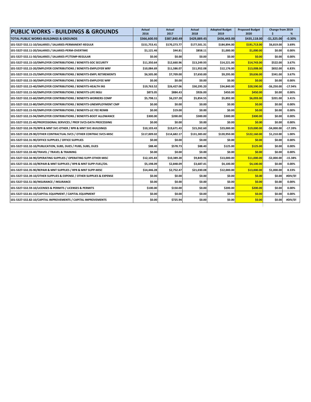| <b>PUBLIC WORKS - BUILDINGS &amp; GROUNDS</b>                          | <b>Actual</b><br>2016 | Actual<br>2017 | Actual<br>2018 | <b>Adopted Budget</b><br>2019 | <b>Proposed Budget</b><br>2020 | Change from 2019<br>\$. | %         |
|------------------------------------------------------------------------|-----------------------|----------------|----------------|-------------------------------|--------------------------------|-------------------------|-----------|
| TOTAL PUBLIC WORKS-BUILDINGS & GROUNDS                                 | \$366,600.93          | \$387,840.49   | \$429,889.45   | \$436,443.00                  | \$435,118.00                   | $-$1,325.00$            | $-0.30%$  |
| 101-5327-532.11-10/SALARIES / SALARIES-PERMANENT-REGULR                | \$151,753.41          | \$170.273.77   | \$177,501.31   | \$184,894.00                  | \$191,713.00                   | \$6,819.00              | 3.69%     |
| 101-5327-532.11-20/SALARIES / SALARIES-PERM-OVERTIME                   | \$1,121.46            | \$44.81        | \$858.11       | \$1,000.00                    | \$1,000.00                     | \$0.00                  | 0.00%     |
| 101-5327-532.11-50/SALARIES / SALARIES-PT/TEMP-REGULAR                 | \$0.00                | \$0.00         | \$0.00         | \$0.00                        | \$0.00                         | \$0.00                  | 0.00%     |
| 101-5327-532.15-10/EMPLOYER CONTRIBUTIONS / BENEFITS-SOC SECURITY      | \$11,350.64           | \$12,660.96    | \$13,249.93    | \$14,221.00                   | \$14,743.00                    | \$522.00                | 3.67%     |
| 101-5327-532.15-20/EMPLOYER CONTRIBUTIONS / BENEFITS-EMPLOYER WRF      | \$10,084.69           | \$11,586.07    | \$11,952.08    | \$12,176.00                   | \$13,008.00                    | \$832.00                | 6.83%     |
| 101-5327-532.15-25/EMPLOYER CONTRIBUTIONS / BENEFITS-EMPL RETIREMENTS  | \$6,505.00            | \$7,709.00     | \$7,650.00     | \$9,295.00                    | \$9,636.00                     | \$341.00                | 3.67%     |
| 101-5327-532.15-30/EMPLOYER CONTRIBUTIONS / BENEFITS-EMPLOYEE WRF      | \$0.00                | \$0.00         | \$0.00         | \$0.00                        | \$0.00                         | \$0.00                  | 0.00%     |
| 101-5327-532.15-40/EMPLOYER CONTRIBUTIONS / BENEFITS-HEALTH INS        | \$19,763.52           | \$26,427.06    | \$30,295.20    | \$34,840.00                   | \$28,590.00                    | $-56,250.00$            | $-17.94%$ |
| 101-5327-532.15-50/EMPLOYER CONTRIBUTIONS / BENEFITS-LIFE INSU         | \$873.05              | \$884.43       | \$926.00       | \$450.00                      | \$450.00                       | \$0.00                  | 0.00%     |
| 101-5327-532.15-60/EMPLOYER CONTRIBUTIONS / BENEFITS-WORKERS COMP      | \$5,798.11            | \$6,237.28     | \$5,854.55     | \$5,892.00                    | \$6,093.00                     | \$201.00                | 3.41%     |
| 101-5327-532.15-80/EMPLOYER CONTRIBUTIONS / BENEFITS-UNEMPLOYMENT CMP  | \$0.00                | \$0.00         | \$0.00         | \$0.00                        | \$0.00                         | \$0.00                  | 0.00%     |
| 101-5327-532.15-93/EMPLOYER CONTRIBUTIONS / BENEFITS-LIC FEE REIMB     | \$0.00                | \$19.00        | \$0.00         | \$0.00                        | \$0.00                         | \$0.00                  | $0.00\%$  |
| 101-5327-532.15-94/EMPLOYER CONTRIBUTIONS / BENEFITS-BOOT ALLOWANCE    | \$300.00              | \$200.00       | \$300.00       | \$300.00                      | \$300.00                       | \$0.00                  | 0.00%     |
| 101-5327-532.21-40/PROFESSIONAL SERVICES / PROF SVCS-DATA PROCESSING   | \$0.00                | \$0.00         | \$0.00         | \$0.00                        | \$0.00                         | \$0.00                  | $0.00\%$  |
| 101-5327-532.24-70/RPR & MNT SVC-OTHER / RPR & MNT SVC-BUILDINGS       | \$10,103.43           | \$19,671.43    | \$15,262.60    | \$23,000.00                   | \$19,000.00                    | $-$4,000.00$            | $-17.39%$ |
| 101-5327-532.29-90/OTHER CONTRACTUAL SVCS / OTHER CONTRAC SVCS-MISC    | \$117,009.02          | \$114,682.17   | \$131,383.82   | \$120,950.00                  | \$122,160.00                   | \$1,210.00              | 1.00%     |
| 101-5327-532.31-90/OFFICE SUPPLIES / OFFICE SUPPLIES                   | \$0.00                | \$0.00         | \$0.00         | \$0.00                        | \$0.00                         | \$0.00                  | 0.00%     |
| 101-5327-532.32-10/PUBLICATION, SUBS, DUES / PUBS, SUBS, DUES          | \$88.40               | \$578.73       | \$88.40        | \$125.00                      | \$125.00                       | \$0.00                  | 0.00%     |
| 101-5327-532.33-40/TRAVEL / TRAVEL & TRAINING                          | \$0.00                | \$0.00         | \$0.00         | \$0.00                        | \$0.00                         | \$0.00                  | 0.00%     |
| 101-5327-532.34-90/OPERATING SUPPLIES / OPERATING SUPP-OTHER MISC      | \$12,105.83           | \$10,389.28    | \$9,849.96     | \$13,000.00                   | \$11,000.00                    | $-$2,000.00$            | $-15.38%$ |
| 101-5327-532.35-10/REPAIR & MNT SUPPLIES / RPR & MNT SUPP-FUEL/OIL     | \$5,198.09            | \$2,848.09     | \$3,687.41     | \$4,100.00                    | \$4,100.00                     | \$0.00                  | $0.00\%$  |
| 101-5327-532.35-90/REPAIR & MNT SUPPLIES / RPR & MNT SUPP-MISC         | \$14,446.28           | \$2,752.47     | \$21,030.08    | \$12,000.00                   | \$13,000.00                    | \$1,000.00              | 8.33%     |
| 101-5327-532.39-10/OTHER SUPPLIES & EXPENSE / OTHER SUPPLIES & EXPENSE | \$0.00                | \$0.00         | \$0.00         | \$0.00                        | \$0.00                         | \$0.00                  | #DIV/0!   |
| 101-5327-532.51-30/INSURANCE / INSURANCE                               | \$0.00                | \$0.00         | \$0.00         | \$0.00                        | \$0.00                         | \$0.00                  | 0.00%     |
| 101-5327-532.59-10/LICENSES & PERMITS / LICENSES & PERMITS             | \$100.00              | \$150.00       | \$0.00         | \$200.00                      | \$200.00                       | \$0.00                  | 0.00%     |
| 101-5327-532.81-10/CAPITAL EQUIPMENT / CAPITAL EQUIPMENT               | \$0.00                | \$0.00         | \$0.00         | \$0.00                        | \$0.00                         | \$0.00                  | 0.00%     |
| 101-5327-532.82-10/CAPITAL IMPROVEMENTS / CAPITAL IMPROVEMENTS         | \$0.00                | \$725.94       | \$0.00         | \$0.00                        | \$0.00                         | \$0.00                  | #DIV/0!   |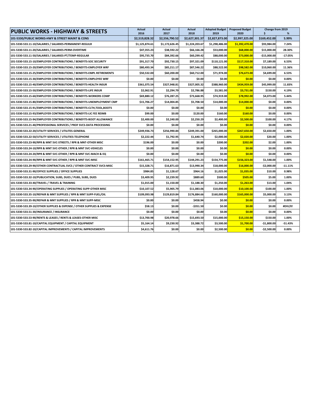| <b>PUBLIC WORKS - HIGHWAY &amp; STREETS</b>                            | <b>Actual</b><br>2016 | Actual<br>2017 | <b>Actual</b><br>2018 | <b>Adopted Budget</b><br>2019 | <b>Proposed Budget</b><br>2020 | Change from 2019<br>\$. | %         |
|------------------------------------------------------------------------|-----------------------|----------------|-----------------------|-------------------------------|--------------------------------|-------------------------|-----------|
| 101-5330/PUBLIC WORKS-HWY & STREET MAINT & CONS                        | \$2,519,828.32        | \$2,556,790.52 | \$2,627,301.37        | \$2,827,873.00                | \$2,997,325.00                 | \$169,452.00            | 5.99%     |
| 101-5330-533.11-10/SALARIES / SALARIES-PERMANENT-REGULR                | \$1,125,874.61        | \$1,172,626.45 | \$1,224,203.67        | \$1,298,486.00                | \$1,392,470.00                 | \$93.984.00             | 7.24%     |
| 101-5330-533.11-20/SALARIES / SALARIES-PERM-OVERTIME                   | \$47,355.23           | \$38,592.22    | \$66,166.28           | \$53,000.00                   | \$68,000.00                    | \$15,000.00             | 28.30%    |
| 101-5330-533.11-50/SALARIES / SALARIES-PT/TEMP-REGULAR                 | \$95,735.70           | \$84,392.66    | \$60,299.42           | \$88,000.00                   | \$73,000.00                    | $-$15,000.00$           | $-17.05%$ |
| 101-5330-533.15-10/EMPLOYER CONTRIBUTIONS / BENEFITS-SOC SECURITY      | \$91,317.70           | \$92,730.15    | \$97,321.09           | \$110,121.00                  | \$117,310.00                   | \$7,189.00              | 6.53%     |
| 101-5330-533.15-20/EMPLOYER CONTRIBUTIONS / BENEFITS-EMPLOYER WRF      | \$80,493.34           | \$85,211.17    | \$87,546.22           | \$88,522.00                   | \$98,582.00                    | \$10,060.00             | 11.36%    |
| 101-5330-533.15-25/EMPLOYER CONTRIBUTIONS / BENEFITS-EMPL RETIREMENTS  | \$50,532.00           | \$60,200.00    | \$60,712.00           | \$71,974.00                   | \$76,673.00                    | \$4,699.00              | 6.53%     |
| 101-5330-533.15-30/EMPLOYER CONTRIBUTIONS / BENEFITS-EMPLOYEE WRF      | \$0.00                | \$0.00         | \$0.00                | \$0.00                        | \$0.00                         | \$0.00                  | 0.00%     |
| 101-5330-533.15-40/EMPLOYER CONTRIBUTIONS / BENEFITS-HEALTH INSUR      | \$361,075.54          | \$327,948.81   | \$327,005.32          | \$388,960.00                  | \$434,959.00                   | \$45,999.00             | 11.83%    |
| 101-5330-533.15-50/EMPLOYER CONTRIBUTIONS / BENEFITS-LIFE INSUR        | \$2,062.91            | \$2,294.79     | \$2,786.88            | \$3,581.00                    | \$3,731.00                     | \$150.00                | 4.19%     |
| 101-5330-533.15-60/EMPLOYER CONTRIBUTIONS / BENEFITS-WORKERS COMP      | \$69,880.12           | \$76,287.25    | \$73,668.95           | \$74,919.00                   | \$78,992.00                    | \$4,073.00              | 5.44%     |
| 101-5330-533.15-80/EMPLOYER CONTRIBUTIONS / BENEFITS-UNEMPLOYMENT CMP  | \$15,706.27           | \$14,004.85    | \$5,708.50            | \$14,000.00                   | \$14,000.00                    | \$0.00                  | 0.00%     |
| 101-5330-533.15-91/EMPLOYER CONTRIBUTIONS / BENEFITS-CLTH, TOOL, BOOTS | \$0.00                | \$0.00         | \$0.00                | \$0.00                        | \$0.00                         | \$0.00                  | 0.00%     |
| 101-5330-533.15-93/EMPLOYER CONTRIBUTIONS / BENEFITS-LIC FEE REIMB     | \$99.00               | \$0.00         | \$120.00              | \$160.00                      | \$160.00                       | \$0.00                  | 0.00%     |
| 101-5330-533.15-94/EMPLOYER CONTRIBUTIONS / BENEFITS-BOOT ALLOWANCE    | \$2,400.00            | \$2,240.00     | \$2,250.29            | \$2,400.00                    | \$2,500.00                     | \$100.00                | 4.17%     |
| 101-5330-533.21-40/PROFESSIONAL SERVICES / PROF SVCS-DATA PROCESSING   | \$0.00                | \$0.00         | \$0.00                | \$0.00                        | \$0.00                         | \$0.00                  | 0.00%     |
| 101-5330-533.22-20/UTILITY SERVICES / UTILITES-GENERAL                 | \$249.936.73          | \$256,990.84   | \$249,391.00          | \$265.000.00                  | \$267,650.00                   | \$2,650.00              | 1.00%     |
| 101-5330-533.22-50/UTILITY SERVICES / UTILITIES-TELEPHONE              | \$2,222.44            | \$1,792.95     | \$1,640.74            | \$2,000.00                    | \$2,020.00                     | \$20.00                 | 1.00%     |
| 101-5330-533.23-90/RPR & MNT SVC-STREETS / RPR & MNT-OTHER MISC        | \$196.00              | \$0.00         | \$0.00                | \$200.00                      | \$202.00                       | \$2.00                  | 1.00%     |
| 101-5330-533.24-10/RPR & MNT SVC-OTHER / RPR & MNT SVC-VEHICLES        | \$0.00                | \$0.00         | \$0.00                | \$0.00                        | \$0.00                         | \$0.00                  | 0.00%     |
| 101-5330-533.24-20/RPR & MNT SVC-OTHER / RPR & MNT SVC-MACH & EQ       | \$0.00                | \$0.00         | \$0.00                | \$0.00                        | \$0.00                         | \$0.00                  | 0.00%     |
| 101-5330-533.24-90/RPR & MNT SVC-OTHER / RPR & MNT SVC-MISC            | \$161,465.71          | \$154,152.95   | \$144,291.23          | \$154,775.00                  | \$156,323.00                   | \$1,548.00              | 1.00%     |
| 101-5330-533.29-90/OTHER CONTRACTUAL SVCS / OTHER CONTRACT SVCS-MISC   | \$15,328.71           | \$16,871.63    | \$13,990.34           | \$18,000.00                   | \$16,000.00                    | $-$2,000.00$            | $-11.11%$ |
| 101-5330-533.31-90/OFFICE SUPPLIES / OFFICE SUPPLIES                   | \$984.85              | \$1,128.67     | \$964.16              | \$1,025.00                    | \$1,035.00                     | \$10.00                 | 0.98%     |
| 101-5330-533.32-10/PUBLICATION, SUBS, DUES / PUBS, SUBS, DUES          | \$3,409.95            | \$2,239.92     | \$889.60              | \$500.00                      | \$505.00                       | \$5.00                  | 1.00%     |
| 101-5330-533.33-40/TRAVEL / TRAVEL & TRAINING                          | \$1,015.00            | \$1,150.00     | \$1,188.30            | \$1,250.00                    | \$1,263.00                     | \$13.00                 | 1.04%     |
| 101-5330-533.34-90/OPERATING SUPPLIES / OPERATING SUPP-OTHER MISC      | \$10,107.52           | \$5,905.79     | \$11,083.06           | \$10,000.00                   | \$10,100.00                    | \$100.00                | 1.00%     |
| 101-5330-533.35-10/REPAIR & MNT SUPPLIES / RPR & MNT SUPP-FUEL/OIL     | \$109,093.98          | \$129,819.84   | \$176,884.66          | \$160,000,00                  | \$165,000.00                   | \$5,000.00              | 3.13%     |
| 101-5330-533.35-90/REPAIR & MNT SUPPLIES / RPR & MNT SUPP-MISC         | \$0.00                | \$0.00         | \$458.94              | \$0.00                        | \$0.00                         | \$0.00                  | $0.00\%$  |
| 101-5330-533.39-10/OTHER SUPPLIES & EXPENSE / OTHER SUPPLIES & EXPENSE | \$58.13               | \$0.00         | -\$351.50             | \$0.00                        | \$0.00                         | \$0.00                  | #DIV/0!   |
| 101-5330-533.51-30/INSURANCE / INSURANCE                               | \$0.00                | \$0.00         | \$0.00                | \$0.00                        | \$0.00                         | \$0.00                  | 0.00%     |
| 101-5330-533.53-90/RENTS & LEASES / RENTS & LEASES-OTHER MISC          | \$13,700.98           | \$20,978.66    | \$15,693.50           | \$15,000.00                   | \$15,150.00                    | \$150.00                | 1.00%     |
| 101-5330-533.81-10/CAPITAL EQUIPMENT / CAPITAL EQUIPMENT               | \$5,164.14            | \$9,230.92     | \$3,388.72            | \$3,500.00                    | \$1,700.00                     | $-$1,800.00$            | $-51.43%$ |
| 101-5330-533.82-10/CAPITAL IMPROVEMENTS / CAPITAL IMPROVEMENTS         | \$4,611.76            | \$0.00         | \$0.00                | \$2,500.00                    | \$0.00                         | $-$2,500.00$            | 0.00%     |
|                                                                        |                       |                |                       |                               |                                |                         |           |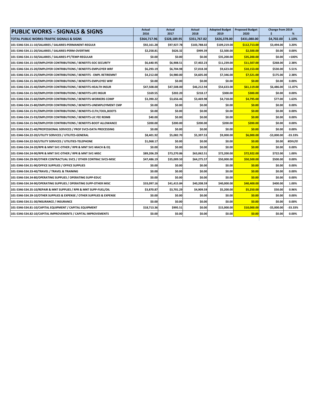| <b>PUBLIC WORKS - SIGNALS &amp; SIGNS</b>                              | Actual<br>2016 | Actual<br>2017 | Actual<br>2018 | <b>Adopted Budget</b><br>2019 | <b>Proposed Budget</b><br>2020 | Change from 2019<br>Ś | %         |
|------------------------------------------------------------------------|----------------|----------------|----------------|-------------------------------|--------------------------------|-----------------------|-----------|
| TOTAL PUBLIC WORKS-TRAFFIC SIGNALS & SIGNS                             | \$364,717.96   | \$328,189.95   | \$351,767.82   | \$426,378,00                  | \$431,080.00                   | \$4,702.00            | 1.10%     |
| 101-5346-534.11-10/SALARIES / SALARIES-PERMANENT-REGULR                | \$92,161.28    | \$97,927.78    | \$103.788.02   | \$109,219.00                  | \$112,713.00                   | \$3,494.00            | 3.20%     |
| 101-5346-534.11-20/SALARIES / SALARIES-PERM-OVERTIME                   | \$2,258.81     | \$626.32       | \$999.39       | \$2,500.00                    | \$2,500.00                     | \$0.00                | 0.00%     |
| 101-5346-534.11-50/SALARIES / SALARIES-PT/TEMP-REGULAR                 | \$0.00         | \$0.00         | \$0.00         | \$35,200.00                   | \$35,200.00                    | \$0.00                | >100%     |
| 101-5346-534.15-10/EMPLOYER CONTRIBUTIONS / BENEFITS-SOC SECURITY      | \$6,640.95     | \$6,908.51     | \$7,402.23     | \$11,239.00                   | \$11,507.00                    | \$268.00              | 2.38%     |
| 101-5346-534.15-20/EMPLOYER CONTRIBUTIONS / BENEFITS-EMPLOYER WRF      | \$6,293.19     | \$6.704.98     | \$7,018.30     | \$9,623.00                    | \$10,153.00                    | \$530.00              | 5.51%     |
| 101-5346-534.15-25/EMPLOYER CONTRIBUTIONS / BENEFITS - EMPL RETIREMNT  | \$4,212.00     | \$4,980.00     | \$4,605.00     | \$7,346.00                    | \$7,521.00                     | \$175.00              | 2.38%     |
| 101-5346-534.15-30/EMPLOYER CONTRIBUTIONS / BENEFITS-EMPLOYEE WRF      | \$0.00         | \$0.00         | \$0.00         | \$0.00                        | \$0.00                         | \$0.00                | 0.00%     |
| 101-5346-534.15-40/EMPLOYER CONTRIBUTIONS / BENEFITS-HEALTH INSUR      | \$47,508.00    | \$47,508.00    | \$46,212.94    | \$54,633.00                   | \$61,119.00                    | \$6,486.00            | 11.87%    |
| 101-5346-534.15-50/EMPLOYER CONTRIBUTIONS / BENEFITS-LIFE INSUR        | \$169.55       | \$202.20       | \$218.17       | \$300.00                      | \$300.00                       | \$0.00                | 0.00%     |
| 101-5346-534.15-60/EMPLOYER CONTRIBUTIONS / BENEFITS-WORKERS COMP      | \$3,390.22     | \$3,656.46     | \$3,469.98     | \$4,718.00                    | \$4,795.00                     | \$77.00               | 1.63%     |
| 101-5346-534.15-80/EMPLOYER CONTRIBUTIONS / BENEFITS-UNEMPLOYMENT CMP  | \$0.00         | \$0.00         | \$0.00         | \$0.00                        | \$0.00                         | \$0.00                | 0.00%     |
| 101-5346-534.15-91/EMPLOYER CONTRIBUTIONS / BENEFITS-CLTH, TOOL, BOOTS | \$0.00         | \$0.00         | \$0.00         | \$0.00                        | \$0.00                         | \$0.00                | 0.00%     |
| 101-5346-534.15-93/EMPLOYER CONTRIBUTIONS / BENEFITS-LIC FEE REIMB     | \$40.00        | \$0.00         | \$0.00         | \$0.00                        | \$0.00                         | \$0.00                | 0.00%     |
| 101-5346-534.15-94/EMPLOYER CONTRIBUTIONS / BENEFITS-BOOT ALLOWANCE    | \$200.00       | \$200.00       | \$200.00       | \$200.00                      | \$200.00                       | \$0.00                | 0.00%     |
| 101-5346-534.21-40/PROFESSIONAL SERVICES / PROF SVCS-DATA PROCESSING   | \$0.00         | \$0.00         | \$0.00         | \$0.00                        | \$0.00                         | \$0.00                | 0.00%     |
| 101-5346-534.22-20/UTILITY SERVICES / UTILITES-GENERAL                 | \$8,401.92     | \$5,082.70     | \$5,397.53     | \$9,000.00                    | \$6,000.00                     | $-$3,000.00$          | $-33.33%$ |
| 101-5346-534.22-50/UTILITY SERVICES / UTILITIES-TELEPHONE              | \$1,068.17     | \$0.00         | \$0.00         | \$0.00                        | \$0.00                         | \$0.00                | #DIV/0!   |
| 101-5346-534.24-20/RPR & MNT SVC-OTHER / RPR & MNT SVC-MACH & EQ       | \$0.00         | \$0.00         | \$0.00         | \$0.00                        | \$0.00                         | \$0.00                | 0.00%     |
| 101-5346-534.24-90/RPR & MNT SVC-OTHER / RPR & MNT SVC-MISC            | \$89,206.29    | \$73,270.86    | \$63,062.51    | \$72,200.00                   | \$72,922.00                    | \$722.00              | 1.00%     |
| 101-5346-534.29-90/OTHER CONTRACTUAL SVCS / OTHER CONTRAC SVCS-MISC    | \$47,486.19    | \$35,009.50    | \$64,275.57    | \$50,000.00                   | \$50,500.00                    | \$500.00              | 0.00%     |
| 101-5346-534.31-90/OFFICE SUPPLIES / OFFICE SUPPLIES                   | \$0.00         | \$0.00         | \$0.00         | \$0.00                        | \$0.00                         | \$0.00                | 0.00%     |
| 101-5346-534.33-40/TRAVEL / TRAVEL & TRAINING                          | \$0.00         | \$0.00         | \$0.00         | \$0.00                        | \$0.00                         | \$0.00                | 0.00%     |
| 101-5346-534.34-80/OPERATING SUPPLIES / OPERATING SUPP-EDUC            | \$0.00         | \$0.00         | \$0.00         | \$0.00                        | \$0.00                         | \$0.00                | 0.00%     |
| 101-5346-534.34-90/OPERATING SUPPLIES / OPERATING SUPP-OTHER MISC      | \$33,097.16    | \$41,415.84    | \$40,208.59    | \$40,000.00                   | \$40,400.00                    | \$400.00              | 1.00%     |
| 101-5346-534.35-10/REPAIR & MNT SUPPLIES / RPR & MNT SUPP-FUEL/OIL     | \$3,870.87     | \$3,701.29     | \$4,909.59     | \$5,200.00                    | \$5,250.00                     | \$50.00               | 0.96%     |
| 101-5346-534.39-10/OTHER SUPPLIES & EXPENSE / OTHER SUPPLIES & EXPENSE | \$0.00         | \$0.00         | \$0.00         | \$0.00                        | \$0.00                         | \$0.00                | 0.00%     |
| 101-5346-534.51-30/INSURANCE / INSURANCE                               | \$0.00         | \$0.00         | \$0.00         | \$0.00                        | \$0.00                         | \$0.00                | 0.00%     |
| 101-5346-534.81-10/CAPITAL EQUIPMENT / CAPITAL EQUIPMENT               | \$18,713.36    | \$995.51       | \$0.00         | \$15,000.00                   | \$10,000.00                    | $-$5,000.00$          | $-33.33%$ |
| 101-5346-534.82-10/CAPITAL IMPROVEMENTS / CAPITAL IMPROVEMENTS         | \$0.00         | \$0.00         | \$0.00         | \$0.00                        | \$0.00                         | \$0.00                | 0.00%     |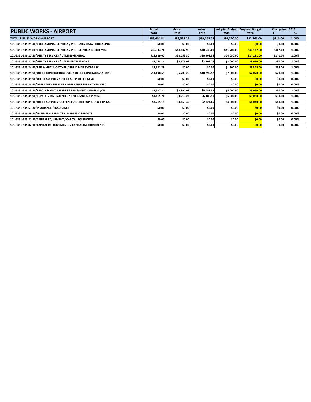| <b>PUBLIC WORKS - AIRPORT</b>                                          | Actual      | Actual      | <b>Actual</b> |             | <b>Adopted Budget Proposed Budget</b> | Change from 2019 |       |
|------------------------------------------------------------------------|-------------|-------------|---------------|-------------|---------------------------------------|------------------|-------|
|                                                                        | 2016        | 2017        | 2018          | 2019        | 2020                                  |                  | ℅     |
| <b>TOTAL PUBLIC WORKS-AIRPORT</b>                                      | \$83,404.84 | \$83,538.25 | \$89,265.73   | \$91,250.00 | \$92,163.00                           | \$913.00         | 1.00% |
| 101-5351-535.21-40/PROFESSIONAL SERVICES / PROF SVCS-DATA PROCESSING   | \$0.00      | \$0.00      | \$0.00        | \$0.00      | \$0.00                                | \$0.00           | 0.00% |
| 101-5351-535.21-80/PROFESSIONAL SERVICES / PROF SERVICES-OTHER MISC    | \$36,334.76 | \$40,137.96 | \$40,638.00   | \$41,700.00 | \$42,117.00                           | \$417.00         | 1.00% |
| 101-5351-535.22-20/UTILITY SERVICES / UTILITES-GENERAL                 | \$18,629.02 | \$23,752.30 | \$20,961.34   | \$24,050.00 | \$24,291.00                           | \$241.00         | 1.00% |
| 101-5351-535.22-50/UTILITY SERVICES / UTILITIES-TELEPHONE              | \$2,763.14  | \$2,675.02  | \$2,505.74    | \$3,000.00  | \$3,030.00                            | \$30.00          | 1.00% |
| 101-5351-535.24-90/RPR & MNT SVC-OTHER / RPR & MNT SVCS-MISC           | \$3,321.29  | \$0.00      | \$0.00        | \$1,500.00  | \$1,515.00                            | \$15.00          | 1.00% |
| 101-5351-535.29-90/OTHER CONTRACTUAL SVCS / OTHER CONTRAC SVCS-MISC    | \$11,698.61 | \$5,700.20  | \$10,790.57   | \$7.000.00  | \$7,070.00                            | \$70.00          | 1.00% |
| 101-5351-535.31-90/OFFICE SUPPLIES / OFFICE SUPP-OTHER MISC            | \$0.00      | \$0.00      | \$0.00        | \$0.00      | \$0.00                                | \$0.00           | 0.00% |
| 101-5351-535.34-90/OPERATING SUPPLIES / OPERATING SUPP-OTHER MISC      | \$0.00      | \$0.00      | \$0.00        | \$0.00      | \$0.00                                | \$0.00           | 0.00% |
| 101-5351-535.35-10/REPAIR & MNT SUPPLIES / RPR & MNT SUPP-FUEL/OIL     | \$2,527.21  | \$3,894.05  | \$5,057.33    | \$5,000.00  | \$5,050.00                            | \$50.00          | 1.00% |
| 101-5351-535.35-90/REPAIR & MNT SUPPLIES / RPR & MNT SUPP-MISC         | \$4,415.70  | \$3,210.23  | \$6,488.10    | \$5,000.00  | \$5,050.00                            | \$50.00          | 1.00% |
| 101-5351-535.39-10/OTHER SUPPLIES & EXPENSE / OTHER SUPPLIES & EXPENSE | \$3,715.11  | \$4,168.49  | \$2,824.65    | \$4,000.00  | \$4,040.00                            | \$40.00          | 1.00% |
| 101-5351-535.51-30/INSURANCE / INSURANCE                               | \$0.00      | \$0.00      | \$0.00        | \$0.00      | \$0.00                                | \$0.00           | 0.00% |
| 101-5351-535.59-10/LICENSES & PERMITS / LICENSES & PERMITS             | \$0.00      | \$0.00      | \$0.00        | \$0.00      | \$0.00                                | \$0.00           | 0.00% |
| 101-5351-535.81-10/CAPITAL EQUIPMENT / CAPITAL EQUIPMENT               | \$0.00      | \$0.00      | \$0.00        | \$0.00      | \$0.00                                | \$0.00           | 0.00% |
| 101-5351-535.82-10/CAPITAL IMPROVEMENTS / CAPITAL IMPROVEMENTS         | \$0.00      | \$0.00      | \$0.00        | \$0.00      | \$0.00                                | \$0.00           | 0.00% |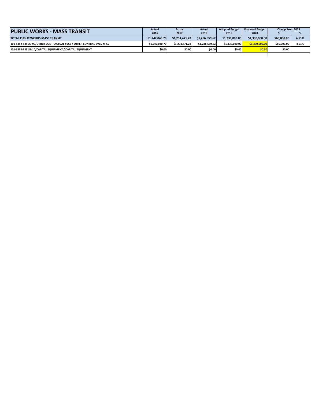| <b>PUBLIC WORKS - MASS TRANSIT</b>                                  |                | Actual         | Actual         | <b>Adopted Budget</b> | <b>Proposed Budget</b> | Change from 2019 |       |
|---------------------------------------------------------------------|----------------|----------------|----------------|-----------------------|------------------------|------------------|-------|
|                                                                     | 2016           | 2017           | 2018           | 2019                  | 2020                   |                  |       |
| <b>TOTAL PUBLIC WORKS-MASS TRANSIT</b>                              | \$1.242.040.70 | \$1.294.471.28 | \$1.286.559.62 | \$1.330.000.00        | \$1.390.000.00         | \$60,000,00      | 4.51% |
| 101-5352-535.29-90/OTHER CONTRACTUAL SVCS / OTHER CONTRAC SVCS-MISC | \$1.242.040.70 | \$1.294.471.28 | \$1.286.559.62 | \$1.330.000.00        | \$1.390.000.00         | \$60,000,00      | 4.51% |
| 101-5352-535.81-10/CAPITAL EQUIPMENT / CAPITAL EQUIPMENT            | \$0.00         | \$0.00         | \$0.00         | \$0.00                | \$0.00                 | \$0.00           |       |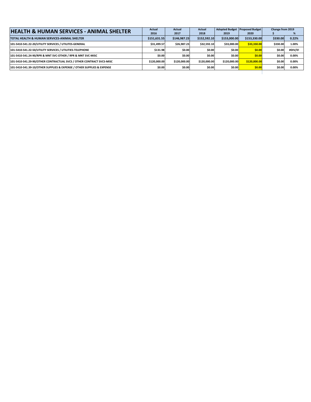| <b>HEALTH &amp; HUMAN SERVICES - ANIMAL SHELTER</b>                    | Actual       | <b>Actual</b> | <b>Actual</b> |              | Adopted Budget Proposed Budget | Change from 2019 |         |
|------------------------------------------------------------------------|--------------|---------------|---------------|--------------|--------------------------------|------------------|---------|
|                                                                        | 2016         | 2017          | 2018          | 2019         | 2020                           |                  |         |
| TOTAL HEALTH & HUMAN SERVICES-ANIMAL SHELTER                           | \$151,631.55 | \$146,987.23  | \$152,592.10  | \$153,000.00 | \$153,330.00                   | \$330.00         | 0.22%   |
| 101-5410-541.22-20/UTILITY SERVICES / UTILITES-GENERAL                 | \$31.499.57  | \$26.987.23   | \$32.592.10   | \$33,000.00  | \$33,330,00                    | \$330.00         | 1.00%   |
| 101-5410-541.22-50/UTILITY SERVICES / UTILITIES-TELEPHONE              | \$131.98     | \$0.00        | \$0.00        | \$0.00       | \$0.00                         | \$0.00           | #DIV/0! |
| 101-5410-541.24-90/RPR & MNT SVC-OTHER / RPR & MNT SVC-MISC            | \$0.00       | \$0.00        | \$0.00        | \$0.00       | \$0.00                         | \$0.00           | 0.00%   |
| 101-5410-541.29-90/OTHER CONTRACTUAL SVCS / OTHER CONTRACT SVCS-MISC   | \$120.000.00 | \$120,000,00  | \$120.000.00  | \$120,000.00 | \$120,000.00                   | \$0.00           | 0.00%   |
| 101-5410-541.39-10/OTHER SUPPLIES & EXPENSE / OTHER SUPPLIES & EXPENSE | \$0.00       | \$0.00        | \$0.00        | \$0.00       | \$0.00                         | \$0.00           | 0.00%   |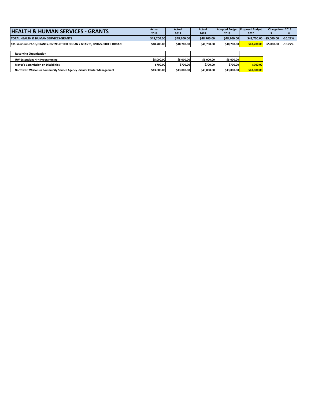| <b>HEALTH &amp; HUMAN SERVICES - GRANTS</b>                              | Actual      | Actual      | Actual      |             | Adopted Budget Proposed Budget |                         | Change from 2019 |
|--------------------------------------------------------------------------|-------------|-------------|-------------|-------------|--------------------------------|-------------------------|------------------|
|                                                                          | 2016        | 2017        | 2018        | 2019        | 2020                           |                         |                  |
| TOTAL HEALTH & HUMAN SERVICES-GRANTS                                     | \$48,700.00 | \$48,700,00 | \$48,700.00 | \$48,700,00 |                                | \$43,700.00 -\$5,000.00 | $-10.27%$        |
| 101-5452-545.72-10/GRANTS, DNTNS-OTHER ORGAN / GRANTS, DNTNS-OTHER ORGAN | \$48,700.00 | \$48,700.00 | \$48,700.00 | \$48.700.00 | \$43.700.00                    | $-55.000.00$            | $-10.27%$        |
|                                                                          |             |             |             |             |                                |                         |                  |
| <b>Receiving Organization</b>                                            |             |             |             |             |                                |                         |                  |
| <b>UW-Extension</b> ; 4-H Programming                                    | \$5.000.00  | \$5,000.00  | \$5,000.00  | \$5,000.00  |                                |                         |                  |
| <b>Mayor's Commission on Disabilities</b>                                | \$700.00    | \$700.00    | \$700.00    | \$700.00    | \$700.00                       |                         |                  |
| Northwest Wisconsin Community Service Agency - Senior Center Management  | \$43,000.00 | \$43,000.00 | \$43,000.00 | \$43,000.00 | \$43,000.00                    |                         |                  |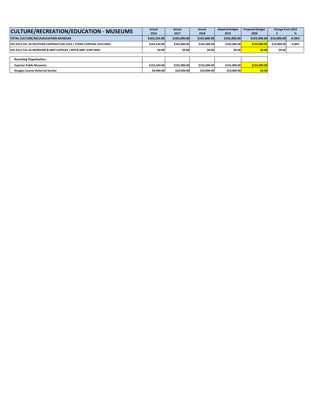| <b>CULTURE/RECREATION/EDUCATION - MUSEUMS</b>                       | Actual       | <b>Actual</b> | <b>Actual</b> | <b>Adopted Budget</b> | <b>Proposed Budget</b> | Change from 2019 |          |
|---------------------------------------------------------------------|--------------|---------------|---------------|-----------------------|------------------------|------------------|----------|
|                                                                     | 2016         | 2017          | 2018          | 2019                  | 2020                   |                  |          |
| TOTAL CULTURE/REC/EDUCATION-MUSEUM                                  | \$163,234.00 | \$165,000,00  | \$165,000.00  | \$165,000.00          | \$155,000,00           | $-510,000,00$    | $-6.06%$ |
| 101-5512-551.29-90/OTHER CONTRACTUAL SVCS / OTHER CONTRAC SVCS-MISC | \$163.234.00 | \$165.000.00  | \$165.000.00  | \$165.000.00          | \$155,000.00           | $-510.000.00$    | $-6.06%$ |
| 101-5512-551.35-90/REPAIR & MNT SUPPLIES / RPR & MNT SUPP-MISC      | \$0.00       | \$0.00        | \$0.00        | \$0.00                | \$0.00                 | \$0.00           |          |
|                                                                     |              |               |               |                       |                        |                  |          |
| <b>Receiving Organization</b>                                       |              |               |               |                       |                        |                  |          |
| <b>Superior Public Museums</b>                                      | \$153.334.00 | \$155,000,00  | \$155.000.00  | \$155,000.00          | \$155,000.00           |                  |          |
| <b>Douglas County Historical Society</b>                            | \$9,900.00   | \$10,000.00   | \$10,000.00   | \$10,000.00           | \$0.00                 |                  |          |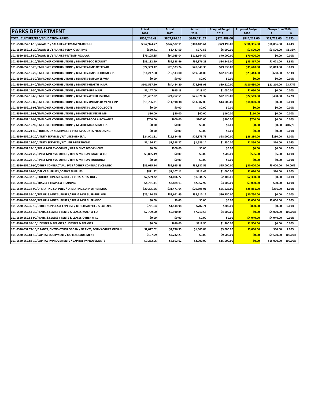| <b>PARKS DEPARTMENT</b>                                                  | <b>Actual</b><br>2016 | <b>Actual</b><br>2017 | <b>Actual</b><br>2018 | <b>Adopted Budget</b><br>2019 | <b>Proposed Budget</b><br>2020 | Change from 2019<br>\$ | %           |
|--------------------------------------------------------------------------|-----------------------|-----------------------|-----------------------|-------------------------------|--------------------------------|------------------------|-------------|
| <b>TOTAL CULTURE/REC/EDUCATION-PARKS</b>                                 | \$805,246.49          | \$807,896.16          | \$849.431.67          | \$821,489.00                  | \$844,212.00                   | \$22,723,00            | 2.77%       |
| 101-5520-552.11-10/SALARIES / SALARIES-PERMANENT-REGULR                  | \$367,924.77          | \$347,532.11          | \$383,405.61          | \$379,499.00                  | \$396,355.00                   | \$16,856.00            | 4.44%       |
| 101-5520-552.11-20/SALARIES / SALARIES-PERM-OVERTIME                     | \$520.41              | \$3,437.59            | \$977.53              | \$6,000.00                    | \$2,500.00                     | $-$3,500.00$           | $-58.33%$   |
| 101-5520-552.11-50/SALARIES / SALARIES-PT/TEMP-REGULAR                   | \$79,105.85           | \$94,025.04           | \$112,664.52          | \$70,000.00                   | \$70,000.00                    | \$0.00                 | 0.00%       |
| 101-5520-552.15-10/EMPLOYER CONTRIBUTIONS / BENEFITS-SOC SECURITY        | \$33,182.99           | \$32,328.46           | \$36,876.28           | \$34,846.00                   | \$35,867.00                    | \$1,021.00             | 2.93%       |
| 101-5520-552.15-20/EMPLOYER CONTRIBUTIONS / BENEFITS-EMPLOYER WRF        | \$27,369.42           | \$26,523.24           | \$28,649.35           | \$29,835.00                   | \$31,648.00                    | \$1,813.00             | 6.08%       |
| 101-5520-552.15-25/EMPLOYER CONTRIBUTIONS / BENEFITS-EMPL RETIREMENTS    | \$16,247.00           | \$19,513.00           | \$19,344.00           | \$22,775.00                   | \$23,443.00                    | \$668.00               | 2.93%       |
| 101-5520-552.15-30/EMPLOYER CONTRIBUTIONS / BENEFITS-EMPLOYEE WRF        | \$0.00                | \$0.00                | \$0.00                | \$0.00                        | \$0.00                         | \$0.00                 | 0.00%       |
| 101-5520-552.15-40/EMPLOYER CONTRIBUTIONS / BENEFITS-HEALTH INSUR        | \$101,557.20          | \$84,484.20           | \$78,308.93           | \$89,220.00                   | \$110,430.00                   | \$21,210.00            | 23.77%      |
| 101-5520-552.15-50/EMPLOYER CONTRIBUTIONS / BENEFITS-LIFE INSUR          | \$1,147.09            | \$615.18              | \$418.80              | \$1,050.00                    | \$1,050.00                     | \$0.00                 | 0.00%       |
| 101-5520-552.15-60/EMPLOYER CONTRIBUTIONS / BENEFITS-WORKERS COMP        | \$23,437.32           | \$24,752.51           | \$25,971.32           | \$22,079.00                   | \$22,569.00                    | \$490.00               | 2.22%       |
| 101-5520-552.15-80/EMPLOYER CONTRIBUTIONS / BENEFITS-UNEMPLOYMENT CMP    | \$15,706.21           | \$11,918.38           | \$13,387.03           | \$14,000.00                   | \$14,000.00                    | \$0.00                 | 0.00%       |
| 101-5520-552.15-91/EMPLOYER CONTRIBUTIONS / BENEFITS-CLTH, TOOL, BOOTS   | \$0.00                | \$0.00                | \$0.00                | \$0.00                        | \$0.00                         | \$0.00                 | 0.00%       |
| 101-5520-552.15-93/EMPLOYER CONTRIBUTIONS / BENEFITS-LIC FEE REIMB       | \$80.00               | \$80.00               | \$40.00               | \$160.00                      | \$160.00                       | \$0.00                 | 0.00%       |
| 101-5520-552.15-94/EMPLOYER CONTRIBUTIONS / BENEFITS-BOOT ALLOWANCE      | \$700.00              | \$600.00              | \$700.00              | \$700.00                      | \$700.00                       | \$0.00                 | 0.00%       |
| 101-5520-552.15-95/EMPLOYER CONTRIBUTIONS / MISC REIMBURSEMENTS          | \$0.00                | \$0.00                | \$0.00                | \$0.00                        | \$0.00                         | \$0.00                 | #DIV/0!     |
| 101-5520-552.21-40/PROFESSIONAL SERVICES / PROF SVCS-DATA PROCESSING     | \$0.00                | \$0.00                | \$0.00                | \$0.00                        | \$0.00                         | \$0.00                 | 0.00%       |
| 101-5520-552.22-20/UTILITY SERVICES / UTILITES-GENERAL                   | \$24,901.81           | \$26,824.68           | \$26,873.73           | \$28,000.00                   | \$28,280.00                    | \$280.00               | 1.00%       |
| 101-5520-552.22-50/UTILITY SERVICES / UTILITIES-TELEPHONE                | \$1,156.12            | \$1,518.27            | \$1,686.14            | \$1,350.00                    | \$1,364.00                     | \$14.00                | 1.04%       |
| 101-5520-552.24-10/RPR & MNT SVC-OTHER / RPR & MNT SVC-VEHICLES          | \$0.00                | \$300.00              | \$0.00                | \$0.00                        | \$0.00                         | \$0.00                 | 0.00%       |
| 101-5520-552.24-20/RPR & MNT SVC-OTHER / RPR & MNT SVC-MACH & EQ         | \$3,855.19            | \$0.00                | \$0.00                | \$500.00                      | \$505.00                       | \$5.00                 | 1.00%       |
| 101-5520-552.24-70/RPR & MNT SVC-OTHER / RPR & MNT SVC-BUILDINGS         | \$0.00                | \$0.00                | \$0.00                | \$0.00                        | \$0.00                         | \$0.00                 | $0.00\%$    |
| 101-5520-552.29-90/OTHER CONTRACTUAL SVCS / OTHER CONTRAC SVCS-MISC      | \$35,015.14           | \$32,935.83           | \$32,882.55           | \$25,000.00                   | \$30,000.00                    | \$5,000.00             | 20.00%      |
| 101-5520-552.31-90/OFFICE SUPPLIES / OFFICE SUPPLIES                     | \$811.42              | \$1,107.11            | \$811.46              | \$1,000.00                    | \$1,010.00                     | \$10.00                | 1.00%       |
| 101-5520-552.32-10/PUBLICATION, SUBS, DUES / PUBS, SUBS, DUES            | \$2,539.22            | \$1,006.72            | \$1,834.77            | \$2,300.00                    | \$2,300.00                     | \$0.00                 | 0.00%       |
| 101-5520-552.33-40/TRAVEL / TRAVEL & TRAINING                            | \$4,761.41            | \$2,884.13            | \$2,957.92            | \$3,000.00                    | \$3,030.00                     | \$30.00                | 1.00%       |
| 101-5520-552.34-90/OPERATING SUPPLIES / OPERATING SUPP-OTHER MISC        | \$20,205.56           | \$31,471.04           | \$29,698.91           | \$25,625.00                   | \$25,881.00                    | \$256.00               | 1.00%       |
| 101-5520-552.35-10/REPAIR & MNT SUPPLIES / RPR & MNT SUPP-FUEL/OIL       | \$25,124.65           | \$33,661.45           | \$38,610.17           | \$30,750.00                   | \$30,750.00                    | \$0.00                 | 0.00%       |
| 101-5520-552.35-90/REPAIR & MNT SUPPLIES / RPR & MNT SUPP-MISC           | \$0.00                | \$0.00                | \$0.00                | \$0.00                        | \$3,000.00                     | \$3,000.00             | 0.00%       |
| 101-5520-552.39-10/OTHER SUPPLIES & EXPENSE / OTHER SUPPLIES & EXPENSE   | \$721.64              | \$1,144.98            | \$702.71              | \$800.00                      | \$800.00                       | \$0.00                 | 0.00%       |
| 101-5520-552.53-30/RENTS & LEASES / RENTS & LEASES-MACH & EQ             | \$7,709.00            | \$9,940.84            | \$7,710.56            | \$4,000.00                    | \$0.00                         | $-$4,000.00$           | $-100.00%$  |
| 101-5520-552.53-90/RENTS & LEASES / RENTS & LEASES-OTHER MISC            | \$0.00                | \$0.00                | \$0.00                | \$0.00                        | \$4,040.00                     | \$4,040.00             | 0.00%       |
| 101-5520-552.59-10/LICENSES & PERMITS / LICENSES & PERMITS               | \$0.00                | \$680.00              | \$318.50              | \$1,500.00                    | \$1,500.00                     | \$0.00                 | 0.00%       |
| 101-5520-552.72-10/GRANTS, DNTNS-OTHER ORGAN / GRANTS, DNTNS-OTHER ORGAN | \$2,017.02            | \$2,776.55            | \$1,600.88            | \$3,000.00                    | \$3,030.00                     | \$30.00                | 1.00%       |
| 101-5520-552.81-10/CAPITAL EQUIPMENT / CAPITAL EQUIPMENT                 | \$197.99              | \$7,232.23            | \$0.00                | \$9,500.00                    | \$0.00                         | $-$9,500.00$           | $-100.00\%$ |
| 101-5520-552.82-10/CAPITAL IMPROVEMENTS / CAPITAL IMPROVEMENTS           | \$9,252.06            | \$8,602.62            | \$3,000.00            | \$15,000.00                   | \$0.00                         | $-$15,000.00$          | $-100.00\%$ |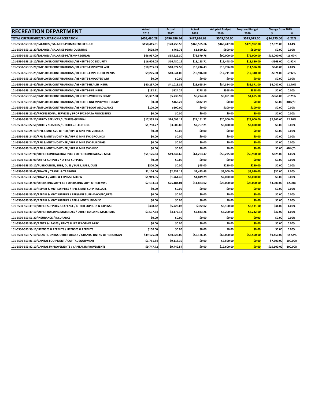| <b>RECREATION DEPARTMENT</b>                                             | <b>Actual</b><br>2016 | <b>Actual</b><br>2017 | Actual<br>2018 | <b>Adopted Budget</b><br>2019 | <b>Proposed Budget</b><br>2020 | Change from 2019<br>\$ | %           |
|--------------------------------------------------------------------------|-----------------------|-----------------------|----------------|-------------------------------|--------------------------------|------------------------|-------------|
| TOTAL CULTURE/REC/EDUCATION-RECREATION                                   | \$453,490.28          | \$496,586.54          | \$477,936.63   | \$549,200.00                  | \$515,025.00                   | $-534,175.00$          | $-6.22%$    |
| 101-5530-553.11-10/SALARIES / SALARIES-PERMANENT-REGULR                  | \$158,415.01          | \$170.753.56          | \$168.585.06   | \$163,417.00                  | \$170,992.00                   | \$7,575.00             | 4.64%       |
| 101-5530-553.11-20/SALARIES / SALARIES-PERM-OVERTIME                     | \$628.70              | \$766.71              | \$1,860.22     | \$800.00                      | \$800.00                       | \$0.00                 | 0.00%       |
| 101-5530-553.11-50/SALARIES / SALARIES-PT/TEMP-REGULAR                   | \$66,957.09           | \$55,225.30           | \$73,579.78    | \$90,000.00                   | \$75,000.00                    | $-$15,000.00$          | $-16.67%$   |
| 101-5530-553.15-10/EMPLOYER CONTRIBUTIONS / BENEFITS-SOC SECURITY        | \$16,606.05           | \$16,480.12           | \$18,123.71    | \$19,448.00                   | \$18,880.00                    | -\$568.00              | $-2.92%$    |
| 101-5530-553.15-20/EMPLOYER CONTRIBUTIONS / BENEFITS-EMPLOYER WRF        | \$10,255.83           | \$10,877.58           | \$10,246.43    | \$10,756.00                   | \$11,596.00                    | \$840.00               | 7.81%       |
| 101-5530-553.15-25/EMPLOYER CONTRIBUTIONS / BENEFITS-EMPL RETIREMENTS    | \$9,225.00            | \$10,641.00           | \$10,916.00    | \$12,711.00                   | \$12,340.00                    | -\$371.00              | $-2.92%$    |
| 101-5530-553.15-30/EMPLOYER CONTRIBUTIONS / BENEFITS-EMPLOYEE WRF        | \$0.00                | \$0.00                | \$0.00         | \$0.00                        | \$0.00                         | \$0.00                 | 0.00%       |
| 101-5530-553.15-40/EMPLOYER CONTRIBUTIONS / BENEFITS-HEALTH INSUR        | \$40,237.00           | \$41,013.35           | \$28,665.54    | \$34,324.00                   | \$38,371.00                    | \$4,047.00             | 11.79%      |
| 101-5530-553.15-50/EMPLOYER CONTRIBUTIONS / BENEFITS-LIFE INSUR          | \$192.11              | \$124.24              | \$178.15       | \$368.00                      | \$368.00                       | \$0.00                 | 0.00%       |
| 101-5530-553.15-60/EMPLOYER CONTRIBUTIONS / BENEFITS-WORKERS COMP        | \$5,387.58            | \$5,730.99            | \$5,274.68     | \$5,051.00                    | \$4,685.00                     | $-$366.00$             | $-7.25%$    |
| 101-5530-553.15-80/EMPLOYER CONTRIBUTIONS / BENEFITS-UNEMPLOYMNT COMP    | \$0.00                | \$166.27              | \$832.19       | \$0.00                        | \$0.00                         | \$0.00                 | #DIV/0!     |
| 101-5530-553.15-94/EMPLOYER CONTRIBUTIONS / BENEFITS-BOOT ALLOWANCE      | \$100.00              | \$100.00              | \$0.00         | \$100.00                      | \$100.00                       | \$0.00                 | 0.00%       |
| 101-5530-553.21-40/PROFESSIONAL SERVICES / PROF SVCS-DATA PROCESSING     | \$0.00                | \$0.00                | \$0.00         | \$0.00                        | \$0.00                         | \$0.00                 | 0.00%       |
| 101-5530-553.22-20/UTILITY SERVICES / UTILITES-GENERAL                   | \$17.353.49           | \$24.095.12           | \$21.161.72    | \$20,500.00                   | \$23,000.00                    | \$2,500.00             | 12.20%      |
| 101-5530-553.22-50/UTILITY SERVICES / UTILITIES-TELEPHONE                | \$1,758.77            | \$3,600.88            | \$2,767.21     | \$3,800.00                    | \$3,800.00                     | \$0.00                 | 0.00%       |
| 101-5530-553.24-10/RPR & MNT SVC-OTHER / RPR & MNT SVC-VEHICLES          | \$0.00                | \$0.00                | \$0.00         | \$0.00                        | \$0.00                         | \$0.00                 | 0.00%       |
| 101-5530-553.24-50/RPR & MNT SVC-OTHER / RPR & MNT SVC-GROUNDS           | \$0.00                | \$0.00                | \$0.00         | \$0.00                        | \$0.00                         | \$0.00                 | 0.00%       |
| 101-5530-553.24-70/RPR & MNT SVC-OTHER / RPR & MNT SVC-BUILDINGS         | \$0.00                | \$0.00                | \$0.00         | \$0.00                        | \$0.00                         | \$0.00                 | 0.00%       |
| 101-5530-553.24-90/RPR & MNT SVC-OTHER / RPR & MNT SVC-MISC              | \$0.00                | \$0.00                | \$0.00         | \$0.00                        | \$0.00                         | \$0.00                 | #DIV/0!     |
| 101-5530-553.29-90/OTHER CONTRACTUAL SVCS / OTHER CONTRAC SVC-MISC       | \$51,176.64           | \$49,242.69           | \$61,203.47    | \$59,275.00                   | \$59,900.00                    | \$625.00               | 1.05%       |
| 101-5530-553.31-90/OFFICE SUPPLIES / OFFICE SUPPLIES                     | \$0.00                | \$0.00                | \$0.00         | \$0.00                        | \$0.00                         | \$0.00                 | 0.00%       |
| 101-5530-553.32-10/PUBLICATION, SUBS, DUES / PUBS, SUBS, DUES            | \$300.00              | \$0.00                | \$45.00        | \$250.00                      | \$250.00                       | \$0.00                 | 0.00%       |
| 101-5530-553.33-40/TRAVEL / TRAVEL & TRAINING                            | \$1,104.00            | \$2,432.19            | \$2,423.43     | \$3,000.00                    | \$3,030.00                     | \$30.00                | 1.00%       |
| 101-5530-553.33-50/TRAVEL / AUTO & EXPENSE ALLOW                         | \$1,919.85            | \$1,761.40            | \$1,849.29     | \$2,000.00                    | \$2,000.00                     | \$0.00                 | 0.00%       |
| 101-5530-553.34-90/OPERATING SUPPLIES / OPERATING SUPP-OTHER MISC        | \$7,193.04            | \$25,184.01           | \$11,883.02    | \$25,000.00                   | \$28,000.00                    | \$3,000.00             | 12.00%      |
| 101-5530-553.35-10/REPAIR & MNT SUPPLIES / RPR & MNT SUPP-FUEL/OIL       | \$0.00                | \$0.00                | \$0.00         | \$0.00                        | \$0.00                         | \$0.00                 | 0.00%       |
| 101-5530-553.35-30/REPAIR & MNT SUPPLIES / RPR/MNT SUPP-MACH/EQ PRTS     | \$0.00                | \$0.00                | \$0.00         | \$0.00                        | \$0.00                         | \$0.00                 | 0.00%       |
| 101-5530-553.35-90/REPAIR & MNT SUPPLIES / RPR & MNT SUPP-MISC           | \$0.00                | \$0.00                | \$0.00         | \$0.00                        | \$0.00                         | \$0.00                 | 0.00%       |
| 101-5530-553.39-10/OTHER SUPPLIES & EXPENSE / OTHER SUPPLIES & EXPENSE   | \$308.22              | \$5,726.02            | \$322.02       | \$3,100.00                    | \$3,131.00                     | \$31.00                | 1.00%       |
| 101-5530-553.49-10/OTHER BUILDING MATERIALS / OTHER BUILDING MATERIALS   | \$3,597.34            | \$3,172.18            | \$2,843.26     | \$3,200.00                    | \$3,232.00                     | \$32.00                | 1.00%       |
| 101-5530-553.51-30/INSURANCE / INSURANCE                                 | \$0.00                | \$0.00                | \$0.00         | \$0.00                        | \$0.00                         | \$0.00                 | 0.00%       |
| 101-5530-553.53-90/RENTS & LEASES / RENTS & LEASES-OTHER MISC            | \$0.00                | \$0.00                | \$0.00         | \$0.00                        | \$0.00                         | \$0.00                 | 0.00%       |
| 101-5530-553.59-10/LICENSES & PERMITS / LICENSES & PERMITS               | \$150.00              | \$0.00                | \$0.00         | \$0.00                        | \$0.00                         | \$0.00                 | 0.00%       |
| 101-5530-553.72-10/GRANTS, DNTNS-OTHER ORGAN / GRANTS, DNTNS-OTHER ORGAN | \$49,125.00           | \$50,625.00           | \$55,176.45    | \$65,000.00                   | \$55,550.00                    | $-$9,450.00$           | $-14.54%$   |
| 101-5530-553.81-10/CAPITAL EQUIPMENT / CAPITAL EQUIPMENT                 | \$1,751.84            | \$9,118.39            | \$0.00         | \$7,500.00                    | \$0.00                         | $-$7,500.00$           | $-100.00\%$ |
| 101-5530-553.82-10/CAPITAL IMPROVEMENTS / CAPITAL IMPROVEMENTS           | \$9,747.72            | \$9,749.54            | \$0.00         | \$19,600.00                   | \$0.00                         | $-$19,600.00$          | $-100.00%$  |
|                                                                          |                       |                       |                |                               |                                |                        |             |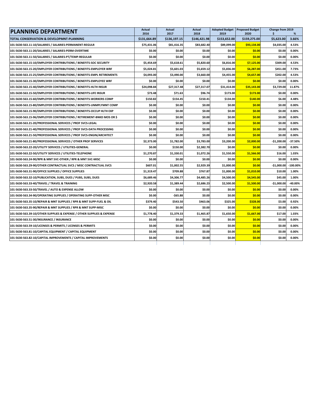| <b>PLANNING DEPARTMENT</b>                                             | Actual<br>2016 | <b>Actual</b><br>2017 | Actual<br>2018 | 2019         | Adopted Budget Proposed Budget<br>2020 | Change from 2019<br>\$ | %          |
|------------------------------------------------------------------------|----------------|-----------------------|----------------|--------------|----------------------------------------|------------------------|------------|
| TOTAL CONSERVATION & DEVELOPMNT-PLANNING                               | \$131,664.89   | \$136,197.15          | \$146,421.98   | \$153,652.00 | \$159,275.00                           | \$5,623.00             | 3.66%      |
| 101-5630-563.11-10/SALARIES / SALARIES-PERMANENT-REGULR                | \$75,431.06    | \$81,416.35           | \$83.682.40    | \$89.099.00  | \$93,134.00                            | \$4,035.00             | 4.53%      |
| 101-5630-563.11-20/SALARIES / SALARIES-PERM-OVERTIME                   | \$0.00         | \$0.00                | \$0.00         | \$0.00       | \$0.00                                 | \$0.00                 | 0.00%      |
| 101-5630-563.11-50/SALARIES / SALARIES-PT/TEMP-REGULAR                 | \$0.00         | \$0.00                | \$0.00         | \$0.00       | \$0.00                                 | \$0.00                 | 0.00%      |
| 101-5630-563.15-10/EMPLOYER CONTRIBUTIONS / BENEFITS-SOC SECURITY      | \$5,454.69     | \$5,618.61            | \$5,820.60     | \$6,816.00   | \$7,125.00                             | \$309.00               | 4.53%      |
| 101-5630-563.15-20/EMPLOYER CONTRIBUTIONS / BENEFITS-EMPLOYER WRF      | \$5,024.81     | \$5,601.03            | \$5,659.12     | \$5,836.00   | \$6,287.00                             | \$451.00               | 7.73%      |
| 101-5630-563.15-25/EMPLOYER CONTRIBUTIONS / BENEFITS-EMPL RETIREMENTS  | \$4,093.00     | \$3,490.00            | \$3,660.00     | \$4,455.00   | \$4,657.00                             | \$202.00               | 4.53%      |
| 101-5630-563.15-30/EMPLOYER CONTRIBUTIONS / BENEFITS-EMPLOYEE WRF      | \$0.00         | \$0.00                | \$0.00         | \$0.00       | \$0.00                                 | \$0.00                 | 0.00%      |
| 101-5630-563.15-40/EMPLOYER CONTRIBUTIONS / BENEFITS-HLTH INSUR        | \$24,098.84    | \$27,317.48           | \$27,317.07    | \$31,414.00  | \$35,143.00                            | \$3,729.00             | 11.87%     |
| 101-5630-563.15-50/EMPLOYER CONTRIBUTIONS / BENEFITS-LIFE INSUR        | \$73.48        | \$71.63               | \$96.74        | \$173.00     | \$173.00                               | \$0.00                 | 0.00%      |
| 101-5630-563.15-60/EMPLOYER CONTRIBUTIONS / BENEFITS-WORKERS COMP      | \$150.82       | \$154.45              | \$150.41       | \$134.00     | \$140.00                               | \$6.00                 | 4.48%      |
| 101-5630-563.15-80/EMPLOYER CONTRIBUTIONS / BENEFITS-UNMPLYMNT COMP    | \$0.00         | \$0.00                | \$0.00         | \$0.00       | \$0.00                                 | \$0.00                 | 0.00%      |
| 101-5630-563.15-90/EMPLOYER CONTRIBUTIONS / BENEFITS-OCCUP HLTH EXP    | \$0.00         | \$0.00                | \$0.00         | \$0.00       | \$0.00                                 | \$0.00                 | 0.00%      |
| 101-5630-563.15-96/EMPLOYER CONTRIBUTIONS / RETIREMENT-BNKD MOS OR \$  | \$0.00         | \$0.00                | \$0.00         | \$0.00       | \$0.00                                 | \$0.00                 | 0.00%      |
| 101-5630-563.21-20/PROFESSIONAL SERVICES / PROF SVCS-LEGAL             | \$0.00         | \$0.00                | \$0.00         | \$0.00       | \$0.00                                 | \$0.00                 | 0.00%      |
| 101-5630-563.21-40/PROFESSIONAL SERVICES / PROF SVCS-DATA PROCESSING   | \$0.00         | \$0.00                | \$0.00         | \$0.00       | \$0.00                                 | \$0.00                 | 0.00%      |
| 101-5630-563.21-50/PROFESSIONAL SERVICES / PROF SVCS-ENGIN/ARCHITECT   | \$0.00         | \$0.00                | \$0.00         | \$0.00       | \$0.00                                 | \$0.00                 | 0.00%      |
| 101-5630-563.21-80/PROFESSIONAL SERVICES / OTHER PROF SERVICES         | \$2,373.00     | \$1,782.00            | \$3,783.00     | \$3,200.00   | \$2,000.00                             | $-$1,200.00$           | $-37.50%$  |
| 101-5630-563.22-20/UTILITY SERVICES / UTILITIES-GENERAL                | \$0.00         | \$150.00              | \$2,382.70     | \$0.00       | \$0.00                                 | \$0.00                 | 0.00%      |
| 101-5630-563.22-50/UTILITY SERVICES / UTILITIES-TELEPHONE              | \$1,270.87     | \$1,330.01            | \$1,072.26     | \$1,550.00   | \$1,566.00                             | \$16.00                | 1.03%      |
| 101-5630-563.24-90/RPR & MNT SVC-OTHER / RPR & MNT SVC-MISC            | \$0.00         | \$0.00                | \$0.00         | \$0.00       | \$0.00                                 | \$0.00                 | 0.00%      |
| 101-5630-563.29-90/OTHER CONTRACTUAL SVCS / MISC CONTRACTUAL SVCS      | \$607.01       | \$1,002.55            | \$2,929.39     | \$1,000.00   | \$0.00                                 | $-$1,000.00$           | $-100.00%$ |
| 101-5630-563.31-90/OFFICE SUPPLIES / OFFICE SUPPLIES                   | \$1,319.47     | \$709.88              | \$767.87       | \$1,000.00   | \$1,010.00                             | \$10.00                | 1.00%      |
| 101-5630-563.32-10/PUBLICATION, SUBS, DUES / PUBS, SUBS, DUES          | \$6,689.46     | \$4,306.77            | \$4,485.26     | \$4,500.00   | \$4,545.00                             | \$45.00                | 1.00%      |
| 101-5630-563.33-40/TRAVEL / TRAVEL & TRAINING                          | \$2,920.58     | \$1,389.44            | \$2,686.23     | \$2,500.00   | \$1,500.00                             | $-$1,000.00$           | $-40.00%$  |
| 101-5630-563.33-50/TRAVEL / AUTO & EXPENSE ALLOW                       | \$0.00         | \$0.00                | \$0.00         | \$0.00       | \$0.00                                 | \$0.00                 | 0.00%      |
| 101-5630-563.34-90/OPERATING SUPPLIES / OPERATING SUPP-OTHER MISC      | \$0.00         | $-$65.88$             | \$0.00         | \$0.00       | \$0.00                                 | \$0.00                 | 0.00%      |
| 101-5630-563.35-10/REPAIR & MNT SUPPLIES / RPR & MNT SUPP-FUEL & OIL   | \$379.40       | \$543.50              | \$463.06       | \$325.00     | \$328.00                               | \$3.00                 | 0.92%      |
| 101-5630-563.35-90/REPAIR & MNT SUPPLIES / RPR & MNT SUPP-MISC         | \$0.00         | \$0.00                | \$0.00         | \$0.00       | \$0.00                                 | \$0.00                 | 0.00%      |
| 101-5630-563.39-10/OTHER SUPPLIES & EXPENSE / OTHER SUPPLIES & EXPENSE | \$1,778.40     | \$1,379.33            | \$1,465.87     | \$1,650.00   | \$1,667.00                             | \$17.00                | 1.03%      |
| 101-5630-563.51-30/INSURANCE / INSURANCE                               | \$0.00         | \$0.00                | \$0.00         | \$0.00       | \$0.00                                 | \$0.00                 | 0.00%      |
| 101-5630-563.59-10/LICENSES & PERMITS / LICENSES & PERMITS             | \$0.00         | \$0.00                | \$0.00         | \$0.00       | \$0.00                                 | \$0.00                 | 0.00%      |
| 101-5630-563.81-10/CAPITAL EQUIPMENT / CAPITAL EQUIPMENT               | \$0.00         | \$0.00                | \$0.00         | \$0.00       | \$0.00                                 | \$0.00                 | 0.00%      |
| 101-5630-563.82-10/CAPITAL IMPROVEMENTS / CAPITAL IMPROVEMENTS         | \$0.00         | \$0.00                | \$0.00         | \$0.00       | \$0.00                                 | \$0.00                 | 0.00%      |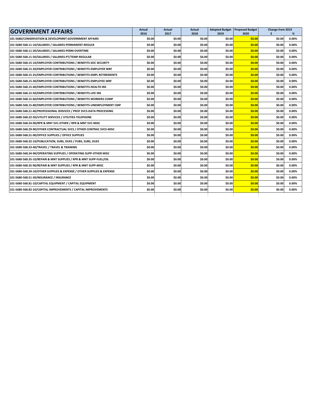| <b>GOVERNMENT AFFAIRS</b>                                              |        | Actual | Actual | <b>Adopted Budget</b> | <b>Proposed Budget</b> | Change from 2019 |          |
|------------------------------------------------------------------------|--------|--------|--------|-----------------------|------------------------|------------------|----------|
|                                                                        |        | 2017   | 2018   | 2019                  | 2020                   |                  | ℅        |
| 101-5680/CONSERVATION & DEVELOPMNT-GOVERNMENT AFFAIRS                  | \$0.00 | \$0.00 | \$0.00 | \$0.00                | \$0.00                 | \$0.00           | 0.00%    |
| 101-5680-568.11-10/SALARIES / SALARIES-PERMANENT-REGULR                | \$0.00 | \$0.00 | \$0.00 | \$0.00                | \$0.00                 | \$0.00           | 0.00%    |
| 101-5680-568.11-20/SALARIES / SALARIES-PERM-OVERTIME                   | \$0.00 | \$0.00 | \$0.00 | \$0.00                | \$0.00                 | \$0.00           | 0.00%    |
| 101-5680-568.11-50/SALARIES / SALARIES-PT/TEMP-REGULAR                 | \$0.00 | \$0.00 | \$0.00 | \$0.00                | \$0.00                 | \$0.00           | 0.00%    |
| 101-5680-568.15-10/EMPLOYER CONTRIBUTIONS / BENEFITS-SOC SECURITY      | \$0.00 | \$0.00 | \$0.00 | \$0.00                | \$0.00                 | \$0.00           | 0.00%    |
| 101-5680-568.15-20/EMPLOYER CONTRIBUTIONS / BENEFITS-EMPLOYER WRF      | \$0.00 | \$0.00 | \$0.00 | \$0.00                | \$0.00                 | \$0.00           | 0.00%    |
| 101-5680-568.15-25/EMPLOYER CONTRIBUTIONS / BENEFITS-EMPL RETIREMENTS  | \$0.00 | \$0.00 | \$0.00 | \$0.00                | \$0.00                 | \$0.00           | 0.00%    |
| 101-5680-568.15-30/EMPLOYER CONTRIBUTIONS / BENEFITS-EMPLOYEE WRF      | \$0.00 | \$0.00 | \$0.00 | \$0.00                | \$0.00                 | \$0.00           | 0.00%    |
| 101-5680-568.15-40/EMPLOYER CONTRIBUTIONS / BENEFITS-HEALTH INS        | \$0.00 | \$0.00 | \$0.00 | \$0.00                | \$0.00                 | \$0.00           | 0.00%    |
| 101-5680-568.15-50/EMPLOYER CONTRIBUTIONS / BENEFITS-LIFE INS          | \$0.00 | \$0.00 | \$0.00 | \$0.00                | \$0.00                 | \$0.00           | 0.00%    |
| 101-5680-568.15-60/EMPLOYER CONTRIBUTIONS / BENEFITS-WORKERS COMP      | \$0.00 | \$0.00 | \$0.00 | \$0.00                | \$0.00                 | \$0.00           | 0.00%    |
| 101-5680-568.15-80/EMPLOYER CONTRIBUTIONS / BENEFITS-UNEMPLOYMENT CMP  | \$0.00 | \$0.00 | \$0.00 | \$0.00                | \$0.00                 | \$0.00           | 0.00%    |
| 101-5680-568.21-40/PROFESSIONAL SERVICES / PROF SVCS-DATA PROCESSING   | \$0.00 | \$0.00 | \$0.00 | \$0.00                | \$0.00                 | \$0.00           | 0.00%    |
| 101-5680-568.22-50/UTILITY SERVICES / UTILITIES-TELEPHONE              | \$0.00 | \$0.00 | \$0.00 | \$0.00                | \$0.00                 | \$0.00           | $0.00\%$ |
| 101-5680-568.24-90/RPR & MNT SVC-OTHER / RPR & MNT SVC-MISC            | \$0.00 | \$0.00 | \$0.00 | \$0.00                | \$0.00                 | \$0.00           | 0.00%    |
| 101-5680-568.29-90/OTHER CONTRACTUAL SVCS / OTHER CONTRAC SVCS-MISC    | \$0.00 | \$0.00 | \$0.00 | \$0.00                | \$0.00                 | \$0.00           | 0.00%    |
| 101-5680-568.31-90/OFFICE SUPPLIES / OFFICE SUPPLIES                   | \$0.00 | \$0.00 | \$0.00 | \$0.00                | \$0.00                 | \$0.00           | 0.00%    |
| 101-5680-568.32-10/PUBLICATION, SUBS, DUES / PUBS, SUBS, DUES          | \$0.00 | \$0.00 | \$0.00 | \$0.00                | \$0.00                 | \$0.00           | 0.00%    |
| 101-5680-568.33-40/TRAVEL / TRAVEL & TRAINING                          | \$0.00 | \$0.00 | \$0.00 | \$0.00                | \$0.00                 | \$0.00           | 0.00%    |
| 101-5680-568.34-90/OPERATING SUPPLIES / OPERATING SUPP-OTHER MISC      | \$0.00 | \$0.00 | \$0.00 | \$0.00                | \$0.00                 | \$0.00           | 0.00%    |
| 101-5680-568.35-10/REPAIR & MNT SUPPLIES / RPR & MNT SUPP-FUEL/OIL     | \$0.00 | \$0.00 | \$0.00 | \$0.00                | \$0.00                 | \$0.00           | 0.00%    |
| 101-5680-568.35-90/REPAIR & MNT SUPPLIES / RPR & MNT SUPP-MISC         | \$0.00 | \$0.00 | \$0.00 | \$0.00                | \$0.00                 | \$0.00           | 0.00%    |
| 101-5680-568.39-10/OTHER SUPPLIES & EXPENSE / OTHER SUPPLIES & EXPENSE | \$0.00 | \$0.00 | \$0.00 | \$0.00                | \$0.00                 | \$0.00           | 0.00%    |
| 101-5680-568.51-30/INSURANCE / INSURANCE                               | \$0.00 | \$0.00 | \$0.00 | \$0.00                | \$0.00                 | \$0.00           | $0.00\%$ |
| 101-5680-568.81-10/CAPITAL EQUIPMENT / CAPITAL EQUIPMENT               | \$0.00 | \$0.00 | \$0.00 | \$0.00                | \$0.00                 | \$0.00           | 0.00%    |
| 101-5680-568.82-10/CAPITAL IMPROVEMENTS / CAPITAL IMPROVEMENTS         | \$0.00 | \$0.00 | \$0.00 | \$0.00                | \$0.00                 | \$0.00           | 0.00%    |
|                                                                        |        |        |        |                       |                        |                  |          |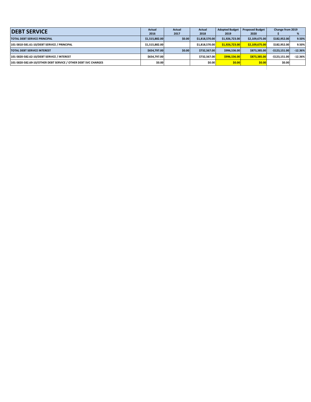| <b>IDEBT SERVICE</b>                                           |                | <b>Actual</b><br><b>Actual</b> |                | <b>Adopted Budget</b> | <b>Proposed Budget</b> | Change from 2019 |           |
|----------------------------------------------------------------|----------------|--------------------------------|----------------|-----------------------|------------------------|------------------|-----------|
|                                                                | 2016           | 2017                           | 2018           | 2019                  | 2020                   |                  |           |
| <b>TOTAL DEBT SERVICE PRINCIPAL</b>                            | \$1,515,882.00 | \$0.00                         | \$1.818.570.00 | \$1,926,723.00        | \$2,109,675.00         | \$182.952.00     | 9.50%     |
| 101-5810-581.61-10/DEBT SERVICE / PRINCIPAL                    | \$1.515.882.00 |                                | \$1.818.570.00 | \$1.926.723.00        | \$2.109.675.00         | \$182.952.00     | 9.50%     |
| <b>TOTAL DEBT SERVICE INTEREST</b>                             | \$654.797.00   | \$0.00                         | \$732.567.00   | \$996.536.00          | \$873.385.00           | $-5123.151.00$   | $-12.36%$ |
| 101-5820-582.62-10/DEBT SERVICE / INTEREST                     | \$654.797.00   |                                | \$732.567.00   | \$996.536.00          | \$873,385,00           | $-5123.151.00$   | $-12.36%$ |
| 101-5820-582.69-10/OTHER DEBT SERVICE / OTHER DEBT SVC CHARGES | \$0.00         |                                | \$0.00         | \$0.00                | \$0.00                 | \$0.00           |           |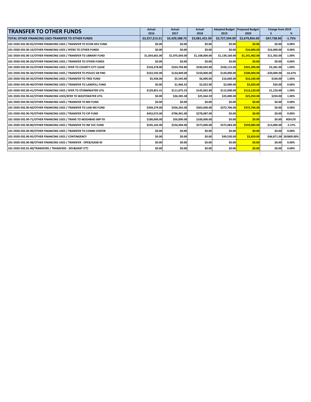| <b>TRANSFER TO OTHER FUNDS</b>                                      | Actual                 | Actual                 | <b>Actual</b>          | <b>Adopted Budget</b>  | <b>Proposed Budget</b> | Change from 2019 |                         |
|---------------------------------------------------------------------|------------------------|------------------------|------------------------|------------------------|------------------------|------------------|-------------------------|
| TOTAL OTHER FINANCING USES-TRANSFER TO OTHER FUNDS                  | 2016<br>\$3,257,213.21 | 2017<br>\$3,429,588.75 | 2018<br>\$3,081,431.09 | 2019<br>\$2,727,594.00 | 2020<br>\$2,679,856.00 | $-$47,738.00$    | %<br>$-1.75%$           |
| 101-5920-592.90-05/OTHER FINANCING USES / TRANSFER TO ECON DEV FUND | \$0.00                 | \$0.00                 | \$0.00                 | \$0.00                 | \$0.00                 | \$0.00           | 0.00%                   |
|                                                                     |                        |                        |                        |                        |                        |                  |                         |
| 101-5920-592.90-10/OTHER FINANCING USES / XFERS TO OTHER FUNDS      | \$0.00                 | \$0.00                 | \$0.00                 | \$0.00                 | \$16,000.00            | \$16,000.00      | 0.00%                   |
| 101-5920-592.90-15/OTHER FINANCING USES / TRANSFER TO LIBRARY FUND  | \$1,054,601.00         | \$1.075.693.00         | \$1,108,000.00         | \$1,130,160.00         | \$1.141.462.00         | \$11,302.00      | 1.00%                   |
| 101-5920-592.90-20/OTHER FINANCING USES / TRANSFER TO OTHER FUNDS   | \$0.00                 | \$0.00                 | \$0.00                 | \$0.00                 | \$0.00                 | \$0.00           | 0.00%                   |
| 101-5920-592.90-25/OTHER FINANCING USES / XFER TO COUNTY-CITY LEASE | \$318,278.80           | \$324,704.80           | \$330,693.80           | \$328,115.00           | \$331,396.00           | \$3,281.00       | 1.00%                   |
| 101-5920-592.90-30/OTHER FINANCING USES / TRANSFER TO POLICE GR FND | \$222.592.00           | \$124,849.00           | \$150.000.00           | \$120,000.00           | \$100,000.00           | $-$20,000.00$    | $-16.67%$               |
| 101-5920-592.90-35/OTHER FINANCING USES / TRANSFER TO TREE FUND     | \$5,436.00             | \$5,545.00             | \$6,000.00             | \$16,000.00            | \$16,160.00            | \$160.00         | 1.00%                   |
| 101-5920-592.90-40/OTHER FINANCING USES / TRANSFER TO LANDFILL FUND | \$0.00                 | \$1,966.32             | \$2.022.90             | \$2,000.00             | \$2,020.00             | \$20.00          | 0.00%                   |
| 101-5920-592.90-41/OTHER FINANCING USES / XFER TO STORMWATER UTIL   | \$129,851.41           | \$111,075.25           | \$145,062.80           | \$112,000.00           | \$113,120.00           | \$1,120.00       | 1.00%                   |
| 101-5920-592.90-42/OTHER FINANCING USES/XFER TO WASTEWATER UTIL     | \$0.00                 | \$26,585.38            | \$25,564.59            | \$25,000.00            | \$25,250.00            | \$250.00         | 1.00%                   |
| 101-5920-592.90-50/OTHER FINANCING USES / TRANSFER TO BID FUND      | \$0.00                 | \$0.00                 | \$0.00                 | \$0.00                 | \$0.00                 | \$0.00           | 0.00%                   |
| 101-5920-592.90-60/OTHER FINANCING USES / TRANSFER TO LIAB INS FUND | \$349,279.00           | \$356,265.00           | \$363,000.00           | \$372,706.00           | \$372,706.00           | \$0.00           | 0.00%                   |
| 101-5920-592.90-70/OTHER FINANCING USES / TRANSFER TO CIP FUND      | \$452,073.00           | \$796,901.00           | \$278,087.00           | \$0.00                 | \$0.00                 | \$0.00           | 0.00%                   |
| 101-5920-592.90-71/OTHER FINANCING USES / TRANS TO NEIGHBHD IMP FD  | \$180,000.00           | \$50,000.00            | \$100,000.00           | \$0.00                 | \$0.00                 | \$0.00           | #DIV/0!                 |
| 101-5920-592.90-80/OTHER FINANCING USES / TRANSFER TO INF SVC FUND  | \$545,102.00           | \$556,004.00           | \$573,000.00           | \$572,083.00           | \$559,083.00           | $-$13,000.00$    | $-2.27%$                |
| 101-5920-592.90-90/OTHER FINANCING USES / TRANSFER TO COMM CENTER   | \$0.00                 | \$0.00                 | \$0.00                 | \$0.00                 | \$0.00                 | \$0.00           | 0.00%                   |
| 101-5920-592.90-95/OTHER FINANCING USES / CONTINGENCY               | \$0.00                 | \$0.00                 | \$0.00                 | \$49,530.00            | \$2,659.00             |                  | -\$46,871.00 265800.00% |
| 101-5920-592.90-98/OTHER FINANCING USES / TRANSFER - OPEB/GASB 45   | \$0.00                 | \$0.00                 | \$0.00                 | \$0.00                 | \$0.00                 | \$0.00           | 0.00%                   |
| 101-5920-592.91-00/TRANSFERS / TRANSFERS - DEV&DEBT (TT)            | \$0.00                 | \$0.00                 | \$0.00                 | \$0.00                 | \$0.00                 | \$0.00           | 0.00%                   |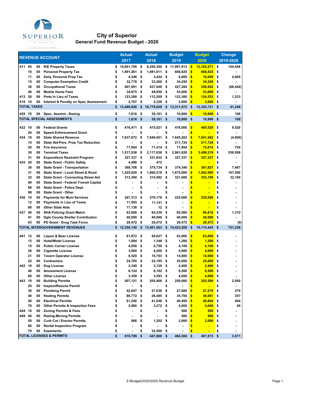

## **City of Superior General Fund Revenue Budget - 2020**

|        |                    |          |                                                                            | <b>Actual</b>    |          | <b>Actual</b>  |      | <b>Budget</b> |                         | <b>Budget</b> | <b>Change</b>   |
|--------|--------------------|----------|----------------------------------------------------------------------------|------------------|----------|----------------|------|---------------|-------------------------|---------------|-----------------|
|        |                    |          | <b>REVENUE ACCOUNT</b>                                                     | 2017             |          | 2018           |      | 2019          |                         | 2020          | 2019-2020       |
| 411 05 |                    | 00       | <b>R/E Property Taxes</b>                                                  | \$<br>10,801,790 | \$       | 8,250,300      | \$   | 11,997,813    | \$                      | 12,102,271    | \$<br>104,458   |
|        | 10                 | 00       | <b>Personal Property Tax</b>                                               | \$<br>1,891,261  | \$       | 1,891,611      | \$   | 666,825       | \$                      | 666,825       | \$              |
|        | 11                 | 00       | Delq. Personal Prop Tax                                                    | \$<br>4,346      | \$       | 3,424          | - \$ | 6,000         | \$                      | 10,000        | \$<br>4,000     |
|        | 15                 | 00       | <b>Computer Exemption Credit</b>                                           | \$<br>32,778     | \$       | 33,260         | \$   | 34,250        | \$                      | 34,250        | \$              |
|        | 30                 | 00       | <b>Occupational Taxes</b>                                                  | \$<br>607,891    | \$       | 437,646        | \$   | 427,284       | \$                      | 358,842       | \$<br>(68, 442) |
|        | 40                 | 00       | <b>Mobile Home Fees</b>                                                    | \$<br>34,875     | \$       | 48,850         | \$   | 53,000        | \$                      | 53,000        | \$              |
| 413 20 |                    | 00       | <b>Pmts in Lieu of Taxes</b>                                               | \$<br>123,288    | \$       | 112,209        | \$   | 123,300       | \$                      | 124,533       | \$<br>1,233     |
| 418 10 |                    | 00       | <b>Interest &amp; Penalty on Spec Assessment</b>                           | \$<br>2,797      | \$       | 2,328          | \$   | 3,000         | \$                      | 3,000         | \$              |
|        | <b>TOTAL TAXES</b> |          |                                                                            | \$<br>13,499,026 | \$       | 10,779,629     | \$   | 13,311,472    | \$                      | 13,352,721    | \$<br>41,249    |
| 429 70 |                    | 00       | Spec. Assmnt - Razing                                                      | \$<br>1,616      | \$       | 39,161         | \$   | 10,800        | $\overline{\mathbf{S}}$ | 10,908        | \$<br>108       |
|        |                    |          | <b>TOTAL SPECIAL ASSESSMENTS</b>                                           | \$<br>1,616      | \$       | 39,161         | \$   | 10,800        | \$                      | 10,908        | \$<br>108       |
| 432 10 |                    | 00       | <b>Federal Grants</b>                                                      | \$<br>476,471    | \$       | 475,021        | \$   | 476,000       | \$                      | 485,520       | \$<br>9,520     |
|        | 20                 | 00       | <b>Speed Enforecement Grant</b>                                            | \$               | \$       |                | \$   |               | \$                      |               | \$              |
| 434 10 |                    | 00       | <b>State Shared Revenue</b>                                                | \$<br>7,637,672  | \$       | 7,640,651      | \$   | 7,645,262     | \$                      | 7,641,262     | \$<br>(4,000)   |
|        | 15                 | 00       | <b>State Aid-Pers. Prop Tax Reduction</b>                                  | \$               | \$       |                | \$   | 211,724       | \$                      | 211,724       | \$              |
|        | 20                 | 00       | <b>Fire Insurance</b>                                                      | \$<br>71,954     | \$       | 71,414         | \$   | 71,954        | \$                      | 72,674        | \$<br>720       |
|        | 30                 | 00       | <b>Terminal Taxes</b>                                                      | \$               | \$       | 2,117,036      | -\$  | 2,961,620     | \$                      |               | \$<br>536,599   |
|        | 31                 | 00       |                                                                            | \$<br>1,517,036  |          |                |      |               | \$                      | 3,498,219     |                 |
| 435 20 |                    |          | <b>Expenditure Restraint Program</b><br><b>State Grant - Public Safety</b> | 327,337          | \$<br>\$ | 331,832<br>472 | - \$ | 327,337       | \$                      | 327,337       | \$              |
|        |                    | 00<br>00 |                                                                            | \$<br>4,498      |          |                |      |               | \$                      |               | \$              |
|        | 30                 |          | <b>State Grant - Transportation</b>                                        | \$<br>368,708    | \$       | 375,734        | \$   | 374,340       |                         | 381,827       | \$<br>7,487     |
|        | 31                 | 00       | <b>State Grant - Local Street &amp; Road</b>                               | \$<br>1,225,020  | \$       | 1,660,218      | \$   | 1,675,000     | \$                      | 1,842,500     | \$<br>167,500   |
|        | 32                 | 00       | <b>State Grant - Connecting Street Aid</b>                                 | \$<br>313,369    | \$       | 315,092        | - \$ | 321,000       | \$                      | 353,100       | \$<br>32,100    |
|        | 40                 | 00       | <b>State Grant - Federal Transit Capital</b>                               | \$               | \$       |                | \$   |               | \$                      |               | \$              |
|        | 88                 | 00       | <b>State Grant - Police Dept.</b>                                          | \$               | \$       |                | \$   |               | \$                      |               | \$              |
|        | 99                 | 00       | <b>State Grant - Other</b>                                                 | \$               | \$       |                | \$   |               | \$                      |               | \$              |
| 436 10 |                    | 00       | <b>Payments for Muni Services</b>                                          | \$<br>247,313    | \$       | 270.178        | \$   | 225,000       | \$                      | 225,000       | \$              |
|        | 12                 | 00       | <b>Payments in Lieu of Taxes</b>                                           | \$<br>11,545     | \$       | 11,141         | \$   | ä,            | \$                      |               | \$              |
|        | 90                 | 00       | <b>Other State Aids</b>                                                    | \$<br>17,138     | \$       | 12             | - \$ |               | \$                      |               | \$              |
| 437 40 |                    | 00       | <b>SHA Policing Grant Match</b>                                            | \$<br>63,606     | \$       | 64,230         | \$   | 65,500        | \$                      | 66,810        | \$<br>1,310     |
|        | 41                 | 00       | <b>Dgls County Shelter Contribution</b>                                    | \$<br>40,000     | \$       | 40,000         | \$   | 40,000        | \$                      | 40,000        | \$              |
|        | 63                 | 00       | PD Grant - Drug Task Force                                                 | \$<br>28,472     | \$       | 28,472         | \$   | 28,472        | \$                      | 28,472        | \$<br>(0)       |
|        |                    |          | TOTAL INTERGOVERNMENT REVENUES                                             | \$<br>12,350,140 | \$       | 13,401,503     | \$   | 14,423,209    | \$                      | 15,174,445    | \$<br>751,236   |
| 441 12 |                    | 00       | <b>Liquor &amp; Beer License</b>                                           | \$<br>61,872     | \$       | 56,027         | \$   | 63,000        | \$                      | 63,000        | \$              |
|        | 13                 | 00       | <b>Hotel/Motel License</b>                                                 | \$<br>1,094      | \$       | 1,348          | \$   | 1,200         | \$                      | 1,200         | \$              |
|        | 15                 | 00       | <b>Public Carrier License</b>                                              | \$<br>4,050      | \$       | 2,750          | \$   | 4,100         | \$                      | 4,100         | \$              |
|        | 20                 | 00       | <b>Cigarette License</b>                                                   | \$<br>3,900      | \$       | 4,200          | \$   | 4,000         | \$                      | 4,000         | \$              |
|        | 21                 | 00       | <b>Tavern Operator License</b>                                             | \$<br>8,520      | \$       | 10,703         | \$   | 14,000        | \$                      | 14,000        | \$              |
|        | 22                 | 00       | <b>Contractors</b>                                                         | \$<br>24,785     | \$       | 22,195         | \$   | 25,000        | \$                      | 25,000        | \$              |
| 442 10 |                    | 00       | Dog License                                                                | \$<br>2,349      | \$       | 3,120          | \$   | 2,400         | \$                      | 2,400         | \$              |
|        | 40                 | 00       | <b>Amusement License</b>                                                   | \$<br>6,124      | \$       | 6,182          | \$   | 6,500         | \$                      | 6,500         | \$              |
|        | 60                 | 00       | <b>Other License</b>                                                       | \$<br>3,359      | \$       | 3,593          | - \$ | 4,000         | \$                      | 4,000         | \$              |
| 443 10 |                    | 00       | <b>Building Permits</b>                                                    | \$<br>507,121 \$ |          | 205,406        | - \$ | 250,000       | $\sqrt{2}$              | 252,500       | \$<br>2,500     |
|        | 20                 | 00       | Inspect/Rezone Permit                                                      | \$               | \$       |                | \$   |               | \$                      |               | \$              |
|        | 30                 | 00       | <b>Plumbing Permit</b>                                                     | \$<br>42,647     | \$       | 27,636 \$      |      | 27,000        | \$                      | 27,270        | \$<br>270       |
|        | 40                 | 00       | <b>Heating Permits</b>                                                     | \$<br>88,772     | \$       | 26,485 \$      |      | 35,704        | \$                      | 36,061        | \$<br>357       |
|        | 50                 | 00       | <b>Electrical Permits</b>                                                  | \$<br>61,240     | \$       | 41,048         | - \$ | 40,400        | \$                      | 40,804        | \$<br>404       |
|        | 70                 | 00       | <b>Other Permits &amp; Inspection Fees</b>                                 | \$<br>2,980      | \$       | $3,272$ \$     |      | 4,000         | \$                      | 4,040         | \$<br>40        |
| 444 10 |                    | 00       | <b>Zoning Permits &amp; Fees</b>                                           | \$<br>٠          | \$       | ٠              | \$   | 500           | \$                      | 500           | \$              |
| 449 40 |                    | 00       | <b>Razing-Moving Permits</b>                                               | \$               | \$       |                | \$   | 500           | \$                      | 500           | \$              |
|        | 50                 | 00       | <b>Curb Cut / Erector Permits</b>                                          | \$<br>986        | \$       | $1,202$ \$     |      | 2,000         | \$                      | 2,000         | \$<br>٠         |
|        | 60                 | 00       | <b>Rental Inspection Program</b>                                           | \$               | \$       |                | \$   |               | \$                      |               | \$              |
|        | 70                 | 00       | <b>Easements</b>                                                           | \$               | \$       | 32,500         | - \$ |               | \$                      | н             | \$              |
|        |                    |          | <b>TOTAL LICENSES &amp; PERMITS</b>                                        | \$<br>819,799    | \$       | 447,668 \$     |      | 484,304 \$    |                         | 487,875       | \$<br>3,571     |